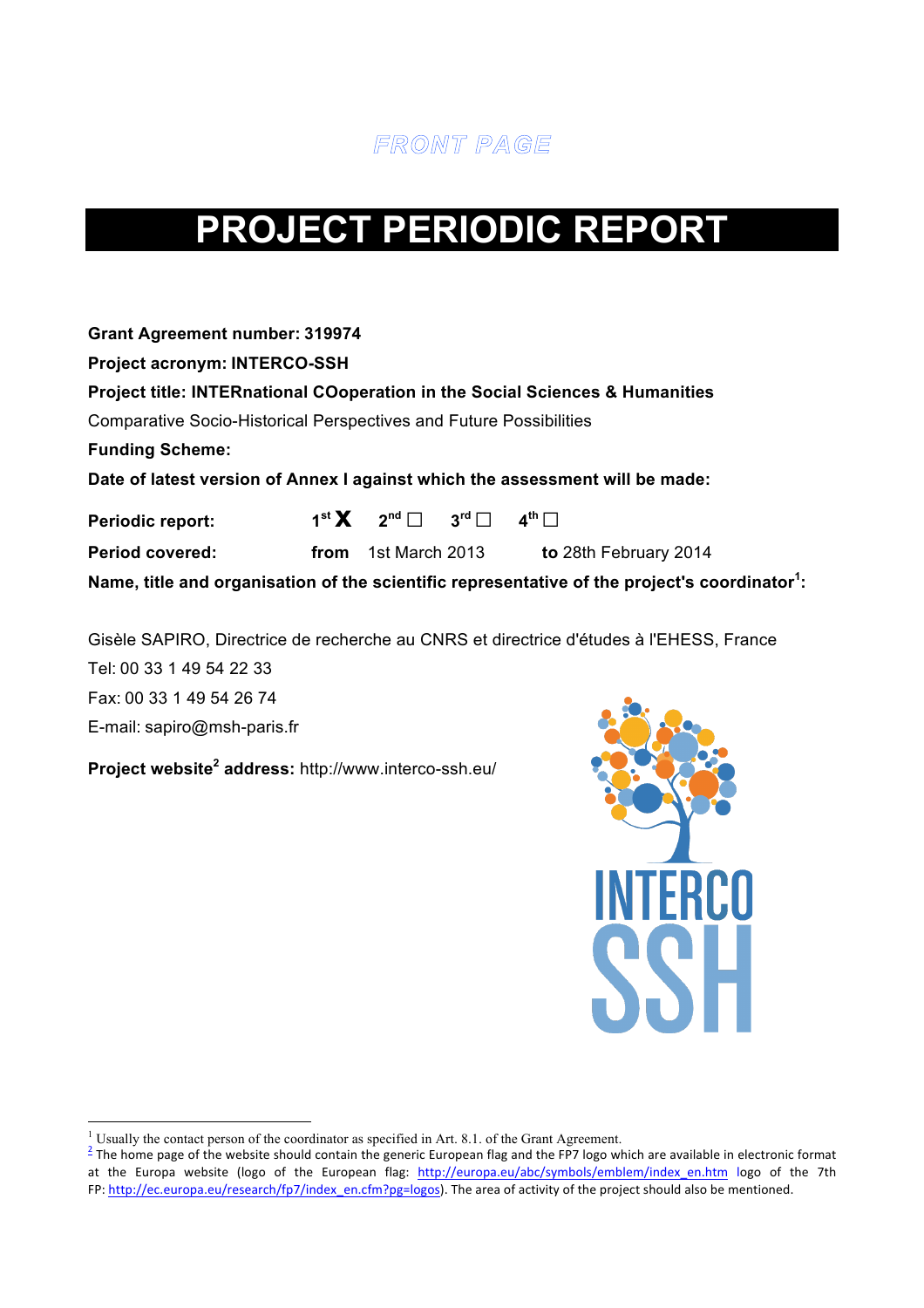

# **PROJECT PERIODIC REPORT**

**Project acronym: INTERCO-SSH**

|  | Project title: INTERnational COoperation in the Social Sciences & Humanities |
|--|------------------------------------------------------------------------------|
|--|------------------------------------------------------------------------------|

Comparative Socio-Historical Perspectives and Future Possibilities

**Funding Scheme:**

**Date of latest version of Annex I against which the assessment will be made:**

| <b>Periodic report:</b> | $1^{\text{st}}$ $X$ $2^{\text{nd}}$ $3^{\text{rd}}$ $4^{\text{th}}$ $1$ |                                                                                                           |
|-------------------------|-------------------------------------------------------------------------|-----------------------------------------------------------------------------------------------------------|
| <b>Period covered:</b>  | <b>from</b> 1st March 2013                                              | to 28th February 2014                                                                                     |
|                         |                                                                         | Name, title and organisation of the scientific representative of the project's coordinator <sup>1</sup> : |

Gisèle SAPIRO, Directrice de recherche au CNRS et directrice d'études à l'EHESS, France Tel: 00 33 1 49 54 22 33 Fax: 00 33 1 49 54 26 74 E-mail: sapiro@msh-paris.fr

**Project website<sup>2</sup> address:** http://www.interco-ssh.eu/



<u> 1989 - Jan Samuel Barbara, margaret e</u>

<sup>&</sup>lt;sup>1</sup> Usually the contact person of the coordinator as specified in Art. 8.1. of the Grant Agreement.<br><sup>2</sup> The home page of the website should contain the generic European flag and the FP7 logo which are available in electro at the Europa website (logo of the European flag: http://europa.eu/abc/symbols/emblem/index en.htm logo of the 7th FP: http://ec.europa.eu/research/fp7/index\_en.cfm?pg=logos). The area of activity of the project should also be mentioned.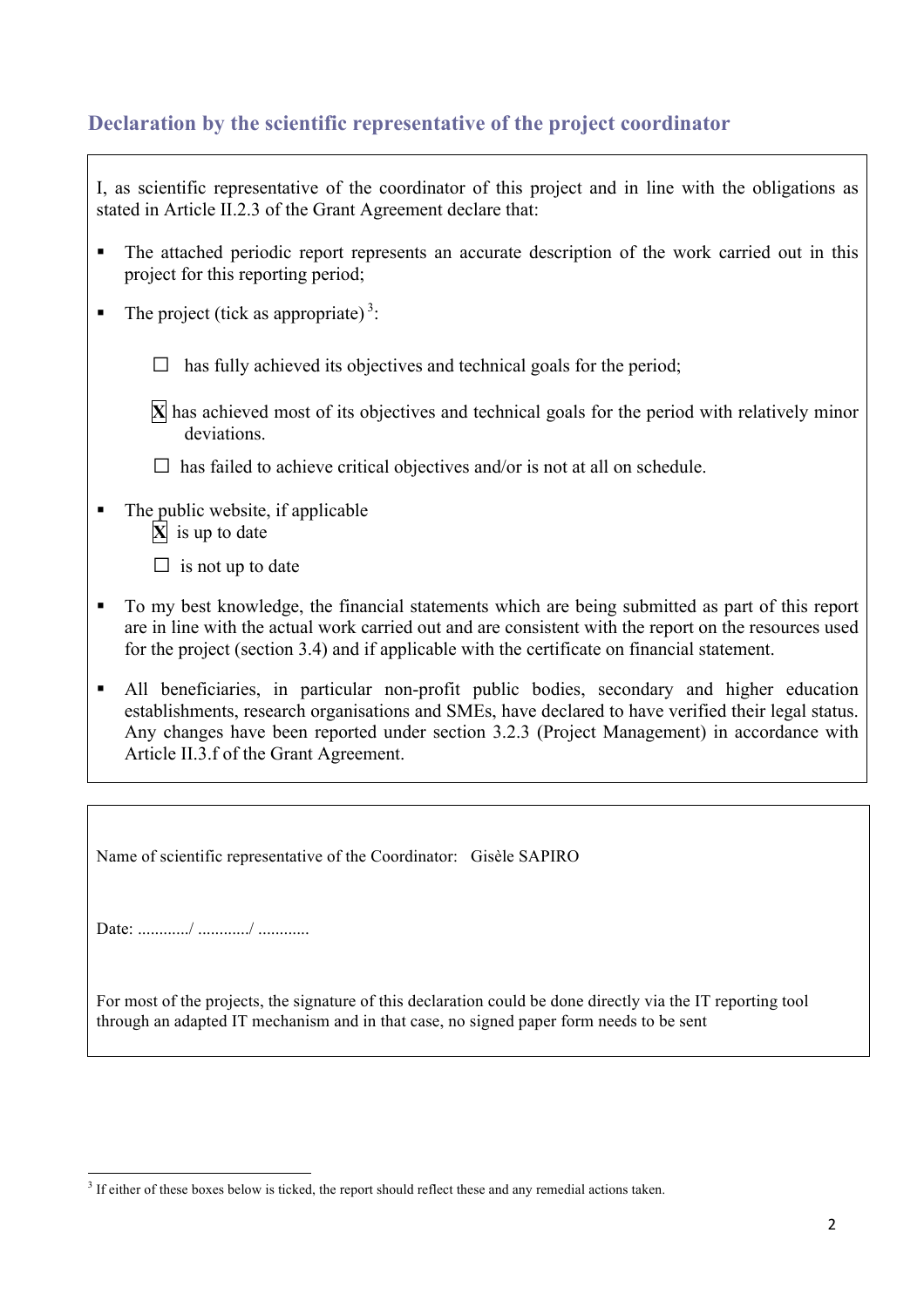# **Declaration by the scientific representative of the project coordinator**

|   | I, as scientific representative of the coordinator of this project and in line with the obligations as<br>stated in Article II.2.3 of the Grant Agreement declare that:                                                                                                                                  |
|---|----------------------------------------------------------------------------------------------------------------------------------------------------------------------------------------------------------------------------------------------------------------------------------------------------------|
| п | The attached periodic report represents an accurate description of the work carried out in this<br>project for this reporting period;                                                                                                                                                                    |
| п | The project (tick as appropriate) <sup>3</sup> :                                                                                                                                                                                                                                                         |
|   | has fully achieved its objectives and technical goals for the period;                                                                                                                                                                                                                                    |
|   | $\mathbf{\hat{X}}$ has achieved most of its objectives and technical goals for the period with relatively minor<br>deviations.                                                                                                                                                                           |
|   | has failed to achieve critical objectives and/or is not at all on schedule.                                                                                                                                                                                                                              |
| п | The public website, if applicable<br>$\mathbf{X}$ is up to date<br>$\Box$ is not up to date                                                                                                                                                                                                              |
|   | To my best knowledge, the financial statements which are being submitted as part of this report<br>are in line with the actual work carried out and are consistent with the report on the resources used<br>for the project (section 3.4) and if applicable with the certificate on financial statement. |
|   | All beneficiaries in particular non-profit public bodies secondary and higher education                                                                                                                                                                                                                  |

All beneficiaries, in particular non-profit public bodies, secondary and higher education establishments, research organisations and SMEs, have declared to have verified their legal status. Any changes have been reported under section 3.2.3 (Project Management) in accordance with Article II.3.f of the Grant Agreement.

Name of scientific representative of the Coordinator: Gisèle SAPIRO

Date: ............/ ............/ ............

<u> 1989 - Jan Samuel Barbara, margaret e</u>

For most of the projects, the signature of this declaration could be done directly via the IT reporting tool through an adapted IT mechanism and in that case, no signed paper form needs to be sent

<sup>&</sup>lt;sup>3</sup> If either of these boxes below is ticked, the report should reflect these and any remedial actions taken.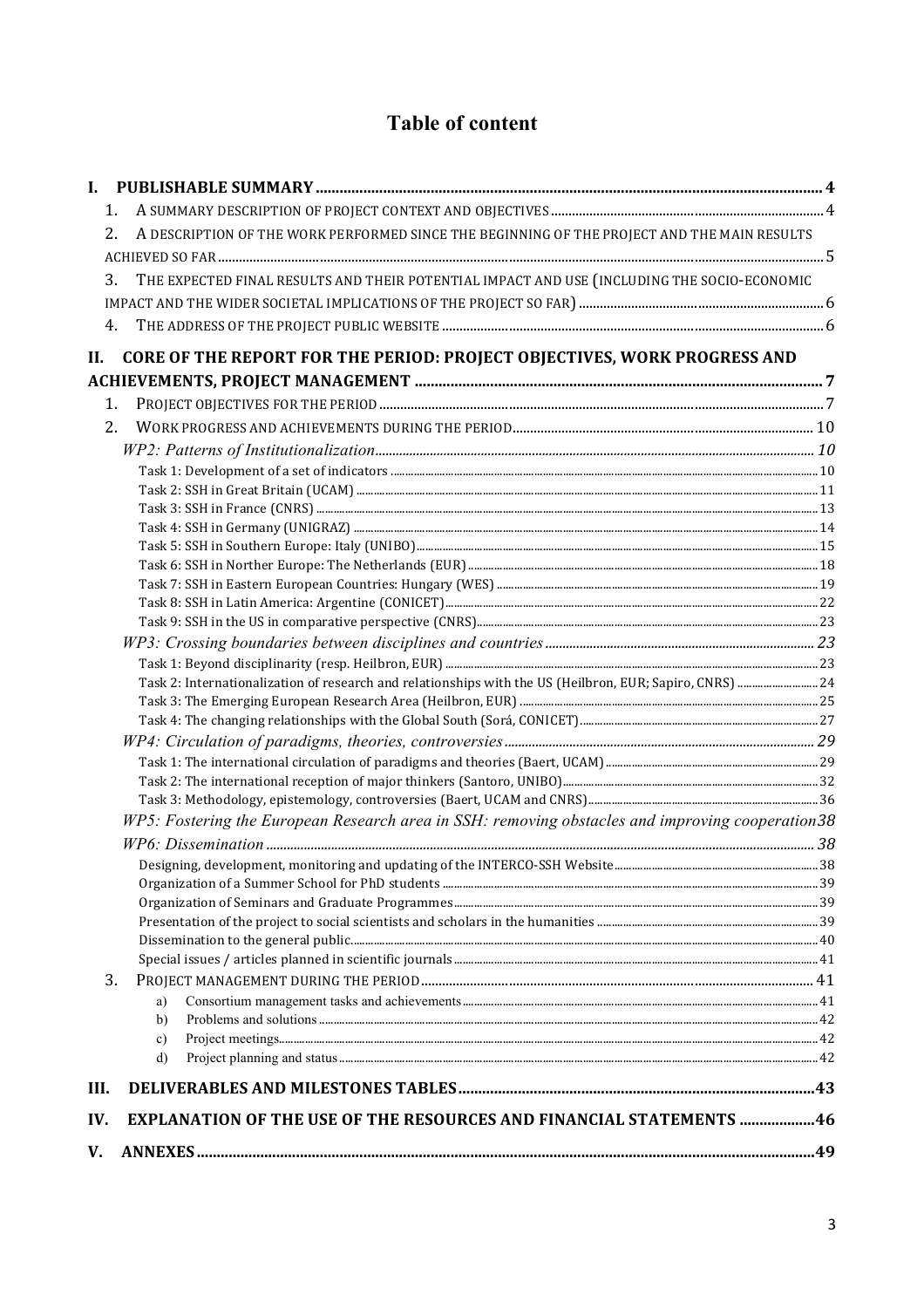# **Table of content**

| I.   |                                                                                                          |  |
|------|----------------------------------------------------------------------------------------------------------|--|
|      | 1.                                                                                                       |  |
|      | A DESCRIPTION OF THE WORK PERFORMED SINCE THE BEGINNING OF THE PROJECT AND THE MAIN RESULTS<br>2.        |  |
|      |                                                                                                          |  |
|      | THE EXPECTED FINAL RESULTS AND THEIR POTENTIAL IMPACT AND USE (INCLUDING THE SOCIO-ECONOMIC<br>3.        |  |
|      |                                                                                                          |  |
|      |                                                                                                          |  |
|      | 4.                                                                                                       |  |
| Н.   | CORE OF THE REPORT FOR THE PERIOD: PROJECT OBJECTIVES, WORK PROGRESS AND                                 |  |
|      |                                                                                                          |  |
|      | 1.                                                                                                       |  |
|      | 2.                                                                                                       |  |
|      |                                                                                                          |  |
|      |                                                                                                          |  |
|      |                                                                                                          |  |
|      |                                                                                                          |  |
|      |                                                                                                          |  |
|      |                                                                                                          |  |
|      |                                                                                                          |  |
|      |                                                                                                          |  |
|      |                                                                                                          |  |
|      |                                                                                                          |  |
|      |                                                                                                          |  |
|      |                                                                                                          |  |
|      | Task 2: Internationalization of research and relationships with the US (Heilbron, EUR; Sapiro, CNRS)  24 |  |
|      |                                                                                                          |  |
|      |                                                                                                          |  |
|      |                                                                                                          |  |
|      |                                                                                                          |  |
|      |                                                                                                          |  |
|      | WP5: Fostering the European Research area in SSH: removing obstacles and improving cooperation38         |  |
|      |                                                                                                          |  |
|      |                                                                                                          |  |
|      |                                                                                                          |  |
|      |                                                                                                          |  |
|      |                                                                                                          |  |
|      |                                                                                                          |  |
|      |                                                                                                          |  |
|      | 3.                                                                                                       |  |
|      | a)                                                                                                       |  |
|      | b)                                                                                                       |  |
|      | c)                                                                                                       |  |
|      | $\mathbf{d}$                                                                                             |  |
| III. |                                                                                                          |  |
| IV.  | EXPLANATION OF THE USE OF THE RESOURCES AND FINANCIAL STATEMENTS 46                                      |  |
| V.   |                                                                                                          |  |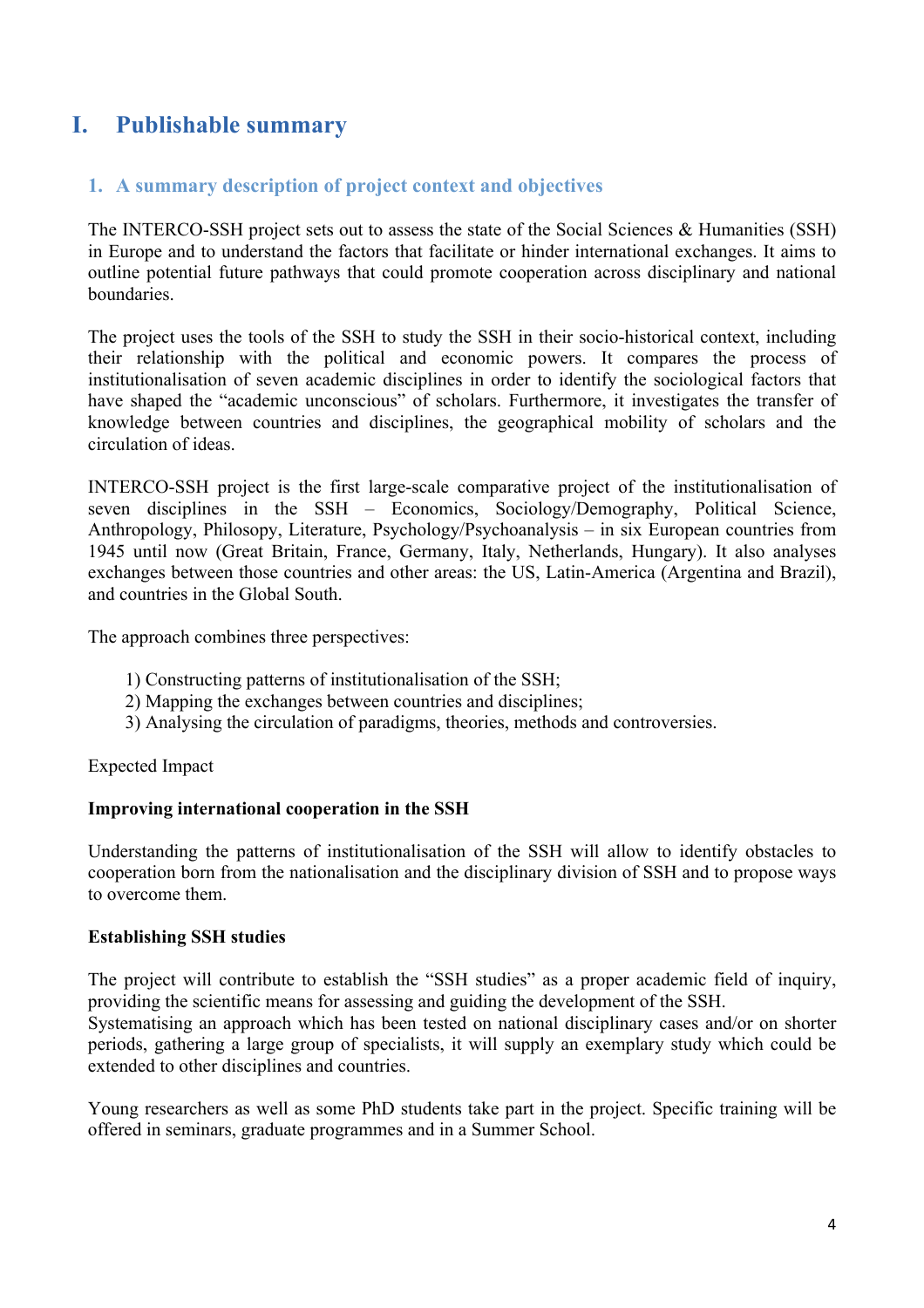# **I. Publishable summary**

# **1. A summary description of project context and objectives**

The INTERCO-SSH project sets out to assess the state of the Social Sciences & Humanities (SSH) in Europe and to understand the factors that facilitate or hinder international exchanges. It aims to outline potential future pathways that could promote cooperation across disciplinary and national boundaries.

The project uses the tools of the SSH to study the SSH in their socio-historical context, including their relationship with the political and economic powers. It compares the process of institutionalisation of seven academic disciplines in order to identify the sociological factors that have shaped the "academic unconscious" of scholars. Furthermore, it investigates the transfer of knowledge between countries and disciplines, the geographical mobility of scholars and the circulation of ideas.

INTERCO-SSH project is the first large-scale comparative project of the institutionalisation of seven disciplines in the SSH – Economics, Sociology/Demography, Political Science, Anthropology, Philosopy, Literature, Psychology/Psychoanalysis – in six European countries from 1945 until now (Great Britain, France, Germany, Italy, Netherlands, Hungary). It also analyses exchanges between those countries and other areas: the US, Latin-America (Argentina and Brazil), and countries in the Global South.

The approach combines three perspectives:

- 1) Constructing patterns of institutionalisation of the SSH;
- 2) Mapping the exchanges between countries and disciplines;
- 3) Analysing the circulation of paradigms, theories, methods and controversies.

Expected Impact

# **Improving international cooperation in the SSH**

Understanding the patterns of institutionalisation of the SSH will allow to identify obstacles to cooperation born from the nationalisation and the disciplinary division of SSH and to propose ways to overcome them.

# **Establishing SSH studies**

The project will contribute to establish the "SSH studies" as a proper academic field of inquiry, providing the scientific means for assessing and guiding the development of the SSH.

Systematising an approach which has been tested on national disciplinary cases and/or on shorter periods, gathering a large group of specialists, it will supply an exemplary study which could be extended to other disciplines and countries.

Young researchers as well as some PhD students take part in the project. Specific training will be offered in seminars, graduate programmes and in a Summer School.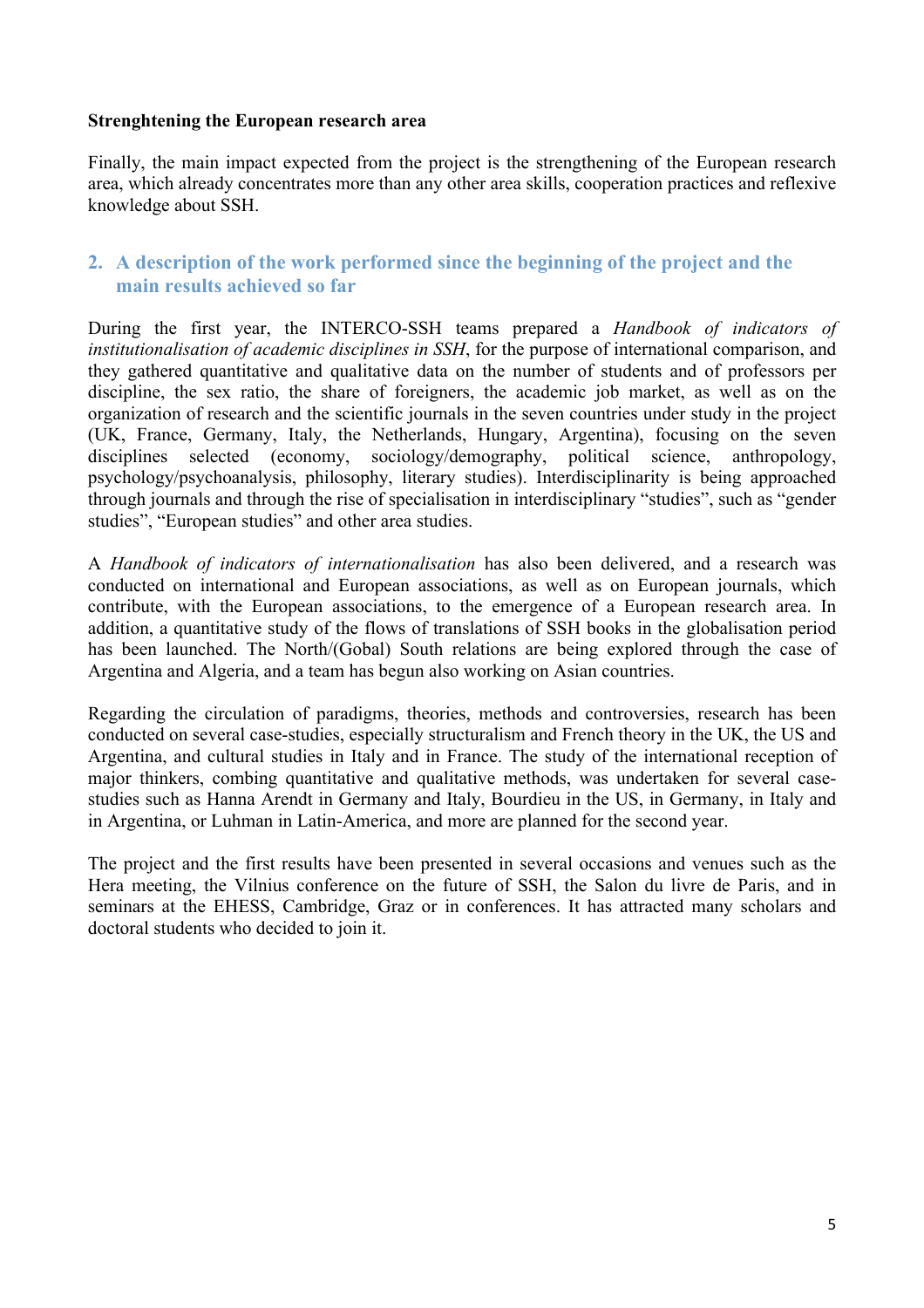#### **Strenghtening the European research area**

Finally, the main impact expected from the project is the strengthening of the European research area, which already concentrates more than any other area skills, cooperation practices and reflexive knowledge about SSH.

# **2. A description of the work performed since the beginning of the project and the main results achieved so far**

During the first year, the INTERCO-SSH teams prepared a *Handbook of indicators of institutionalisation of academic disciplines in SSH*, for the purpose of international comparison, and they gathered quantitative and qualitative data on the number of students and of professors per discipline, the sex ratio, the share of foreigners, the academic job market, as well as on the organization of research and the scientific journals in the seven countries under study in the project (UK, France, Germany, Italy, the Netherlands, Hungary, Argentina), focusing on the seven disciplines selected (economy, sociology/demography, political science, anthropology, psychology/psychoanalysis, philosophy, literary studies). Interdisciplinarity is being approached through journals and through the rise of specialisation in interdisciplinary "studies", such as "gender studies", "European studies" and other area studies.

A *Handbook of indicators of internationalisation* has also been delivered, and a research was conducted on international and European associations, as well as on European journals, which contribute, with the European associations, to the emergence of a European research area. In addition, a quantitative study of the flows of translations of SSH books in the globalisation period has been launched. The North/(Gobal) South relations are being explored through the case of Argentina and Algeria, and a team has begun also working on Asian countries.

Regarding the circulation of paradigms, theories, methods and controversies, research has been conducted on several case-studies, especially structuralism and French theory in the UK, the US and Argentina, and cultural studies in Italy and in France. The study of the international reception of major thinkers, combing quantitative and qualitative methods, was undertaken for several casestudies such as Hanna Arendt in Germany and Italy, Bourdieu in the US, in Germany, in Italy and in Argentina, or Luhman in Latin-America, and more are planned for the second year.

The project and the first results have been presented in several occasions and venues such as the Hera meeting, the Vilnius conference on the future of SSH, the Salon du livre de Paris, and in seminars at the EHESS, Cambridge, Graz or in conferences. It has attracted many scholars and doctoral students who decided to join it.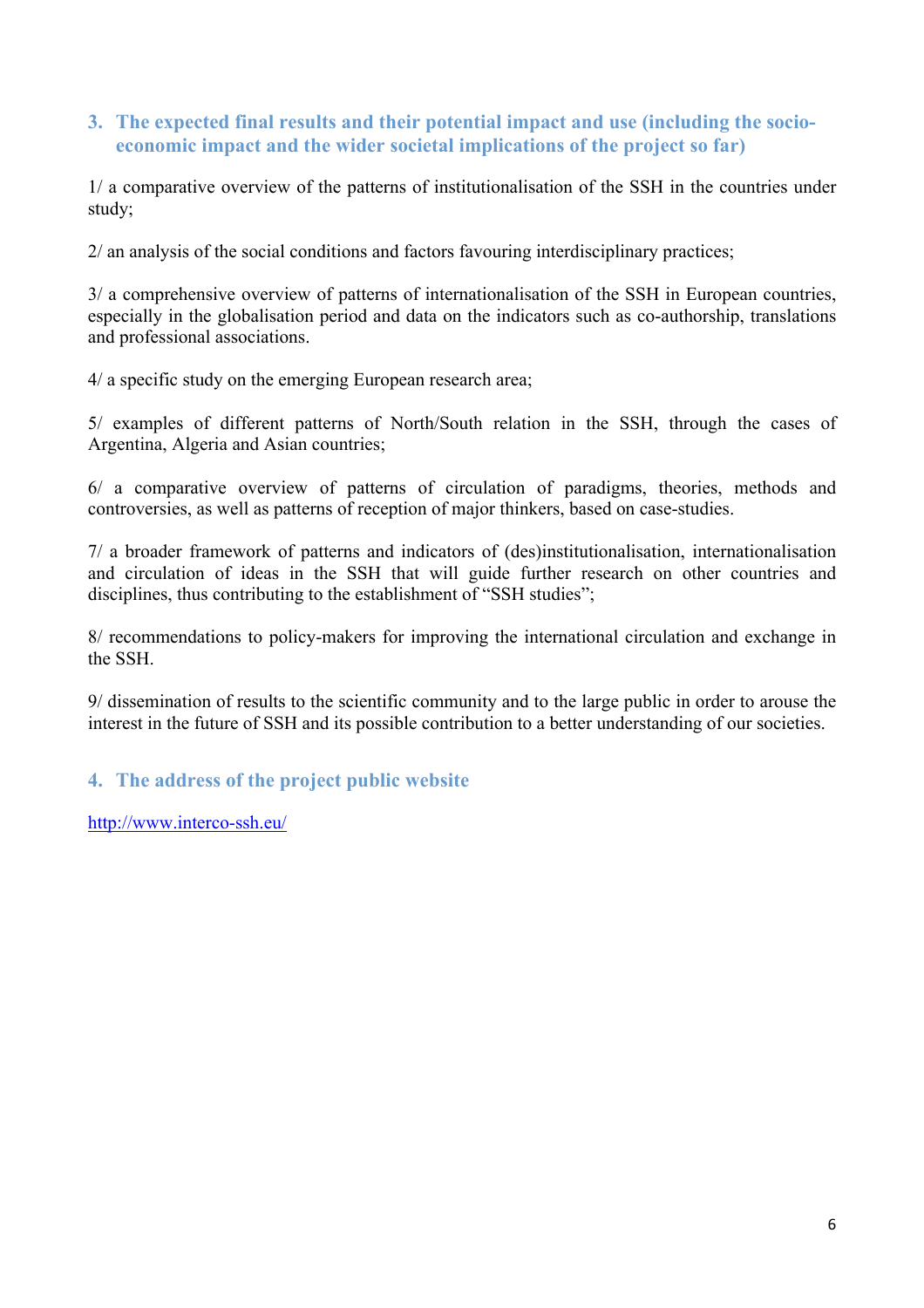# **3. The expected final results and their potential impact and use (including the socioeconomic impact and the wider societal implications of the project so far)**

1/ a comparative overview of the patterns of institutionalisation of the SSH in the countries under study;

2/ an analysis of the social conditions and factors favouring interdisciplinary practices;

3/ a comprehensive overview of patterns of internationalisation of the SSH in European countries, especially in the globalisation period and data on the indicators such as co-authorship, translations and professional associations.

4/ a specific study on the emerging European research area;

5/ examples of different patterns of North/South relation in the SSH, through the cases of Argentina, Algeria and Asian countries;

6/ a comparative overview of patterns of circulation of paradigms, theories, methods and controversies, as well as patterns of reception of major thinkers, based on case-studies.

7/ a broader framework of patterns and indicators of (des)institutionalisation, internationalisation and circulation of ideas in the SSH that will guide further research on other countries and disciplines, thus contributing to the establishment of "SSH studies";

8/ recommendations to policy-makers for improving the international circulation and exchange in the SSH.

9/ dissemination of results to the scientific community and to the large public in order to arouse the interest in the future of SSH and its possible contribution to a better understanding of our societies.

# **4. The address of the project public website**

http://www.interco-ssh.eu/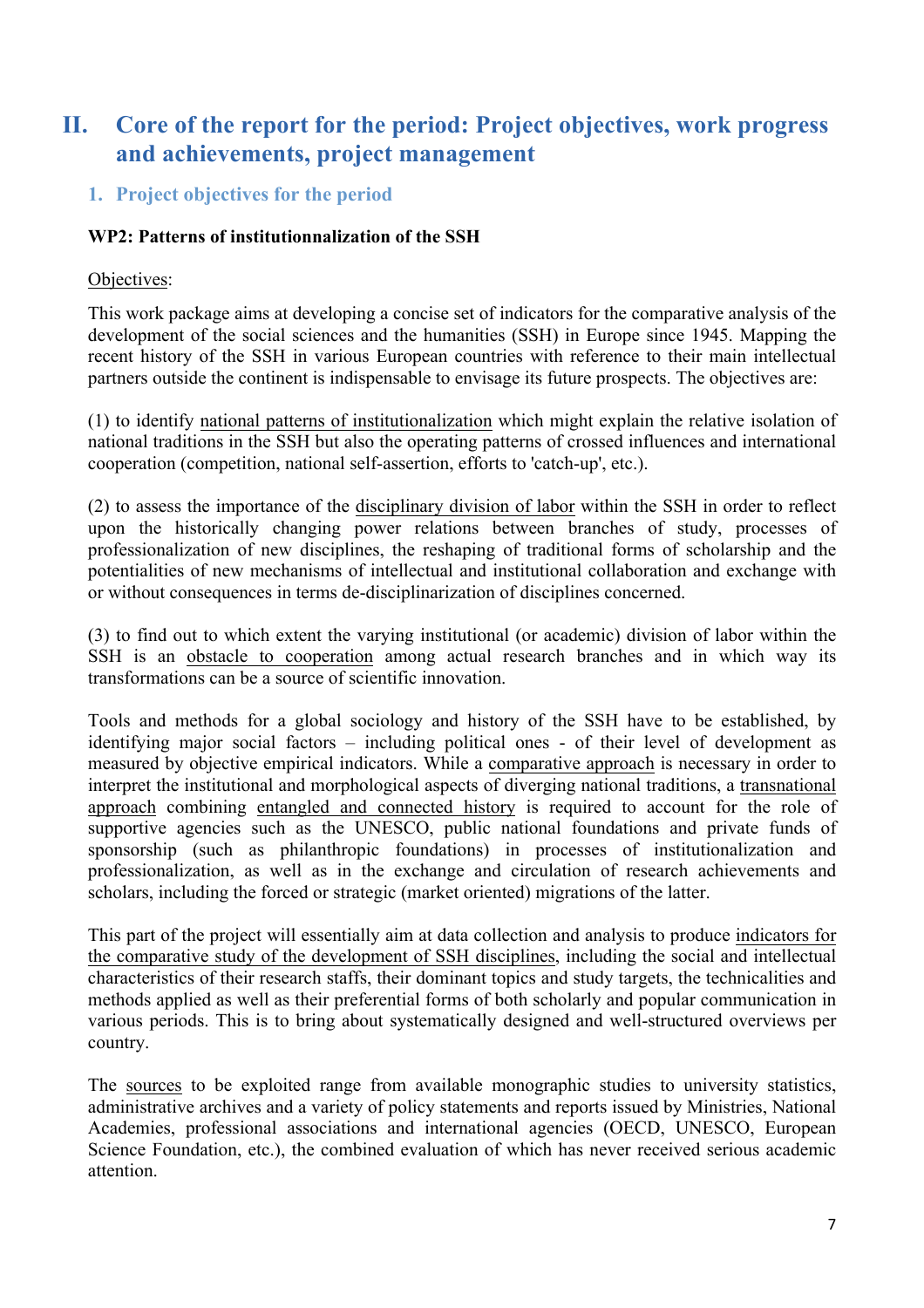# **II. Core of the report for the period: Project objectives, work progress and achievements, project management**

# **1. Project objectives for the period**

# **WP2: Patterns of institutionnalization of the SSH**

# Objectives:

This work package aims at developing a concise set of indicators for the comparative analysis of the development of the social sciences and the humanities (SSH) in Europe since 1945. Mapping the recent history of the SSH in various European countries with reference to their main intellectual partners outside the continent is indispensable to envisage its future prospects. The objectives are:

(1) to identify national patterns of institutionalization which might explain the relative isolation of national traditions in the SSH but also the operating patterns of crossed influences and international cooperation (competition, national self-assertion, efforts to 'catch-up', etc.).

(2) to assess the importance of the disciplinary division of labor within the SSH in order to reflect upon the historically changing power relations between branches of study, processes of professionalization of new disciplines, the reshaping of traditional forms of scholarship and the potentialities of new mechanisms of intellectual and institutional collaboration and exchange with or without consequences in terms de-disciplinarization of disciplines concerned.

(3) to find out to which extent the varying institutional (or academic) division of labor within the SSH is an obstacle to cooperation among actual research branches and in which way its transformations can be a source of scientific innovation.

Tools and methods for a global sociology and history of the SSH have to be established, by identifying major social factors – including political ones - of their level of development as measured by objective empirical indicators. While a comparative approach is necessary in order to interpret the institutional and morphological aspects of diverging national traditions, a transnational approach combining entangled and connected history is required to account for the role of supportive agencies such as the UNESCO, public national foundations and private funds of sponsorship (such as philanthropic foundations) in processes of institutionalization and professionalization, as well as in the exchange and circulation of research achievements and scholars, including the forced or strategic (market oriented) migrations of the latter.

This part of the project will essentially aim at data collection and analysis to produce indicators for the comparative study of the development of SSH disciplines, including the social and intellectual characteristics of their research staffs, their dominant topics and study targets, the technicalities and methods applied as well as their preferential forms of both scholarly and popular communication in various periods. This is to bring about systematically designed and well-structured overviews per country.

The sources to be exploited range from available monographic studies to university statistics, administrative archives and a variety of policy statements and reports issued by Ministries, National Academies, professional associations and international agencies (OECD, UNESCO, European Science Foundation, etc.), the combined evaluation of which has never received serious academic attention.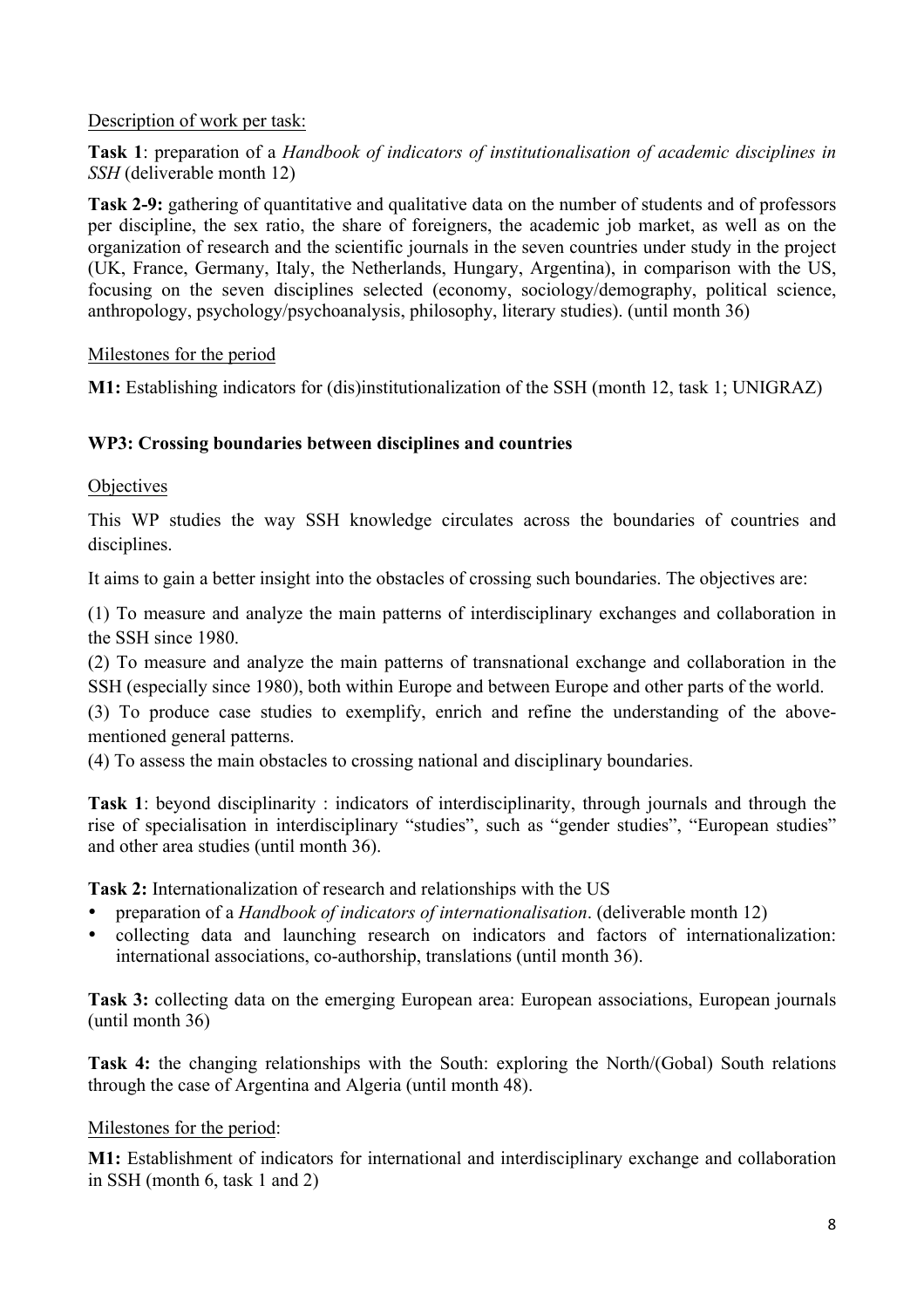# Description of work per task:

**Task 1**: preparation of a *Handbook of indicators of institutionalisation of academic disciplines in SSH* (deliverable month 12)

**Task 2-9:** gathering of quantitative and qualitative data on the number of students and of professors per discipline, the sex ratio, the share of foreigners, the academic job market, as well as on the organization of research and the scientific journals in the seven countries under study in the project (UK, France, Germany, Italy, the Netherlands, Hungary, Argentina), in comparison with the US, focusing on the seven disciplines selected (economy, sociology/demography, political science, anthropology, psychology/psychoanalysis, philosophy, literary studies). (until month 36)

Milestones for the period

**M1:** Establishing indicators for (dis)institutionalization of the SSH (month 12, task 1; UNIGRAZ)

# **WP3: Crossing boundaries between disciplines and countries**

# **Objectives**

This WP studies the way SSH knowledge circulates across the boundaries of countries and disciplines.

It aims to gain a better insight into the obstacles of crossing such boundaries. The objectives are:

(1) To measure and analyze the main patterns of interdisciplinary exchanges and collaboration in the SSH since 1980.

(2) To measure and analyze the main patterns of transnational exchange and collaboration in the SSH (especially since 1980), both within Europe and between Europe and other parts of the world.

(3) To produce case studies to exemplify, enrich and refine the understanding of the abovementioned general patterns.

(4) To assess the main obstacles to crossing national and disciplinary boundaries.

**Task 1**: beyond disciplinarity : indicators of interdisciplinarity, through journals and through the rise of specialisation in interdisciplinary "studies", such as "gender studies", "European studies" and other area studies (until month 36).

**Task 2:** Internationalization of research and relationships with the US

- preparation of a *Handbook of indicators of internationalisation*. (deliverable month 12)
- collecting data and launching research on indicators and factors of internationalization: international associations, co-authorship, translations (until month 36).

**Task 3:** collecting data on the emerging European area: European associations, European journals (until month 36)

**Task 4:** the changing relationships with the South: exploring the North/(Gobal) South relations through the case of Argentina and Algeria (until month 48).

#### Milestones for the period:

**M1:** Establishment of indicators for international and interdisciplinary exchange and collaboration in SSH (month 6, task 1 and 2)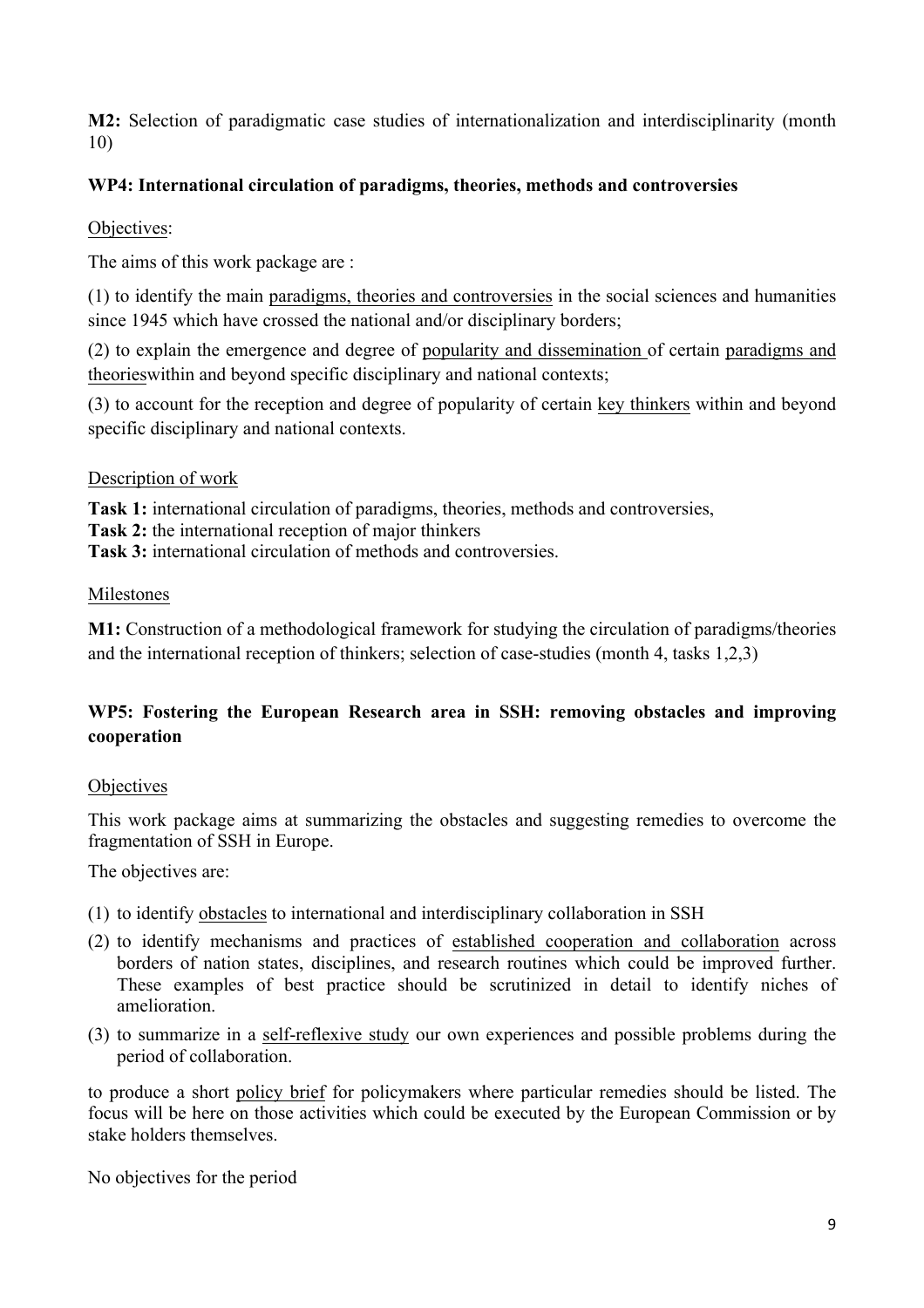**M2:** Selection of paradigmatic case studies of internationalization and interdisciplinarity (month 10)

# **WP4: International circulation of paradigms, theories, methods and controversies**

Objectives:

The aims of this work package are :

(1) to identify the main paradigms, theories and controversies in the social sciences and humanities since 1945 which have crossed the national and/or disciplinary borders;

(2) to explain the emergence and degree of popularity and dissemination of certain paradigms and theorieswithin and beyond specific disciplinary and national contexts;

(3) to account for the reception and degree of popularity of certain key thinkers within and beyond specific disciplinary and national contexts.

# Description of work

**Task 1:** international circulation of paradigms, theories, methods and controversies,

**Task 2:** the international reception of major thinkers

**Task 3:** international circulation of methods and controversies.

# Milestones

**M1:** Construction of a methodological framework for studying the circulation of paradigms/theories and the international reception of thinkers; selection of case-studies (month 4, tasks 1,2,3)

# **WP5: Fostering the European Research area in SSH: removing obstacles and improving cooperation**

# **Objectives**

This work package aims at summarizing the obstacles and suggesting remedies to overcome the fragmentation of SSH in Europe.

The objectives are:

- (1) to identify obstacles to international and interdisciplinary collaboration in SSH
- (2) to identify mechanisms and practices of established cooperation and collaboration across borders of nation states, disciplines, and research routines which could be improved further. These examples of best practice should be scrutinized in detail to identify niches of amelioration.
- (3) to summarize in a self-reflexive study our own experiences and possible problems during the period of collaboration.

to produce a short policy brief for policymakers where particular remedies should be listed. The focus will be here on those activities which could be executed by the European Commission or by stake holders themselves.

No objectives for the period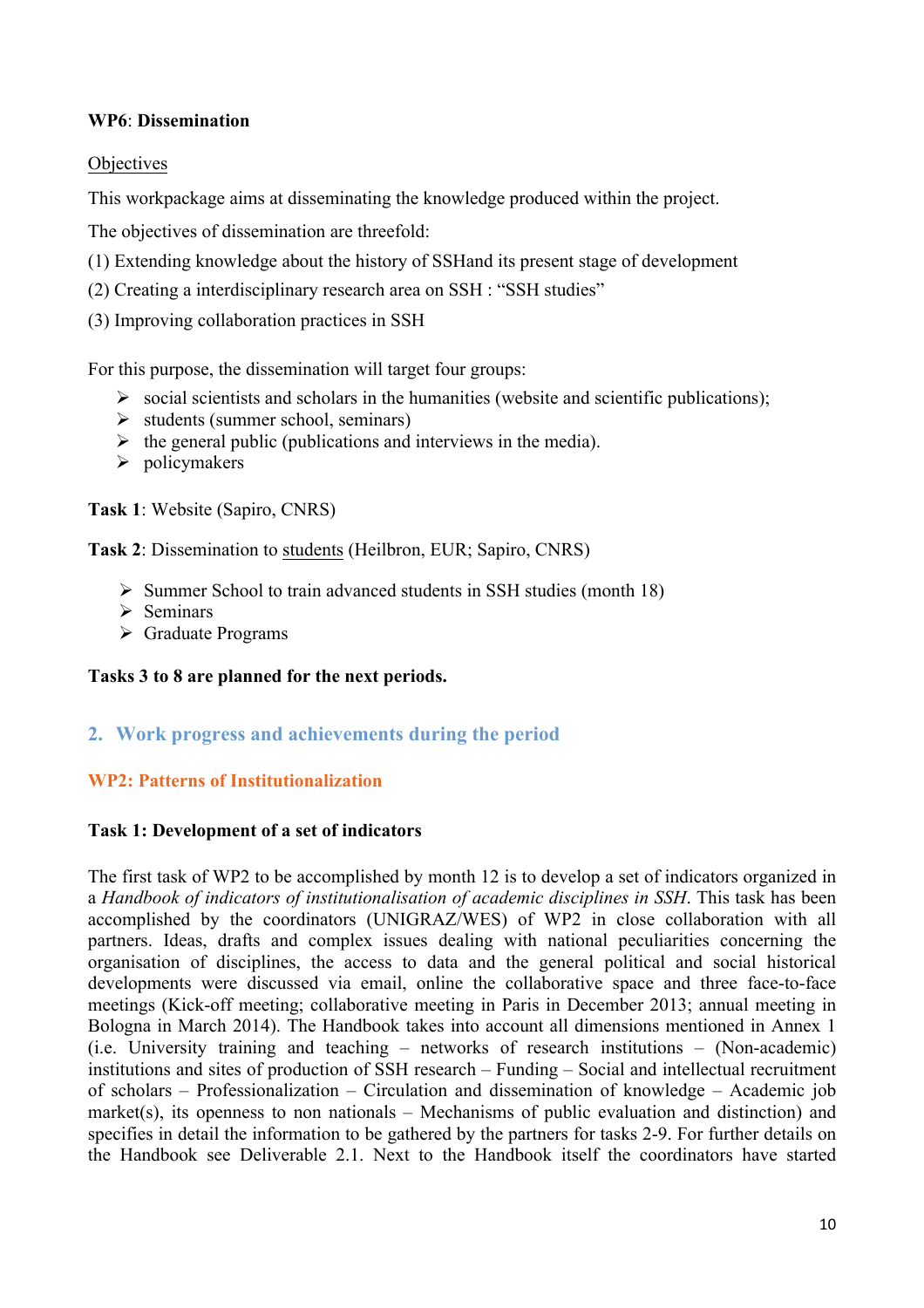# **WP6**: **Dissemination**

# **Objectives**

This workpackage aims at disseminating the knowledge produced within the project.

The objectives of dissemination are threefold:

- (1) Extending knowledge about the history of SSHand its present stage of development
- (2) Creating a interdisciplinary research area on SSH : "SSH studies"
- (3) Improving collaboration practices in SSH

For this purpose, the dissemination will target four groups:

- $\triangleright$  social scientists and scholars in the humanities (website and scientific publications);
- $\triangleright$  students (summer school, seminars)
- $\triangleright$  the general public (publications and interviews in the media).
- $\triangleright$  policymakers

**Task 1**: Website (Sapiro, CNRS)

**Task 2**: Dissemination to students (Heilbron, EUR; Sapiro, CNRS)

- $\triangleright$  Summer School to train advanced students in SSH studies (month 18)
- $\triangleright$  Seminars
- $\triangleright$  Graduate Programs

# **Tasks 3 to 8 are planned for the next periods.**

# **2. Work progress and achievements during the period**

# **WP2: Patterns of Institutionalization**

#### **Task 1: Development of a set of indicators**

The first task of WP2 to be accomplished by month 12 is to develop a set of indicators organized in a *Handbook of indicators of institutionalisation of academic disciplines in SSH*. This task has been accomplished by the coordinators (UNIGRAZ/WES) of WP2 in close collaboration with all partners. Ideas, drafts and complex issues dealing with national peculiarities concerning the organisation of disciplines, the access to data and the general political and social historical developments were discussed via email, online the collaborative space and three face-to-face meetings (Kick-off meeting; collaborative meeting in Paris in December 2013; annual meeting in Bologna in March 2014). The Handbook takes into account all dimensions mentioned in Annex 1 (i.e. University training and teaching – networks of research institutions – (Non-academic) institutions and sites of production of SSH research – Funding – Social and intellectual recruitment of scholars – Professionalization – Circulation and dissemination of knowledge – Academic job market(s), its openness to non nationals – Mechanisms of public evaluation and distinction) and specifies in detail the information to be gathered by the partners for tasks 2-9. For further details on the Handbook see Deliverable 2.1. Next to the Handbook itself the coordinators have started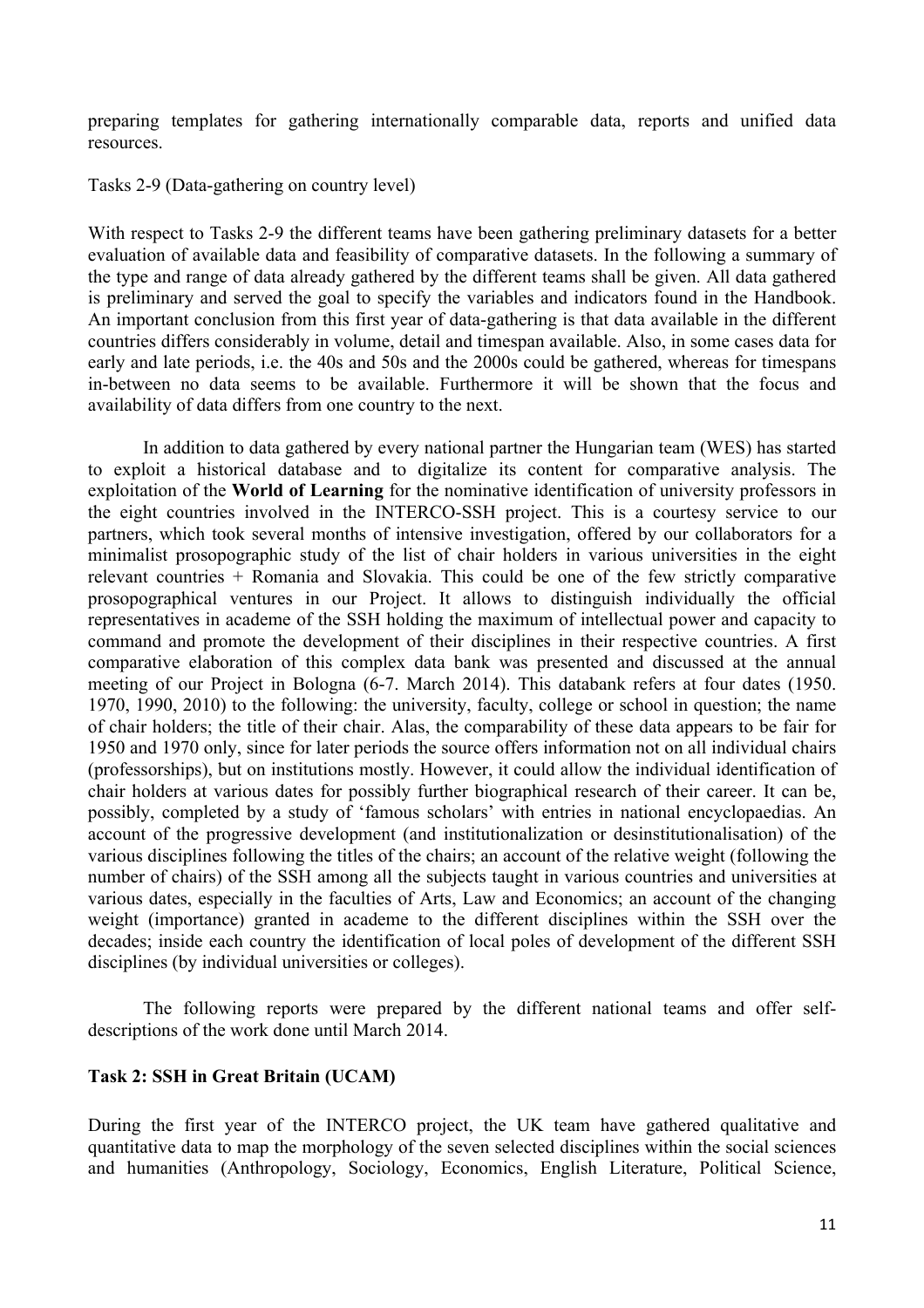preparing templates for gathering internationally comparable data, reports and unified data resources.

Tasks 2-9 (Data-gathering on country level)

With respect to Tasks 2-9 the different teams have been gathering preliminary datasets for a better evaluation of available data and feasibility of comparative datasets. In the following a summary of the type and range of data already gathered by the different teams shall be given. All data gathered is preliminary and served the goal to specify the variables and indicators found in the Handbook. An important conclusion from this first year of data-gathering is that data available in the different countries differs considerably in volume, detail and timespan available. Also, in some cases data for early and late periods, i.e. the 40s and 50s and the 2000s could be gathered, whereas for timespans in-between no data seems to be available. Furthermore it will be shown that the focus and availability of data differs from one country to the next.

In addition to data gathered by every national partner the Hungarian team (WES) has started to exploit a historical database and to digitalize its content for comparative analysis. The exploitation of the **World of Learning** for the nominative identification of university professors in the eight countries involved in the INTERCO-SSH project. This is a courtesy service to our partners, which took several months of intensive investigation, offered by our collaborators for a minimalist prosopographic study of the list of chair holders in various universities in the eight relevant countries + Romania and Slovakia. This could be one of the few strictly comparative prosopographical ventures in our Project. It allows to distinguish individually the official representatives in academe of the SSH holding the maximum of intellectual power and capacity to command and promote the development of their disciplines in their respective countries. A first comparative elaboration of this complex data bank was presented and discussed at the annual meeting of our Project in Bologna (6-7. March 2014). This databank refers at four dates (1950. 1970, 1990, 2010) to the following: the university, faculty, college or school in question; the name of chair holders; the title of their chair. Alas, the comparability of these data appears to be fair for 1950 and 1970 only, since for later periods the source offers information not on all individual chairs (professorships), but on institutions mostly. However, it could allow the individual identification of chair holders at various dates for possibly further biographical research of their career. It can be, possibly, completed by a study of 'famous scholars' with entries in national encyclopaedias. An account of the progressive development (and institutionalization or desinstitutionalisation) of the various disciplines following the titles of the chairs; an account of the relative weight (following the number of chairs) of the SSH among all the subjects taught in various countries and universities at various dates, especially in the faculties of Arts, Law and Economics; an account of the changing weight (importance) granted in academe to the different disciplines within the SSH over the decades; inside each country the identification of local poles of development of the different SSH disciplines (by individual universities or colleges).

The following reports were prepared by the different national teams and offer selfdescriptions of the work done until March 2014.

#### **Task 2: SSH in Great Britain (UCAM)**

During the first year of the INTERCO project, the UK team have gathered qualitative and quantitative data to map the morphology of the seven selected disciplines within the social sciences and humanities (Anthropology, Sociology, Economics, English Literature, Political Science,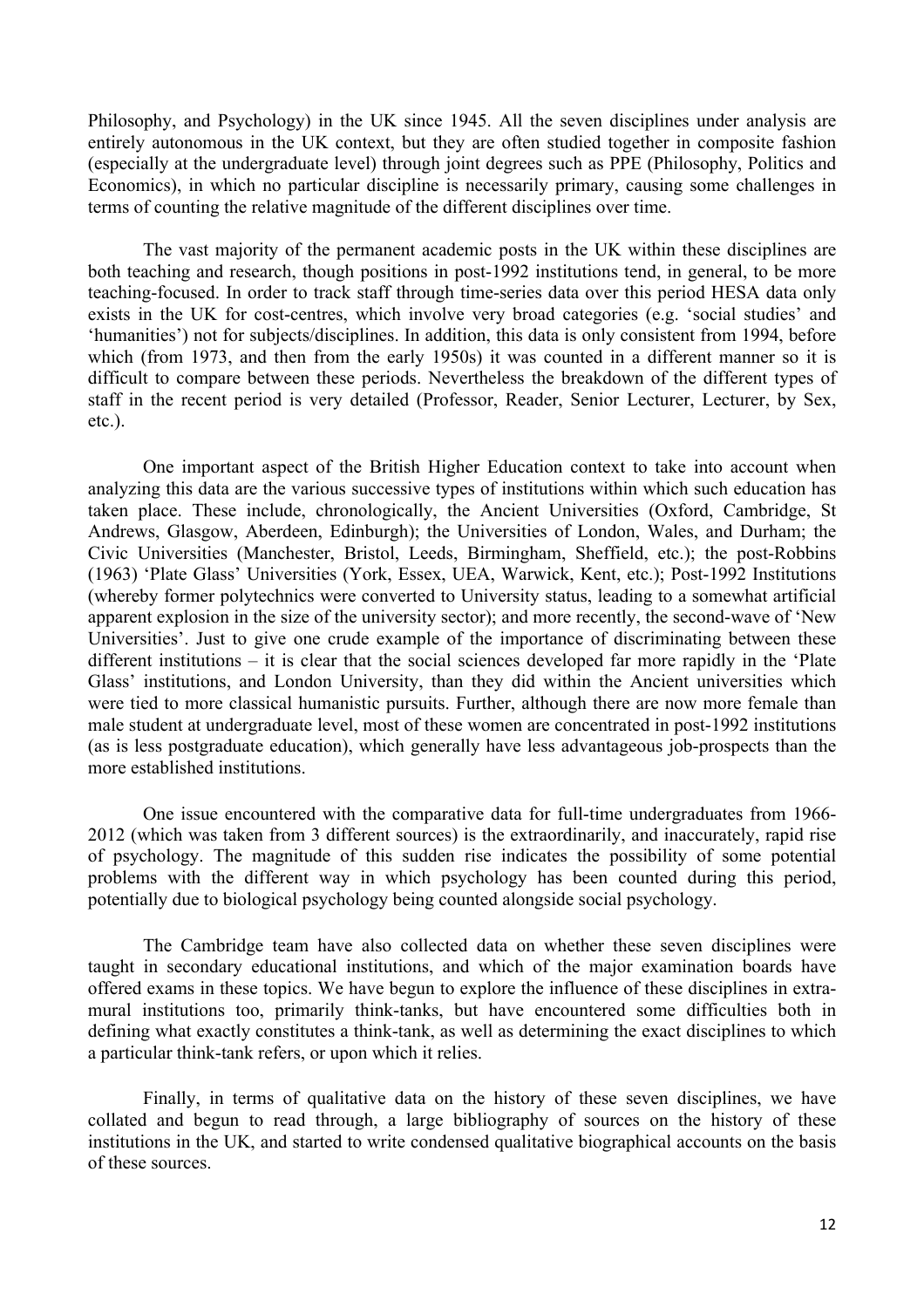Philosophy, and Psychology) in the UK since 1945. All the seven disciplines under analysis are entirely autonomous in the UK context, but they are often studied together in composite fashion (especially at the undergraduate level) through joint degrees such as PPE (Philosophy, Politics and Economics), in which no particular discipline is necessarily primary, causing some challenges in terms of counting the relative magnitude of the different disciplines over time.

The vast majority of the permanent academic posts in the UK within these disciplines are both teaching and research, though positions in post-1992 institutions tend, in general, to be more teaching-focused. In order to track staff through time-series data over this period HESA data only exists in the UK for cost-centres, which involve very broad categories (e.g. 'social studies' and 'humanities') not for subjects/disciplines. In addition, this data is only consistent from 1994, before which (from 1973, and then from the early 1950s) it was counted in a different manner so it is difficult to compare between these periods. Nevertheless the breakdown of the different types of staff in the recent period is very detailed (Professor, Reader, Senior Lecturer, Lecturer, by Sex, etc.).

One important aspect of the British Higher Education context to take into account when analyzing this data are the various successive types of institutions within which such education has taken place. These include, chronologically, the Ancient Universities (Oxford, Cambridge, St Andrews, Glasgow, Aberdeen, Edinburgh); the Universities of London, Wales, and Durham; the Civic Universities (Manchester, Bristol, Leeds, Birmingham, Sheffield, etc.); the post-Robbins (1963) 'Plate Glass' Universities (York, Essex, UEA, Warwick, Kent, etc.); Post-1992 Institutions (whereby former polytechnics were converted to University status, leading to a somewhat artificial apparent explosion in the size of the university sector); and more recently, the second-wave of 'New Universities'. Just to give one crude example of the importance of discriminating between these different institutions – it is clear that the social sciences developed far more rapidly in the 'Plate Glass' institutions, and London University, than they did within the Ancient universities which were tied to more classical humanistic pursuits. Further, although there are now more female than male student at undergraduate level, most of these women are concentrated in post-1992 institutions (as is less postgraduate education), which generally have less advantageous job-prospects than the more established institutions.

One issue encountered with the comparative data for full-time undergraduates from 1966- 2012 (which was taken from 3 different sources) is the extraordinarily, and inaccurately, rapid rise of psychology. The magnitude of this sudden rise indicates the possibility of some potential problems with the different way in which psychology has been counted during this period, potentially due to biological psychology being counted alongside social psychology.

The Cambridge team have also collected data on whether these seven disciplines were taught in secondary educational institutions, and which of the major examination boards have offered exams in these topics. We have begun to explore the influence of these disciplines in extramural institutions too, primarily think-tanks, but have encountered some difficulties both in defining what exactly constitutes a think-tank, as well as determining the exact disciplines to which a particular think-tank refers, or upon which it relies.

Finally, in terms of qualitative data on the history of these seven disciplines, we have collated and begun to read through, a large bibliography of sources on the history of these institutions in the UK, and started to write condensed qualitative biographical accounts on the basis of these sources.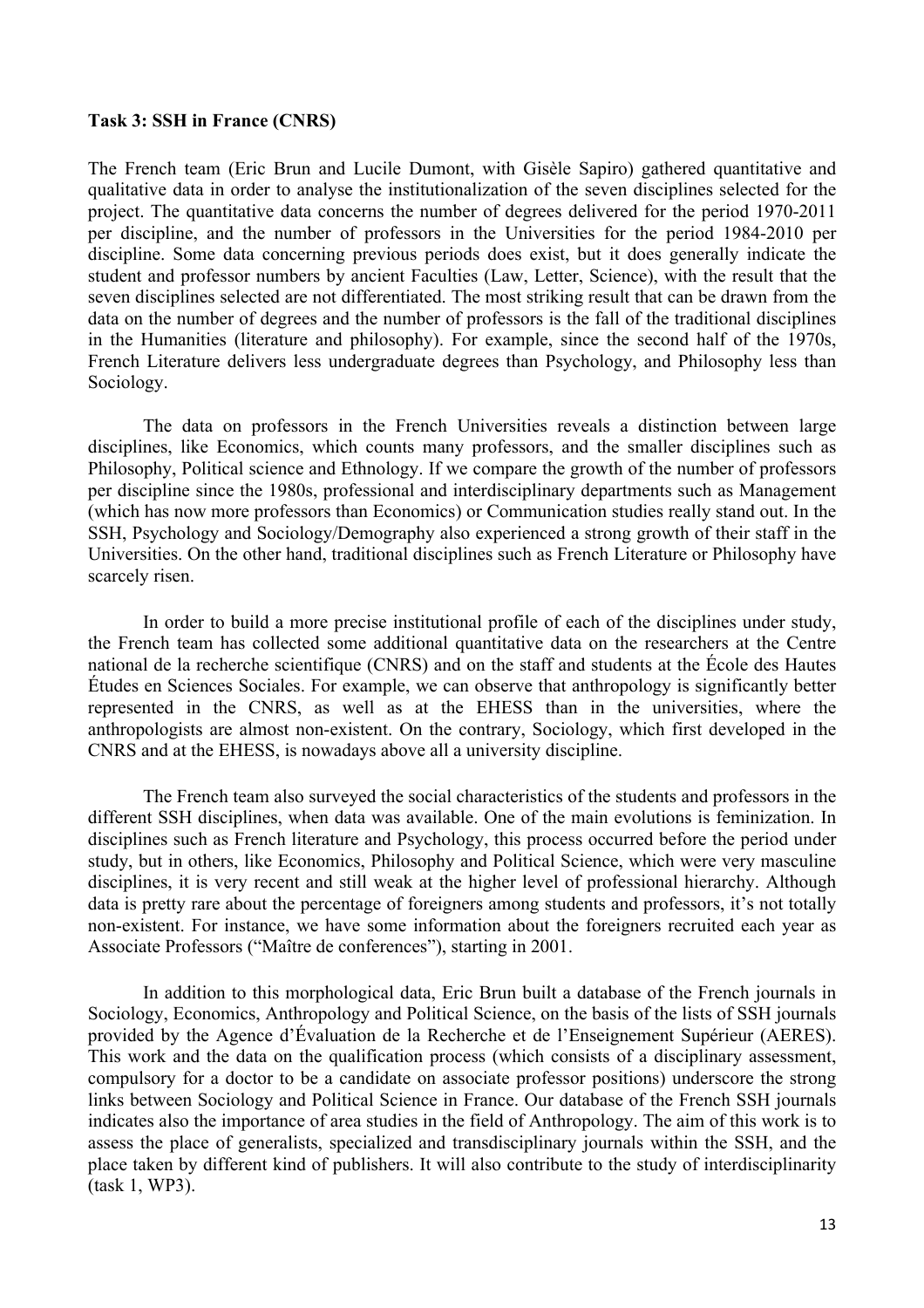#### **Task 3: SSH in France (CNRS)**

The French team (Eric Brun and Lucile Dumont, with Gisèle Sapiro) gathered quantitative and qualitative data in order to analyse the institutionalization of the seven disciplines selected for the project. The quantitative data concerns the number of degrees delivered for the period 1970-2011 per discipline, and the number of professors in the Universities for the period 1984-2010 per discipline. Some data concerning previous periods does exist, but it does generally indicate the student and professor numbers by ancient Faculties (Law, Letter, Science), with the result that the seven disciplines selected are not differentiated. The most striking result that can be drawn from the data on the number of degrees and the number of professors is the fall of the traditional disciplines in the Humanities (literature and philosophy). For example, since the second half of the 1970s, French Literature delivers less undergraduate degrees than Psychology, and Philosophy less than Sociology.

The data on professors in the French Universities reveals a distinction between large disciplines, like Economics, which counts many professors, and the smaller disciplines such as Philosophy, Political science and Ethnology. If we compare the growth of the number of professors per discipline since the 1980s, professional and interdisciplinary departments such as Management (which has now more professors than Economics) or Communication studies really stand out. In the SSH, Psychology and Sociology/Demography also experienced a strong growth of their staff in the Universities. On the other hand, traditional disciplines such as French Literature or Philosophy have scarcely risen.

In order to build a more precise institutional profile of each of the disciplines under study, the French team has collected some additional quantitative data on the researchers at the Centre national de la recherche scientifique (CNRS) and on the staff and students at the École des Hautes Études en Sciences Sociales. For example, we can observe that anthropology is significantly better represented in the CNRS, as well as at the EHESS than in the universities, where the anthropologists are almost non-existent. On the contrary, Sociology, which first developed in the CNRS and at the EHESS, is nowadays above all a university discipline.

The French team also surveyed the social characteristics of the students and professors in the different SSH disciplines, when data was available. One of the main evolutions is feminization. In disciplines such as French literature and Psychology, this process occurred before the period under study, but in others, like Economics, Philosophy and Political Science, which were very masculine disciplines, it is very recent and still weak at the higher level of professional hierarchy. Although data is pretty rare about the percentage of foreigners among students and professors, it's not totally non-existent. For instance, we have some information about the foreigners recruited each year as Associate Professors ("Maître de conferences"), starting in 2001.

In addition to this morphological data, Eric Brun built a database of the French journals in Sociology, Economics, Anthropology and Political Science, on the basis of the lists of SSH journals provided by the Agence d'Évaluation de la Recherche et de l'Enseignement Supérieur (AERES). This work and the data on the qualification process (which consists of a disciplinary assessment, compulsory for a doctor to be a candidate on associate professor positions) underscore the strong links between Sociology and Political Science in France. Our database of the French SSH journals indicates also the importance of area studies in the field of Anthropology. The aim of this work is to assess the place of generalists, specialized and transdisciplinary journals within the SSH, and the place taken by different kind of publishers. It will also contribute to the study of interdisciplinarity (task 1, WP3).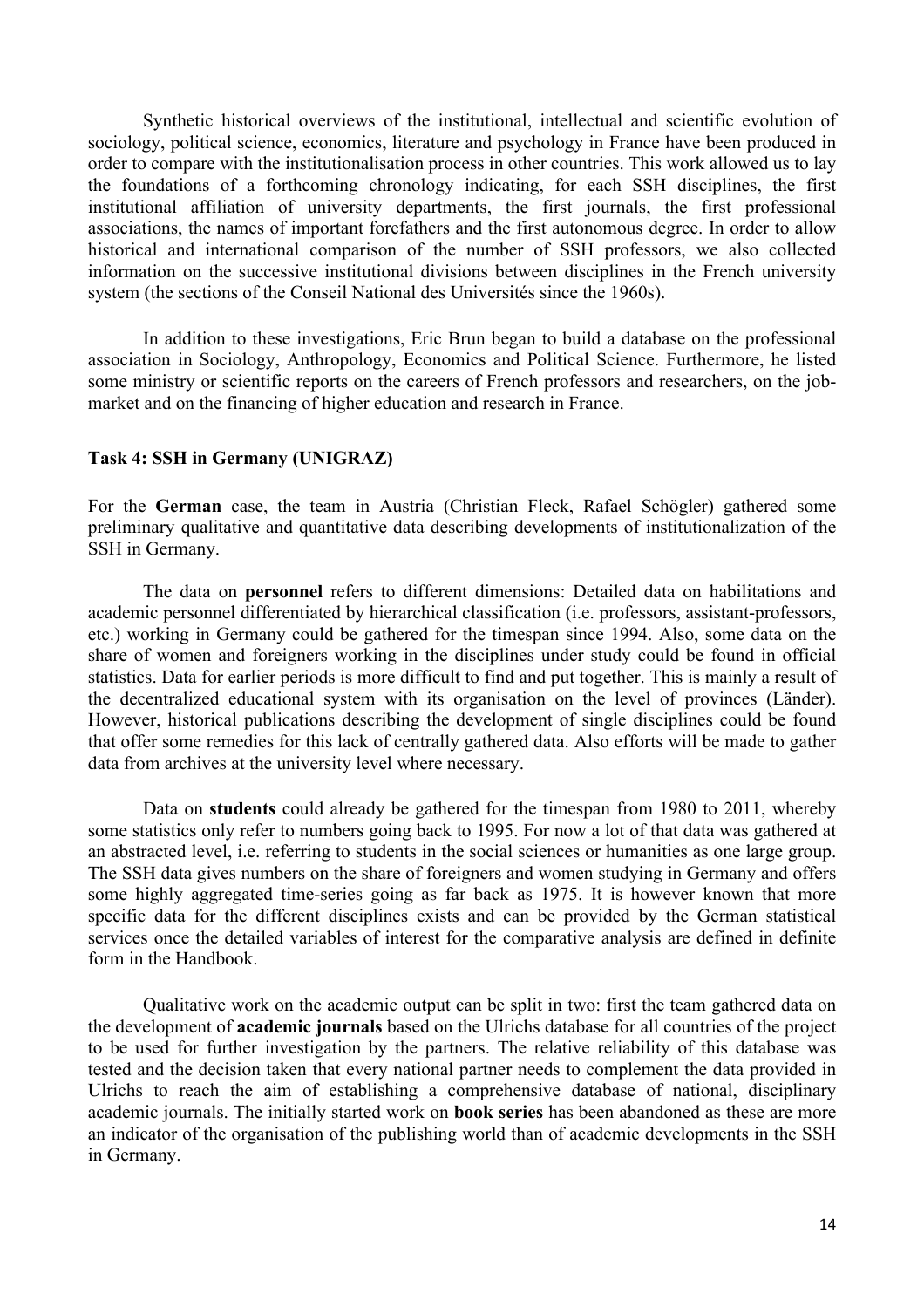Synthetic historical overviews of the institutional, intellectual and scientific evolution of sociology, political science, economics, literature and psychology in France have been produced in order to compare with the institutionalisation process in other countries. This work allowed us to lay the foundations of a forthcoming chronology indicating, for each SSH disciplines, the first institutional affiliation of university departments, the first journals, the first professional associations, the names of important forefathers and the first autonomous degree. In order to allow historical and international comparison of the number of SSH professors, we also collected information on the successive institutional divisions between disciplines in the French university system (the sections of the Conseil National des Universités since the 1960s).

In addition to these investigations, Eric Brun began to build a database on the professional association in Sociology, Anthropology, Economics and Political Science. Furthermore, he listed some ministry or scientific reports on the careers of French professors and researchers, on the jobmarket and on the financing of higher education and research in France.

#### **Task 4: SSH in Germany (UNIGRAZ)**

For the **German** case, the team in Austria (Christian Fleck, Rafael Schögler) gathered some preliminary qualitative and quantitative data describing developments of institutionalization of the SSH in Germany.

The data on **personnel** refers to different dimensions: Detailed data on habilitations and academic personnel differentiated by hierarchical classification (i.e. professors, assistant-professors, etc.) working in Germany could be gathered for the timespan since 1994. Also, some data on the share of women and foreigners working in the disciplines under study could be found in official statistics. Data for earlier periods is more difficult to find and put together. This is mainly a result of the decentralized educational system with its organisation on the level of provinces (Länder). However, historical publications describing the development of single disciplines could be found that offer some remedies for this lack of centrally gathered data. Also efforts will be made to gather data from archives at the university level where necessary.

Data on **students** could already be gathered for the timespan from 1980 to 2011, whereby some statistics only refer to numbers going back to 1995. For now a lot of that data was gathered at an abstracted level, i.e. referring to students in the social sciences or humanities as one large group. The SSH data gives numbers on the share of foreigners and women studying in Germany and offers some highly aggregated time-series going as far back as 1975. It is however known that more specific data for the different disciplines exists and can be provided by the German statistical services once the detailed variables of interest for the comparative analysis are defined in definite form in the Handbook.

Qualitative work on the academic output can be split in two: first the team gathered data on the development of **academic journals** based on the Ulrichs database for all countries of the project to be used for further investigation by the partners. The relative reliability of this database was tested and the decision taken that every national partner needs to complement the data provided in Ulrichs to reach the aim of establishing a comprehensive database of national, disciplinary academic journals. The initially started work on **book series** has been abandoned as these are more an indicator of the organisation of the publishing world than of academic developments in the SSH in Germany.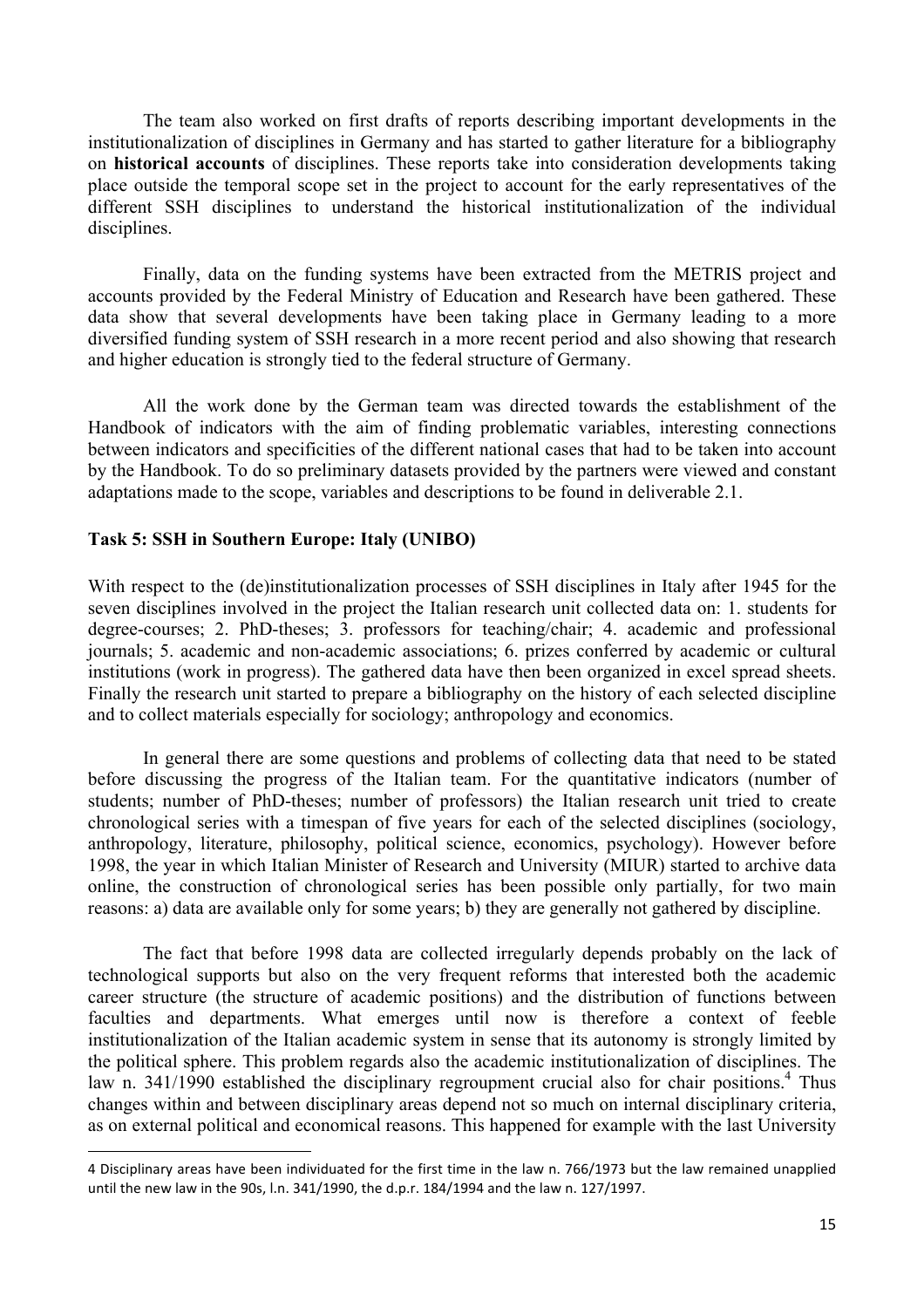The team also worked on first drafts of reports describing important developments in the institutionalization of disciplines in Germany and has started to gather literature for a bibliography on **historical accounts** of disciplines. These reports take into consideration developments taking place outside the temporal scope set in the project to account for the early representatives of the different SSH disciplines to understand the historical institutionalization of the individual disciplines.

Finally, data on the funding systems have been extracted from the METRIS project and accounts provided by the Federal Ministry of Education and Research have been gathered. These data show that several developments have been taking place in Germany leading to a more diversified funding system of SSH research in a more recent period and also showing that research and higher education is strongly tied to the federal structure of Germany.

All the work done by the German team was directed towards the establishment of the Handbook of indicators with the aim of finding problematic variables, interesting connections between indicators and specificities of the different national cases that had to be taken into account by the Handbook. To do so preliminary datasets provided by the partners were viewed and constant adaptations made to the scope, variables and descriptions to be found in deliverable 2.1.

#### **Task 5: SSH in Southern Europe: Italy (UNIBO)**

<u> 1989 - Jan Samuel Barbara, margaret e</u>

With respect to the (de)institutionalization processes of SSH disciplines in Italy after 1945 for the seven disciplines involved in the project the Italian research unit collected data on: 1. students for degree-courses; 2. PhD-theses; 3. professors for teaching/chair; 4. academic and professional journals; 5. academic and non-academic associations; 6. prizes conferred by academic or cultural institutions (work in progress). The gathered data have then been organized in excel spread sheets. Finally the research unit started to prepare a bibliography on the history of each selected discipline and to collect materials especially for sociology; anthropology and economics.

In general there are some questions and problems of collecting data that need to be stated before discussing the progress of the Italian team. For the quantitative indicators (number of students; number of PhD-theses; number of professors) the Italian research unit tried to create chronological series with a timespan of five years for each of the selected disciplines (sociology, anthropology, literature, philosophy, political science, economics, psychology). However before 1998, the year in which Italian Minister of Research and University (MIUR) started to archive data online, the construction of chronological series has been possible only partially, for two main reasons: a) data are available only for some years; b) they are generally not gathered by discipline.

The fact that before 1998 data are collected irregularly depends probably on the lack of technological supports but also on the very frequent reforms that interested both the academic career structure (the structure of academic positions) and the distribution of functions between faculties and departments. What emerges until now is therefore a context of feeble institutionalization of the Italian academic system in sense that its autonomy is strongly limited by the political sphere. This problem regards also the academic institutionalization of disciplines. The law n. 341/1990 established the disciplinary regroupment crucial also for chair positions.<sup>4</sup> Thus changes within and between disciplinary areas depend not so much on internal disciplinary criteria, as on external political and economical reasons. This happened for example with the last University

<sup>4</sup> Disciplinary areas have been individuated for the first time in the law n. 766/1973 but the law remained unapplied until the new law in the 90s, l.n. 341/1990, the d.p.r. 184/1994 and the law n. 127/1997.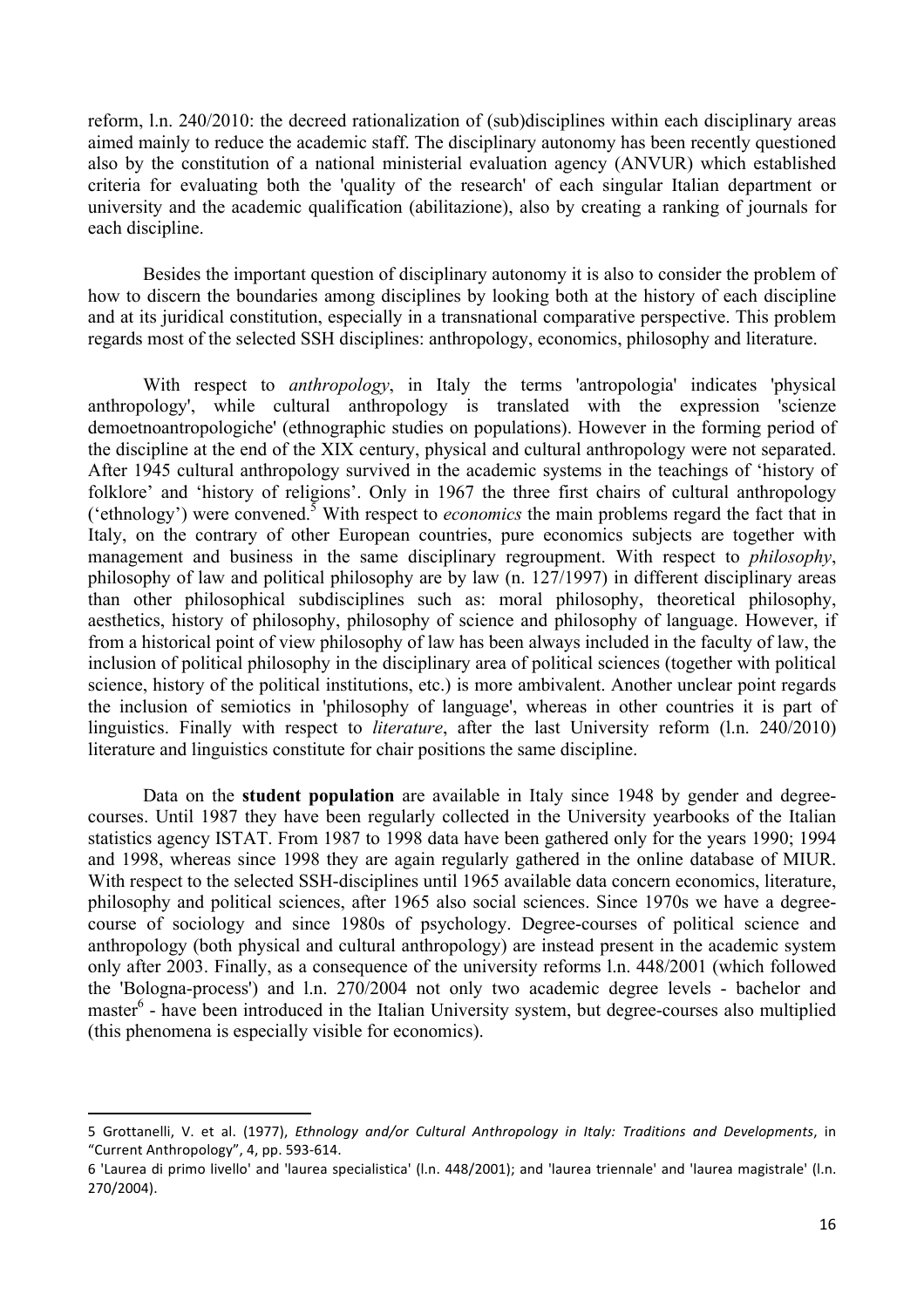reform, l.n. 240/2010: the decreed rationalization of (sub)disciplines within each disciplinary areas aimed mainly to reduce the academic staff. The disciplinary autonomy has been recently questioned also by the constitution of a national ministerial evaluation agency (ANVUR) which established criteria for evaluating both the 'quality of the research' of each singular Italian department or university and the academic qualification (abilitazione), also by creating a ranking of journals for each discipline.

Besides the important question of disciplinary autonomy it is also to consider the problem of how to discern the boundaries among disciplines by looking both at the history of each discipline and at its juridical constitution, especially in a transnational comparative perspective. This problem regards most of the selected SSH disciplines: anthropology, economics, philosophy and literature.

With respect to *anthropology*, in Italy the terms 'antropologia' indicates 'physical anthropology', while cultural anthropology is translated with the expression 'scienze demoetnoantropologiche' (ethnographic studies on populations). However in the forming period of the discipline at the end of the XIX century, physical and cultural anthropology were not separated. After 1945 cultural anthropology survived in the academic systems in the teachings of 'history of folklore' and 'history of religions'. Only in 1967 the three first chairs of cultural anthropology ('ethnology') were convened.5 With respect to *economics* the main problems regard the fact that in Italy, on the contrary of other European countries, pure economics subjects are together with management and business in the same disciplinary regroupment. With respect to *philosophy*, philosophy of law and political philosophy are by law (n. 127/1997) in different disciplinary areas than other philosophical subdisciplines such as: moral philosophy, theoretical philosophy, aesthetics, history of philosophy, philosophy of science and philosophy of language. However, if from a historical point of view philosophy of law has been always included in the faculty of law, the inclusion of political philosophy in the disciplinary area of political sciences (together with political science, history of the political institutions, etc.) is more ambivalent. Another unclear point regards the inclusion of semiotics in 'philosophy of language', whereas in other countries it is part of linguistics. Finally with respect to *literature*, after the last University reform (l.n. 240/2010) literature and linguistics constitute for chair positions the same discipline.

Data on the **student population** are available in Italy since 1948 by gender and degreecourses. Until 1987 they have been regularly collected in the University yearbooks of the Italian statistics agency ISTAT. From 1987 to 1998 data have been gathered only for the years 1990; 1994 and 1998, whereas since 1998 they are again regularly gathered in the online database of MIUR. With respect to the selected SSH-disciplines until 1965 available data concern economics, literature, philosophy and political sciences, after 1965 also social sciences. Since 1970s we have a degreecourse of sociology and since 1980s of psychology. Degree-courses of political science and anthropology (both physical and cultural anthropology) are instead present in the academic system only after 2003. Finally, as a consequence of the university reforms l.n. 448/2001 (which followed the 'Bologna-process') and l.n. 270/2004 not only two academic degree levels - bachelor and master<sup>6</sup> - have been introduced in the Italian University system, but degree-courses also multiplied (this phenomena is especially visible for economics).

<u> 1989 - Jan Samuel Barbara, margaret e</u>

<sup>5</sup> Grottanelli, V. et al. (1977), *Ethnology and/or Cultural Anthropology in Italy: Traditions and Developments*, in "Current Anthropology", 4, pp. 593-614.

<sup>6 &#</sup>x27;Laurea di primo livello' and 'laurea specialistica' (l.n. 448/2001); and 'laurea triennale' and 'laurea magistrale' (l.n. 270/2004).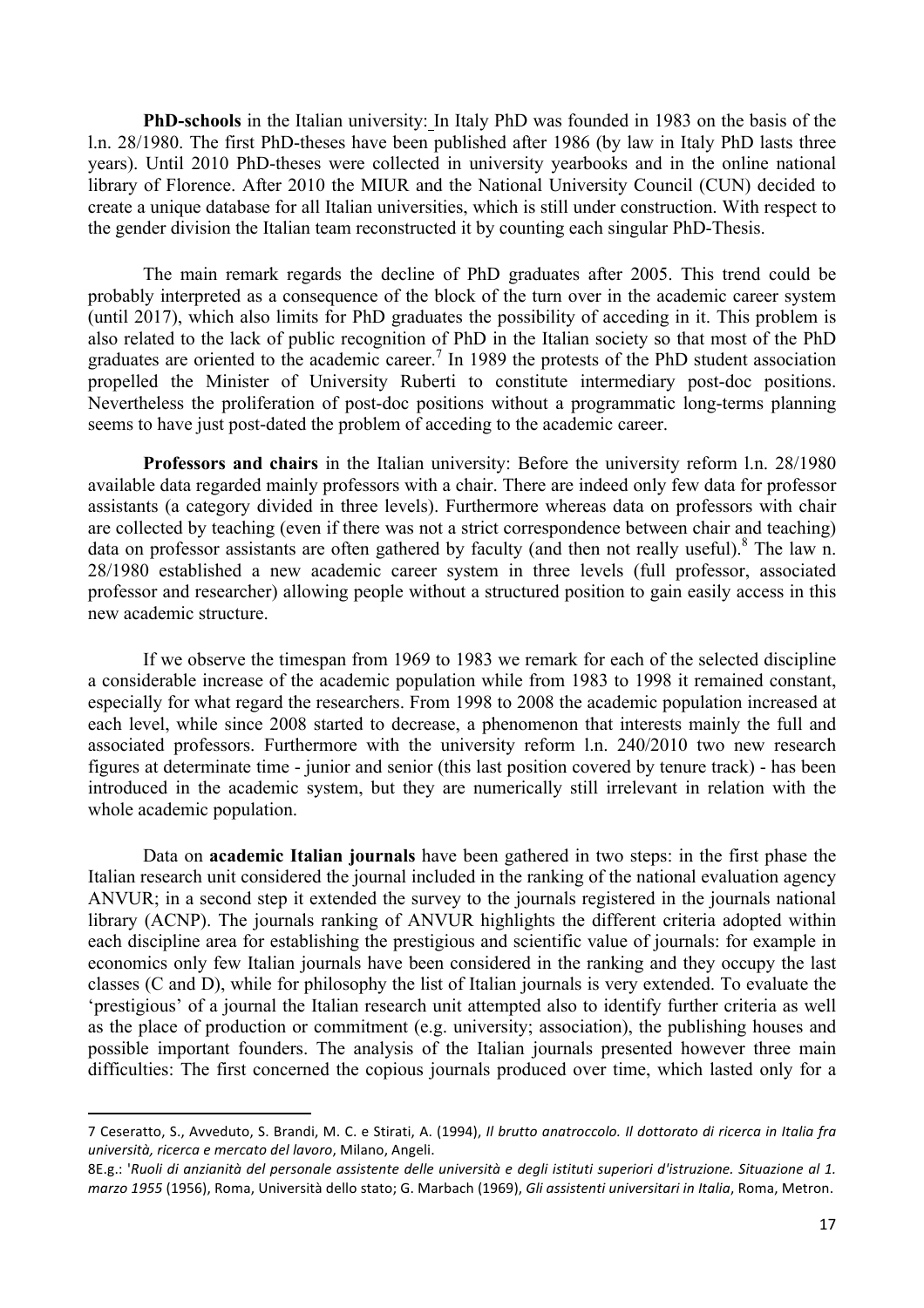**PhD-schools** in the Italian university: In Italy PhD was founded in 1983 on the basis of the l.n. 28/1980. The first PhD-theses have been published after 1986 (by law in Italy PhD lasts three years). Until 2010 PhD-theses were collected in university yearbooks and in the online national library of Florence. After 2010 the MIUR and the National University Council (CUN) decided to create a unique database for all Italian universities, which is still under construction. With respect to the gender division the Italian team reconstructed it by counting each singular PhD-Thesis.

The main remark regards the decline of PhD graduates after 2005. This trend could be probably interpreted as a consequence of the block of the turn over in the academic career system (until 2017), which also limits for PhD graduates the possibility of acceding in it. This problem is also related to the lack of public recognition of PhD in the Italian society so that most of the PhD graduates are oriented to the academic career.<sup>7</sup> In 1989 the protests of the PhD student association propelled the Minister of University Ruberti to constitute intermediary post-doc positions. Nevertheless the proliferation of post-doc positions without a programmatic long-terms planning seems to have just post-dated the problem of acceding to the academic career.

**Professors and chairs** in the Italian university: Before the university reform l.n. 28/1980 available data regarded mainly professors with a chair. There are indeed only few data for professor assistants (a category divided in three levels). Furthermore whereas data on professors with chair are collected by teaching (even if there was not a strict correspondence between chair and teaching) data on professor assistants are often gathered by faculty (and then not really useful). <sup>8</sup> The law n. 28/1980 established a new academic career system in three levels (full professor, associated professor and researcher) allowing people without a structured position to gain easily access in this new academic structure.

If we observe the timespan from 1969 to 1983 we remark for each of the selected discipline a considerable increase of the academic population while from 1983 to 1998 it remained constant, especially for what regard the researchers. From 1998 to 2008 the academic population increased at each level, while since 2008 started to decrease, a phenomenon that interests mainly the full and associated professors. Furthermore with the university reform l.n. 240/2010 two new research figures at determinate time - junior and senior (this last position covered by tenure track) - has been introduced in the academic system, but they are numerically still irrelevant in relation with the whole academic population.

Data on **academic Italian journals** have been gathered in two steps: in the first phase the Italian research unit considered the journal included in the ranking of the national evaluation agency ANVUR; in a second step it extended the survey to the journals registered in the journals national library (ACNP). The journals ranking of ANVUR highlights the different criteria adopted within each discipline area for establishing the prestigious and scientific value of journals: for example in economics only few Italian journals have been considered in the ranking and they occupy the last classes (C and D), while for philosophy the list of Italian journals is very extended. To evaluate the 'prestigious' of a journal the Italian research unit attempted also to identify further criteria as well as the place of production or commitment (e.g. university; association), the publishing houses and possible important founders. The analysis of the Italian journals presented however three main difficulties: The first concerned the copious journals produced over time, which lasted only for a

<u> 1989 - Jan Samuel Barbara, margaret e</u>

<sup>7</sup> Ceseratto, S., Avveduto, S. Brandi, M. C. e Stirati, A. (1994), *Il brutto anatroccolo. Il dottorato di ricerca in Italia fra università, ricerca e mercato del lavoro*, Milano, Angeli.

<sup>8</sup>E.g.: 'Ruoli di anzianità del personale assistente delle università e degli istituti superiori d'istruzione. Situazione al 1. *marzo 1955* (1956), Roma, Università dello stato; G. Marbach (1969), Gli assistenti universitari in Italia, Roma, Metron.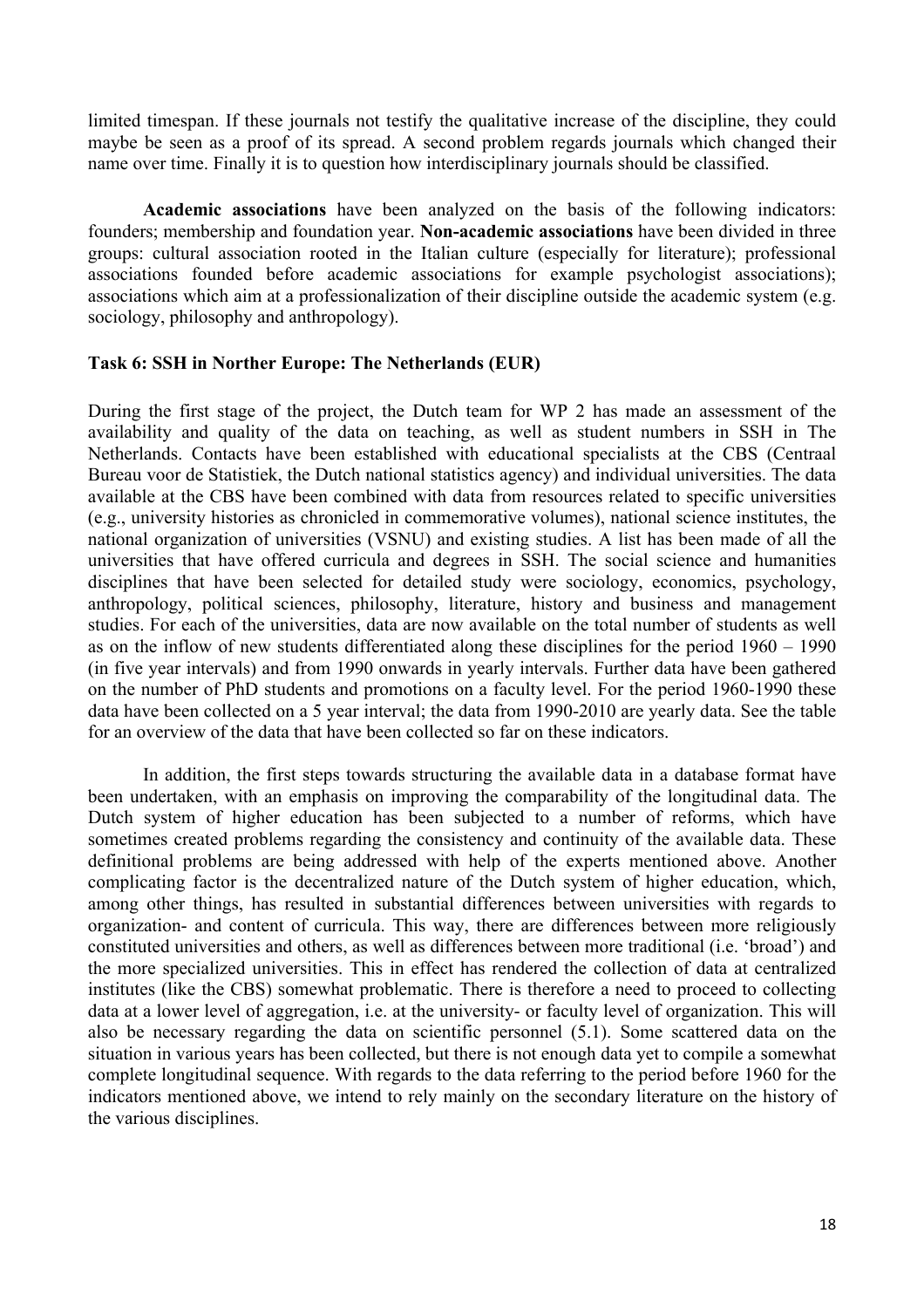limited timespan. If these journals not testify the qualitative increase of the discipline, they could maybe be seen as a proof of its spread. A second problem regards journals which changed their name over time. Finally it is to question how interdisciplinary journals should be classified.

**Academic associations** have been analyzed on the basis of the following indicators: founders; membership and foundation year. **Non-academic associations** have been divided in three groups: cultural association rooted in the Italian culture (especially for literature); professional associations founded before academic associations for example psychologist associations); associations which aim at a professionalization of their discipline outside the academic system (e.g. sociology, philosophy and anthropology).

#### **Task 6: SSH in Norther Europe: The Netherlands (EUR)**

During the first stage of the project, the Dutch team for WP 2 has made an assessment of the availability and quality of the data on teaching, as well as student numbers in SSH in The Netherlands. Contacts have been established with educational specialists at the CBS (Centraal Bureau voor de Statistiek, the Dutch national statistics agency) and individual universities. The data available at the CBS have been combined with data from resources related to specific universities (e.g., university histories as chronicled in commemorative volumes), national science institutes, the national organization of universities (VSNU) and existing studies. A list has been made of all the universities that have offered curricula and degrees in SSH. The social science and humanities disciplines that have been selected for detailed study were sociology, economics, psychology, anthropology, political sciences, philosophy, literature, history and business and management studies. For each of the universities, data are now available on the total number of students as well as on the inflow of new students differentiated along these disciplines for the period 1960 – 1990 (in five year intervals) and from 1990 onwards in yearly intervals. Further data have been gathered on the number of PhD students and promotions on a faculty level. For the period 1960-1990 these data have been collected on a 5 year interval; the data from 1990-2010 are yearly data. See the table for an overview of the data that have been collected so far on these indicators.

In addition, the first steps towards structuring the available data in a database format have been undertaken, with an emphasis on improving the comparability of the longitudinal data. The Dutch system of higher education has been subjected to a number of reforms, which have sometimes created problems regarding the consistency and continuity of the available data. These definitional problems are being addressed with help of the experts mentioned above. Another complicating factor is the decentralized nature of the Dutch system of higher education, which, among other things, has resulted in substantial differences between universities with regards to organization- and content of curricula. This way, there are differences between more religiously constituted universities and others, as well as differences between more traditional (i.e. 'broad') and the more specialized universities. This in effect has rendered the collection of data at centralized institutes (like the CBS) somewhat problematic. There is therefore a need to proceed to collecting data at a lower level of aggregation, i.e. at the university- or faculty level of organization. This will also be necessary regarding the data on scientific personnel (5.1). Some scattered data on the situation in various years has been collected, but there is not enough data yet to compile a somewhat complete longitudinal sequence. With regards to the data referring to the period before 1960 for the indicators mentioned above, we intend to rely mainly on the secondary literature on the history of the various disciplines.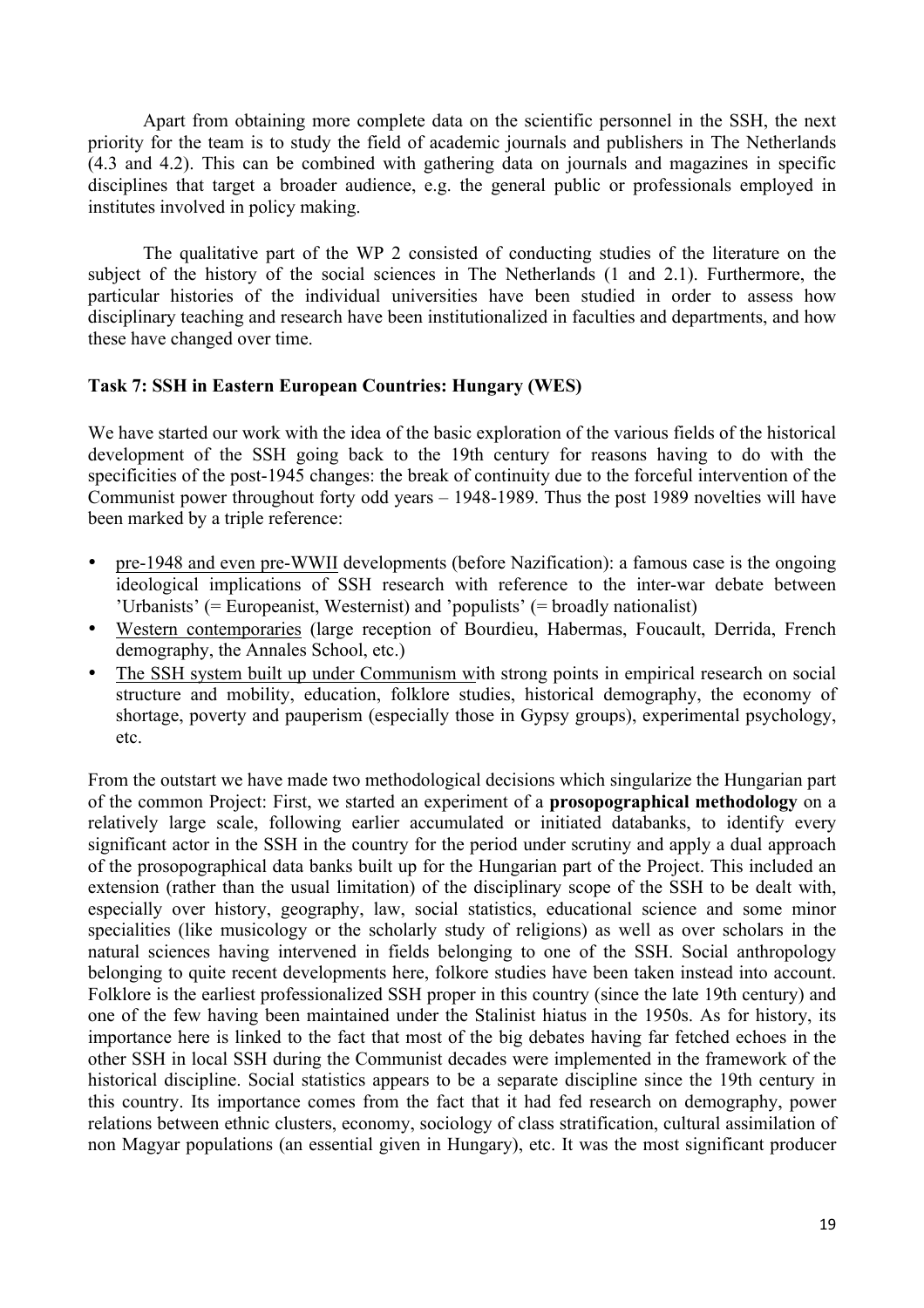Apart from obtaining more complete data on the scientific personnel in the SSH, the next priority for the team is to study the field of academic journals and publishers in The Netherlands (4.3 and 4.2). This can be combined with gathering data on journals and magazines in specific disciplines that target a broader audience, e.g. the general public or professionals employed in institutes involved in policy making.

The qualitative part of the WP 2 consisted of conducting studies of the literature on the subject of the history of the social sciences in The Netherlands (1 and 2.1). Furthermore, the particular histories of the individual universities have been studied in order to assess how disciplinary teaching and research have been institutionalized in faculties and departments, and how these have changed over time.

#### **Task 7: SSH in Eastern European Countries: Hungary (WES)**

We have started our work with the idea of the basic exploration of the various fields of the historical development of the SSH going back to the 19th century for reasons having to do with the specificities of the post-1945 changes: the break of continuity due to the forceful intervention of the Communist power throughout forty odd years – 1948-1989. Thus the post 1989 novelties will have been marked by a triple reference:

- pre-1948 and even pre-WWII developments (before Nazification): a famous case is the ongoing ideological implications of SSH research with reference to the inter-war debate between 'Urbanists' (= Europeanist, Westernist) and 'populists' (= broadly nationalist)
- Western contemporaries (large reception of Bourdieu, Habermas, Foucault, Derrida, French demography, the Annales School, etc.)
- The SSH system built up under Communism with strong points in empirical research on social structure and mobility, education, folklore studies, historical demography, the economy of shortage, poverty and pauperism (especially those in Gypsy groups), experimental psychology, etc.

From the outstart we have made two methodological decisions which singularize the Hungarian part of the common Project: First, we started an experiment of a **prosopographical methodology** on a relatively large scale, following earlier accumulated or initiated databanks, to identify every significant actor in the SSH in the country for the period under scrutiny and apply a dual approach of the prosopographical data banks built up for the Hungarian part of the Project. This included an extension (rather than the usual limitation) of the disciplinary scope of the SSH to be dealt with, especially over history, geography, law, social statistics, educational science and some minor specialities (like musicology or the scholarly study of religions) as well as over scholars in the natural sciences having intervened in fields belonging to one of the SSH. Social anthropology belonging to quite recent developments here, folkore studies have been taken instead into account. Folklore is the earliest professionalized SSH proper in this country (since the late 19th century) and one of the few having been maintained under the Stalinist hiatus in the 1950s. As for history, its importance here is linked to the fact that most of the big debates having far fetched echoes in the other SSH in local SSH during the Communist decades were implemented in the framework of the historical discipline. Social statistics appears to be a separate discipline since the 19th century in this country. Its importance comes from the fact that it had fed research on demography, power relations between ethnic clusters, economy, sociology of class stratification, cultural assimilation of non Magyar populations (an essential given in Hungary), etc. It was the most significant producer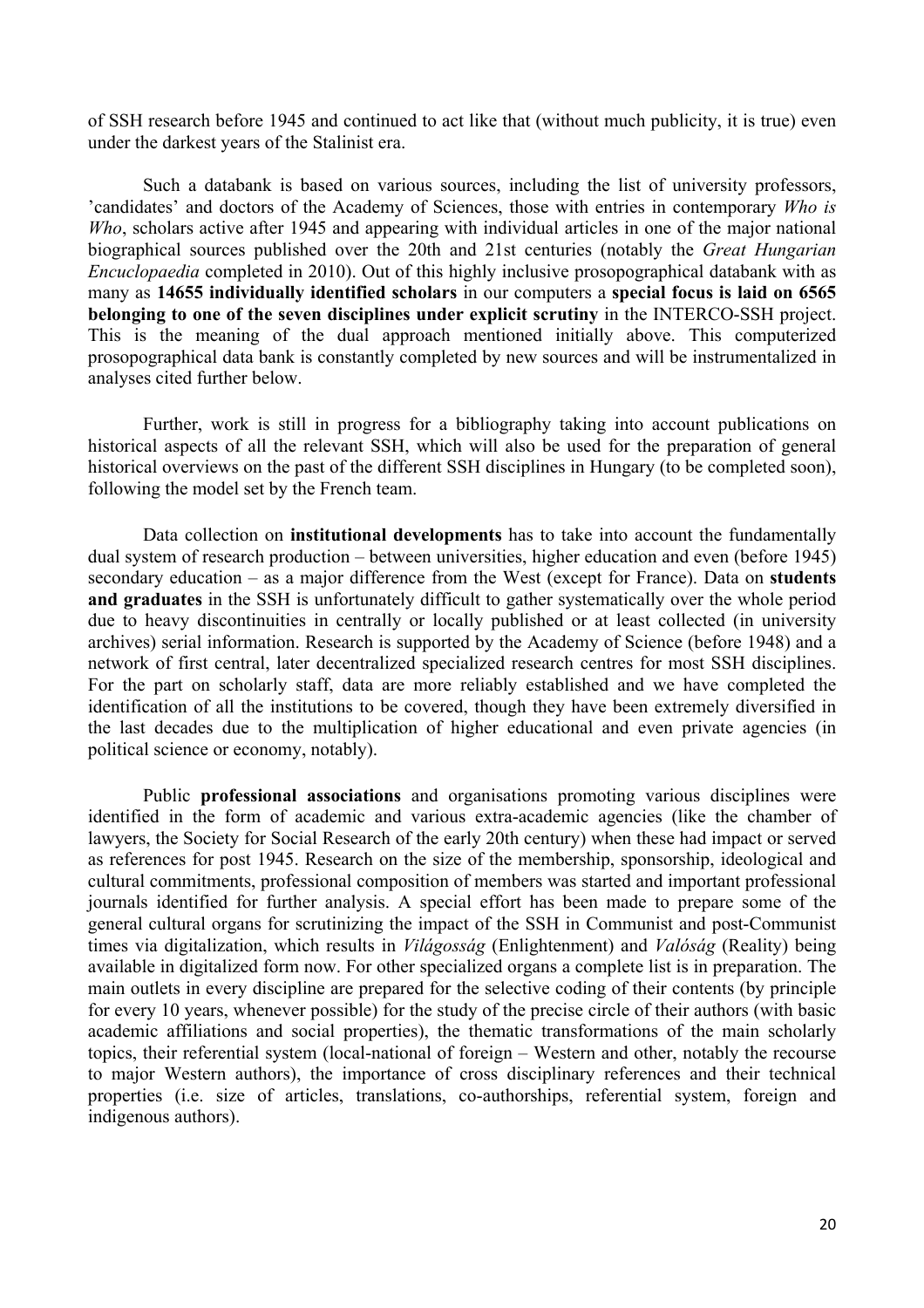of SSH research before 1945 and continued to act like that (without much publicity, it is true) even under the darkest years of the Stalinist era.

Such a databank is based on various sources, including the list of university professors, 'candidates' and doctors of the Academy of Sciences, those with entries in contemporary *Who is Who*, scholars active after 1945 and appearing with individual articles in one of the major national biographical sources published over the 20th and 21st centuries (notably the *Great Hungarian Encuclopaedia* completed in 2010). Out of this highly inclusive prosopographical databank with as many as **14655 individually identified scholars** in our computers a **special focus is laid on 6565 belonging to one of the seven disciplines under explicit scrutiny** in the INTERCO-SSH project. This is the meaning of the dual approach mentioned initially above. This computerized prosopographical data bank is constantly completed by new sources and will be instrumentalized in analyses cited further below.

Further, work is still in progress for a bibliography taking into account publications on historical aspects of all the relevant SSH, which will also be used for the preparation of general historical overviews on the past of the different SSH disciplines in Hungary (to be completed soon), following the model set by the French team.

Data collection on **institutional developments** has to take into account the fundamentally dual system of research production – between universities, higher education and even (before 1945) secondary education – as a major difference from the West (except for France). Data on **students and graduates** in the SSH is unfortunately difficult to gather systematically over the whole period due to heavy discontinuities in centrally or locally published or at least collected (in university archives) serial information. Research is supported by the Academy of Science (before 1948) and a network of first central, later decentralized specialized research centres for most SSH disciplines. For the part on scholarly staff, data are more reliably established and we have completed the identification of all the institutions to be covered, though they have been extremely diversified in the last decades due to the multiplication of higher educational and even private agencies (in political science or economy, notably).

Public **professional associations** and organisations promoting various disciplines were identified in the form of academic and various extra-academic agencies (like the chamber of lawyers, the Society for Social Research of the early 20th century) when these had impact or served as references for post 1945. Research on the size of the membership, sponsorship, ideological and cultural commitments, professional composition of members was started and important professional journals identified for further analysis. A special effort has been made to prepare some of the general cultural organs for scrutinizing the impact of the SSH in Communist and post-Communist times via digitalization, which results in *Világosság* (Enlightenment) and *Valóság* (Reality) being available in digitalized form now. For other specialized organs a complete list is in preparation. The main outlets in every discipline are prepared for the selective coding of their contents (by principle for every 10 years, whenever possible) for the study of the precise circle of their authors (with basic academic affiliations and social properties), the thematic transformations of the main scholarly topics, their referential system (local-national of foreign – Western and other, notably the recourse to major Western authors), the importance of cross disciplinary references and their technical properties (i.e. size of articles, translations, co-authorships, referential system, foreign and indigenous authors).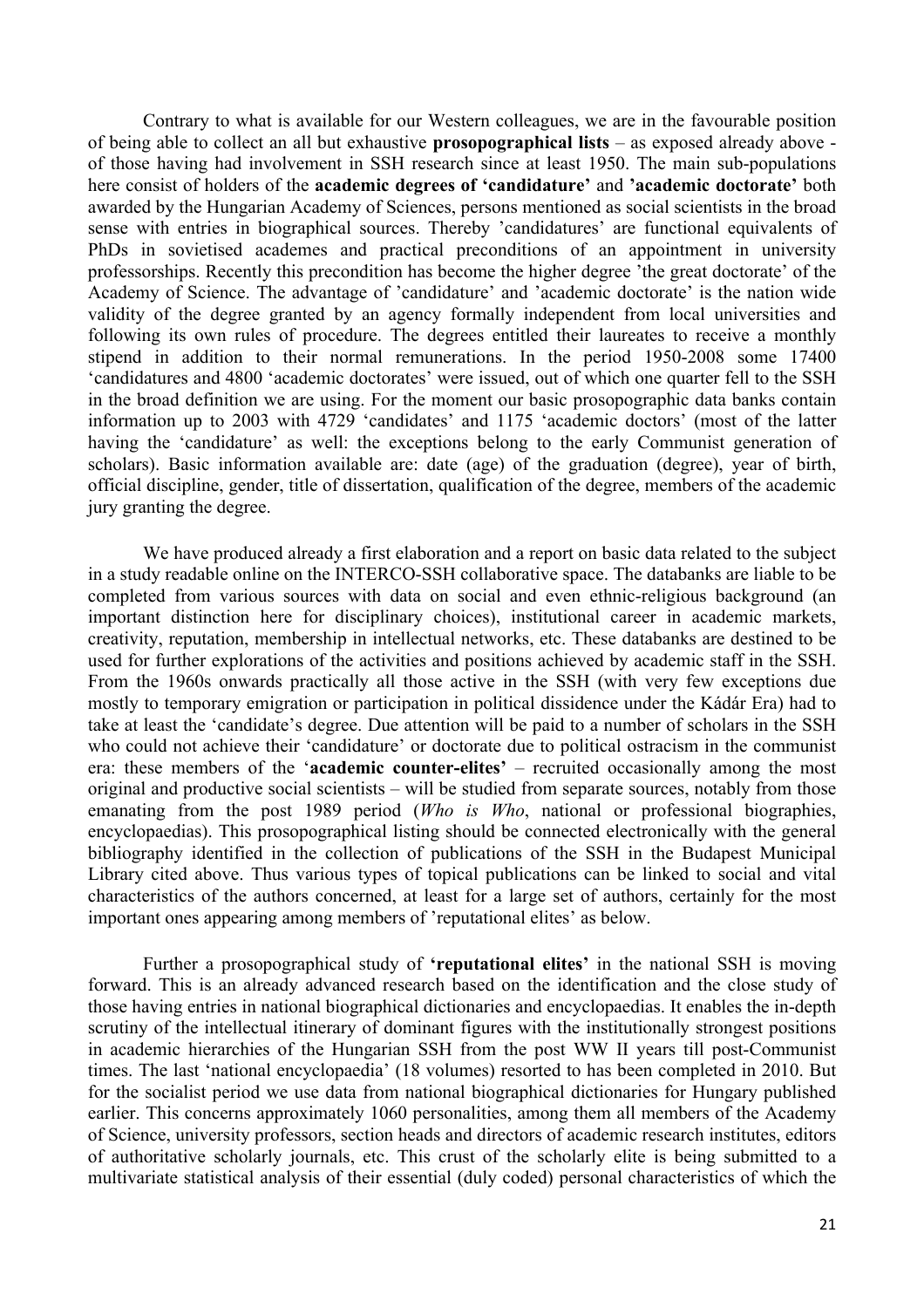Contrary to what is available for our Western colleagues, we are in the favourable position of being able to collect an all but exhaustive **prosopographical lists** – as exposed already above of those having had involvement in SSH research since at least 1950. The main sub-populations here consist of holders of the **academic degrees of 'candidature'** and **'academic doctorate'** both awarded by the Hungarian Academy of Sciences, persons mentioned as social scientists in the broad sense with entries in biographical sources. Thereby 'candidatures' are functional equivalents of PhDs in sovietised academes and practical preconditions of an appointment in university professorships. Recently this precondition has become the higher degree 'the great doctorate' of the Academy of Science. The advantage of 'candidature' and 'academic doctorate' is the nation wide validity of the degree granted by an agency formally independent from local universities and following its own rules of procedure. The degrees entitled their laureates to receive a monthly stipend in addition to their normal remunerations. In the period 1950-2008 some 17400 'candidatures and 4800 'academic doctorates' were issued, out of which one quarter fell to the SSH in the broad definition we are using. For the moment our basic prosopographic data banks contain information up to 2003 with 4729 'candidates' and 1175 'academic doctors' (most of the latter having the 'candidature' as well: the exceptions belong to the early Communist generation of scholars). Basic information available are: date (age) of the graduation (degree), year of birth, official discipline, gender, title of dissertation, qualification of the degree, members of the academic jury granting the degree.

We have produced already a first elaboration and a report on basic data related to the subject in a study readable online on the INTERCO-SSH collaborative space. The databanks are liable to be completed from various sources with data on social and even ethnic-religious background (an important distinction here for disciplinary choices), institutional career in academic markets, creativity, reputation, membership in intellectual networks, etc. These databanks are destined to be used for further explorations of the activities and positions achieved by academic staff in the SSH. From the 1960s onwards practically all those active in the SSH (with very few exceptions due mostly to temporary emigration or participation in political dissidence under the Kádár Era) had to take at least the 'candidate's degree. Due attention will be paid to a number of scholars in the SSH who could not achieve their 'candidature' or doctorate due to political ostracism in the communist era: these members of the '**academic counter-elites'** – recruited occasionally among the most original and productive social scientists – will be studied from separate sources, notably from those emanating from the post 1989 period (*Who is Who*, national or professional biographies, encyclopaedias). This prosopographical listing should be connected electronically with the general bibliography identified in the collection of publications of the SSH in the Budapest Municipal Library cited above. Thus various types of topical publications can be linked to social and vital characteristics of the authors concerned, at least for a large set of authors, certainly for the most important ones appearing among members of 'reputational elites' as below.

Further a prosopographical study of **'reputational elites'** in the national SSH is moving forward. This is an already advanced research based on the identification and the close study of those having entries in national biographical dictionaries and encyclopaedias. It enables the in-depth scrutiny of the intellectual itinerary of dominant figures with the institutionally strongest positions in academic hierarchies of the Hungarian SSH from the post WW II years till post-Communist times. The last 'national encyclopaedia' (18 volumes) resorted to has been completed in 2010. But for the socialist period we use data from national biographical dictionaries for Hungary published earlier. This concerns approximately 1060 personalities, among them all members of the Academy of Science, university professors, section heads and directors of academic research institutes, editors of authoritative scholarly journals, etc. This crust of the scholarly elite is being submitted to a multivariate statistical analysis of their essential (duly coded) personal characteristics of which the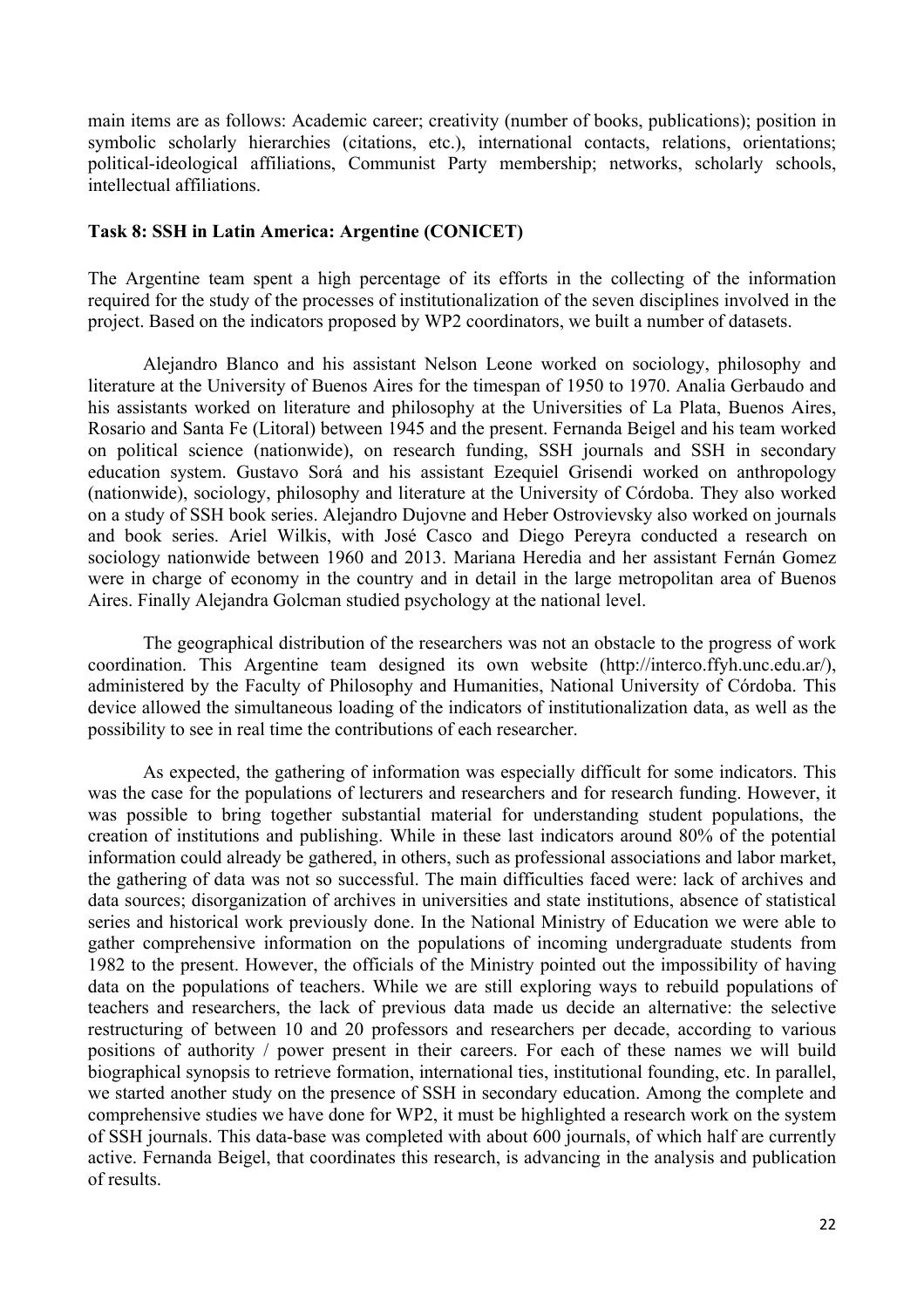main items are as follows: Academic career; creativity (number of books, publications); position in symbolic scholarly hierarchies (citations, etc.), international contacts, relations, orientations; political-ideological affiliations, Communist Party membership; networks, scholarly schools, intellectual affiliations.

#### **Task 8: SSH in Latin America: Argentine (CONICET)**

The Argentine team spent a high percentage of its efforts in the collecting of the information required for the study of the processes of institutionalization of the seven disciplines involved in the project. Based on the indicators proposed by WP2 coordinators, we built a number of datasets.

Alejandro Blanco and his assistant Nelson Leone worked on sociology, philosophy and literature at the University of Buenos Aires for the timespan of 1950 to 1970. Analia Gerbaudo and his assistants worked on literature and philosophy at the Universities of La Plata, Buenos Aires, Rosario and Santa Fe (Litoral) between 1945 and the present. Fernanda Beigel and his team worked on political science (nationwide), on research funding, SSH journals and SSH in secondary education system. Gustavo Sorá and his assistant Ezequiel Grisendi worked on anthropology (nationwide), sociology, philosophy and literature at the University of Córdoba. They also worked on a study of SSH book series. Alejandro Dujovne and Heber Ostrovievsky also worked on journals and book series. Ariel Wilkis, with José Casco and Diego Pereyra conducted a research on sociology nationwide between 1960 and 2013. Mariana Heredia and her assistant Fernán Gomez were in charge of economy in the country and in detail in the large metropolitan area of Buenos Aires. Finally Alejandra Golcman studied psychology at the national level.

The geographical distribution of the researchers was not an obstacle to the progress of work coordination. This Argentine team designed its own website (http://interco.ffyh.unc.edu.ar/), administered by the Faculty of Philosophy and Humanities, National University of Córdoba. This device allowed the simultaneous loading of the indicators of institutionalization data, as well as the possibility to see in real time the contributions of each researcher.

As expected, the gathering of information was especially difficult for some indicators. This was the case for the populations of lecturers and researchers and for research funding. However, it was possible to bring together substantial material for understanding student populations, the creation of institutions and publishing. While in these last indicators around 80% of the potential information could already be gathered, in others, such as professional associations and labor market, the gathering of data was not so successful. The main difficulties faced were: lack of archives and data sources; disorganization of archives in universities and state institutions, absence of statistical series and historical work previously done. In the National Ministry of Education we were able to gather comprehensive information on the populations of incoming undergraduate students from 1982 to the present. However, the officials of the Ministry pointed out the impossibility of having data on the populations of teachers. While we are still exploring ways to rebuild populations of teachers and researchers, the lack of previous data made us decide an alternative: the selective restructuring of between 10 and 20 professors and researchers per decade, according to various positions of authority / power present in their careers. For each of these names we will build biographical synopsis to retrieve formation, international ties, institutional founding, etc. In parallel, we started another study on the presence of SSH in secondary education. Among the complete and comprehensive studies we have done for WP2, it must be highlighted a research work on the system of SSH journals. This data-base was completed with about 600 journals, of which half are currently active. Fernanda Beigel, that coordinates this research, is advancing in the analysis and publication of results.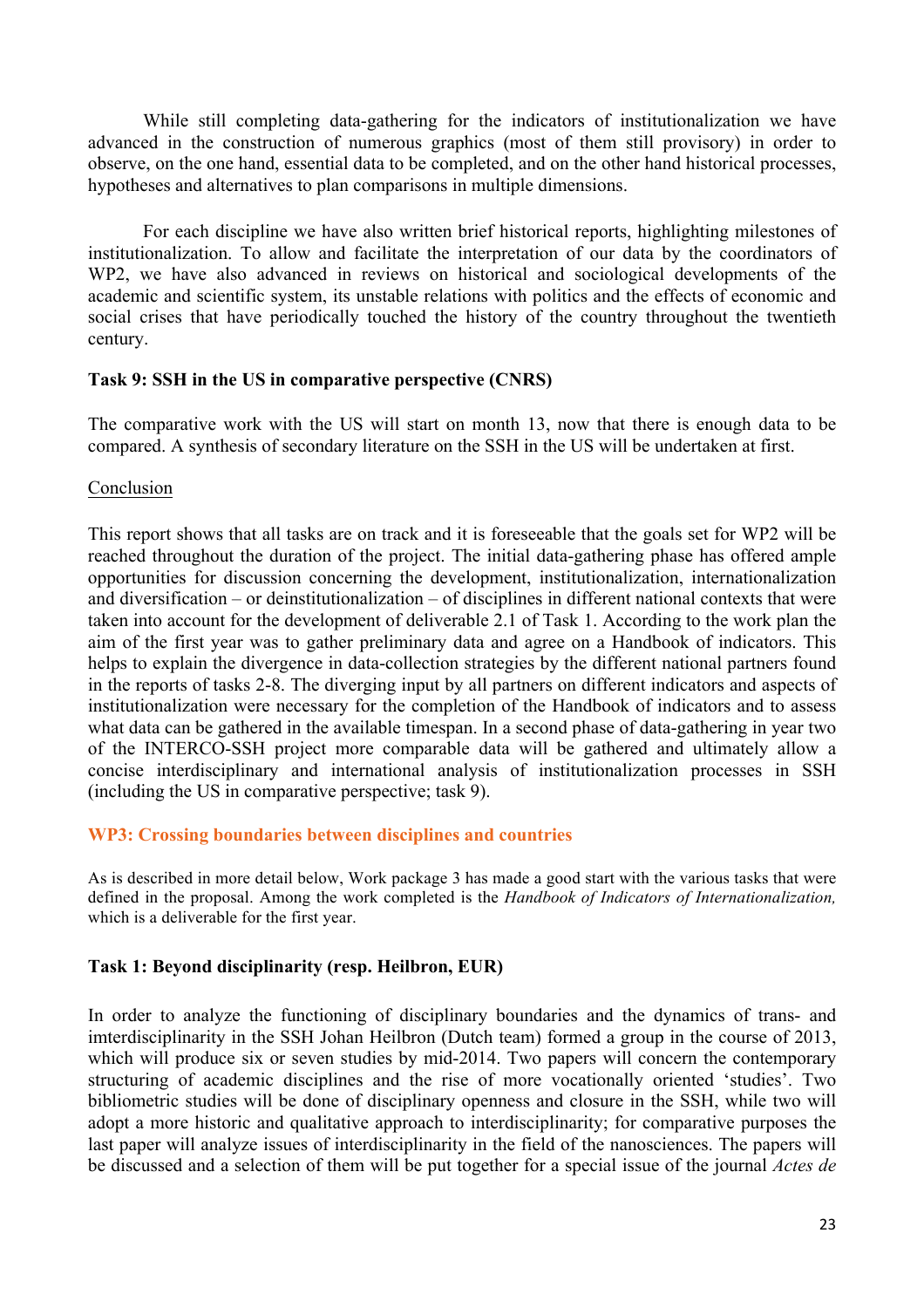While still completing data-gathering for the indicators of institutionalization we have advanced in the construction of numerous graphics (most of them still provisory) in order to observe, on the one hand, essential data to be completed, and on the other hand historical processes, hypotheses and alternatives to plan comparisons in multiple dimensions.

For each discipline we have also written brief historical reports, highlighting milestones of institutionalization. To allow and facilitate the interpretation of our data by the coordinators of WP2, we have also advanced in reviews on historical and sociological developments of the academic and scientific system, its unstable relations with politics and the effects of economic and social crises that have periodically touched the history of the country throughout the twentieth century.

#### **Task 9: SSH in the US in comparative perspective (CNRS)**

The comparative work with the US will start on month 13, now that there is enough data to be compared. A synthesis of secondary literature on the SSH in the US will be undertaken at first.

# Conclusion

This report shows that all tasks are on track and it is foreseeable that the goals set for WP2 will be reached throughout the duration of the project. The initial data-gathering phase has offered ample opportunities for discussion concerning the development, institutionalization, internationalization and diversification – or deinstitutionalization – of disciplines in different national contexts that were taken into account for the development of deliverable 2.1 of Task 1. According to the work plan the aim of the first year was to gather preliminary data and agree on a Handbook of indicators. This helps to explain the divergence in data-collection strategies by the different national partners found in the reports of tasks 2-8. The diverging input by all partners on different indicators and aspects of institutionalization were necessary for the completion of the Handbook of indicators and to assess what data can be gathered in the available timespan. In a second phase of data-gathering in year two of the INTERCO-SSH project more comparable data will be gathered and ultimately allow a concise interdisciplinary and international analysis of institutionalization processes in SSH (including the US in comparative perspective; task 9).

# **WP3: Crossing boundaries between disciplines and countries**

As is described in more detail below, Work package 3 has made a good start with the various tasks that were defined in the proposal. Among the work completed is the *Handbook of Indicators of Internationalization,* which is a deliverable for the first year.

# **Task 1: Beyond disciplinarity (resp. Heilbron, EUR)**

In order to analyze the functioning of disciplinary boundaries and the dynamics of trans- and imterdisciplinarity in the SSH Johan Heilbron (Dutch team) formed a group in the course of 2013, which will produce six or seven studies by mid-2014. Two papers will concern the contemporary structuring of academic disciplines and the rise of more vocationally oriented 'studies'. Two bibliometric studies will be done of disciplinary openness and closure in the SSH, while two will adopt a more historic and qualitative approach to interdisciplinarity; for comparative purposes the last paper will analyze issues of interdisciplinarity in the field of the nanosciences. The papers will be discussed and a selection of them will be put together for a special issue of the journal *Actes de*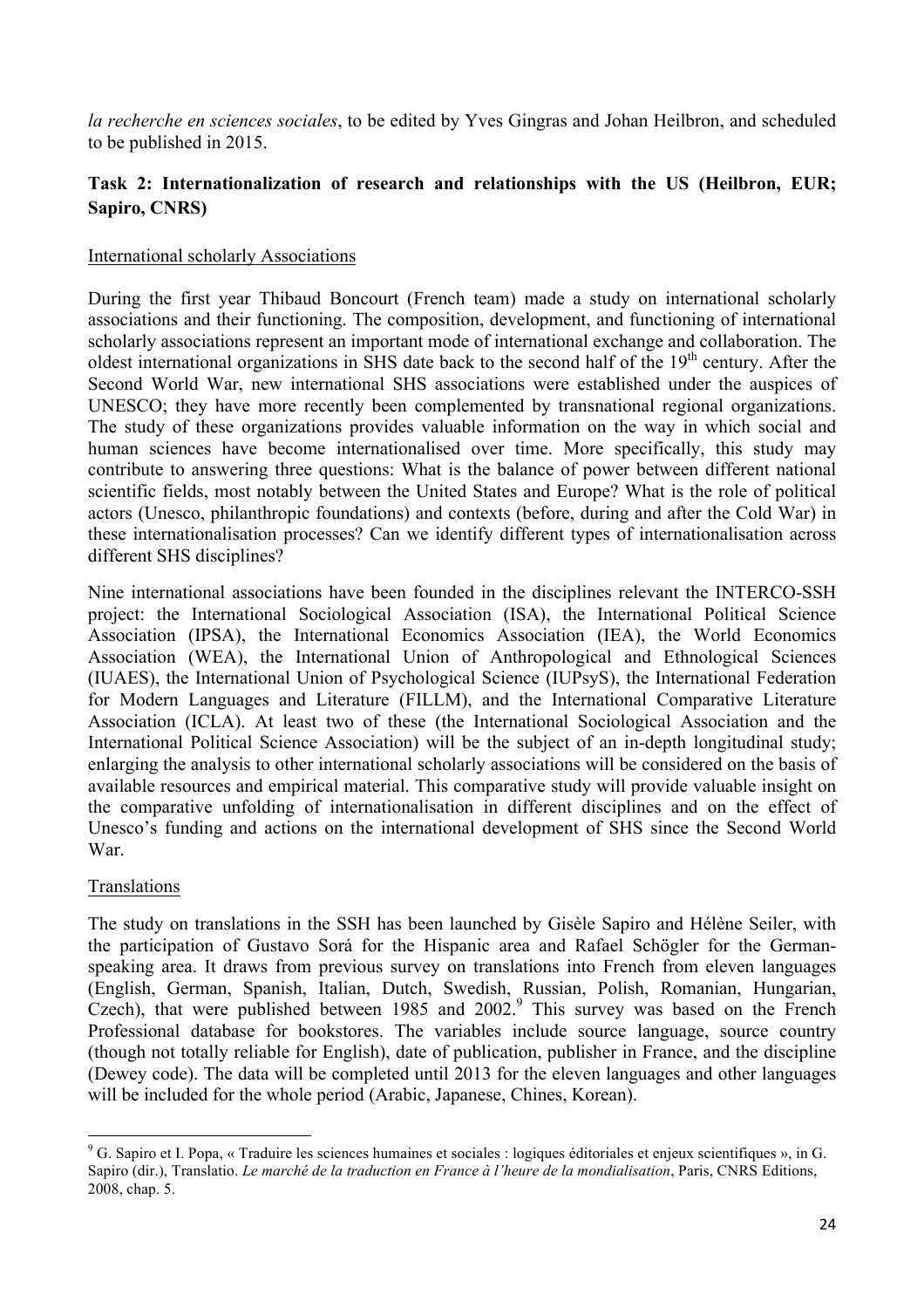*la recherche en sciences sociales*, to be edited by Yves Gingras and Johan Heilbron, and scheduled to be published in 2015.

# **Task 2: Internationalization of research and relationships with the US (Heilbron, EUR; Sapiro, CNRS)**

### International scholarly Associations

During the first year Thibaud Boncourt (French team) made a study on international scholarly associations and their functioning. The composition, development, and functioning of international scholarly associations represent an important mode of international exchange and collaboration. The oldest international organizations in SHS date back to the second half of the 19<sup>th</sup> century. After the Second World War, new international SHS associations were established under the auspices of UNESCO; they have more recently been complemented by transnational regional organizations. The study of these organizations provides valuable information on the way in which social and human sciences have become internationalised over time. More specifically, this study may contribute to answering three questions: What is the balance of power between different national scientific fields, most notably between the United States and Europe? What is the role of political actors (Unesco, philanthropic foundations) and contexts (before, during and after the Cold War) in these internationalisation processes? Can we identify different types of internationalisation across different SHS disciplines?

Nine international associations have been founded in the disciplines relevant the INTERCO-SSH project: the International Sociological Association (ISA), the International Political Science Association (IPSA), the International Economics Association (IEA), the World Economics Association (WEA), the International Union of Anthropological and Ethnological Sciences (IUAES), the International Union of Psychological Science (IUPsyS), the International Federation for Modern Languages and Literature (FILLM), and the International Comparative Literature Association (ICLA). At least two of these (the International Sociological Association and the International Political Science Association) will be the subject of an in-depth longitudinal study; enlarging the analysis to other international scholarly associations will be considered on the basis of available resources and empirical material. This comparative study will provide valuable insight on the comparative unfolding of internationalisation in different disciplines and on the effect of Unesco's funding and actions on the international development of SHS since the Second World War.

#### Translations

<u> 1989 - Johann Stein, fransk politiker (d. 1989)</u>

The study on translations in the SSH has been launched by Gisèle Sapiro and Hélène Seiler, with the participation of Gustavo Sorá for the Hispanic area and Rafael Schögler for the Germanspeaking area. It draws from previous survey on translations into French from eleven languages (English, German, Spanish, Italian, Dutch, Swedish, Russian, Polish, Romanian, Hungarian, Czech), that were published between  $1985$  and  $2002<sup>9</sup>$ . This survey was based on the French Professional database for bookstores. The variables include source language, source country (though not totally reliable for English), date of publication, publisher in France, and the discipline (Dewey code). The data will be completed until 2013 for the eleven languages and other languages will be included for the whole period (Arabic, Japanese, Chines, Korean).

<sup>9</sup> G. Sapiro et I. Popa, « Traduire les sciences humaines et sociales : logiques éditoriales et enjeux scientifiques », in G. Sapiro (dir.), Translatio. *Le marché de la traduction en France à l'heure de la mondialisation*, Paris, CNRS Editions, 2008, chap. 5.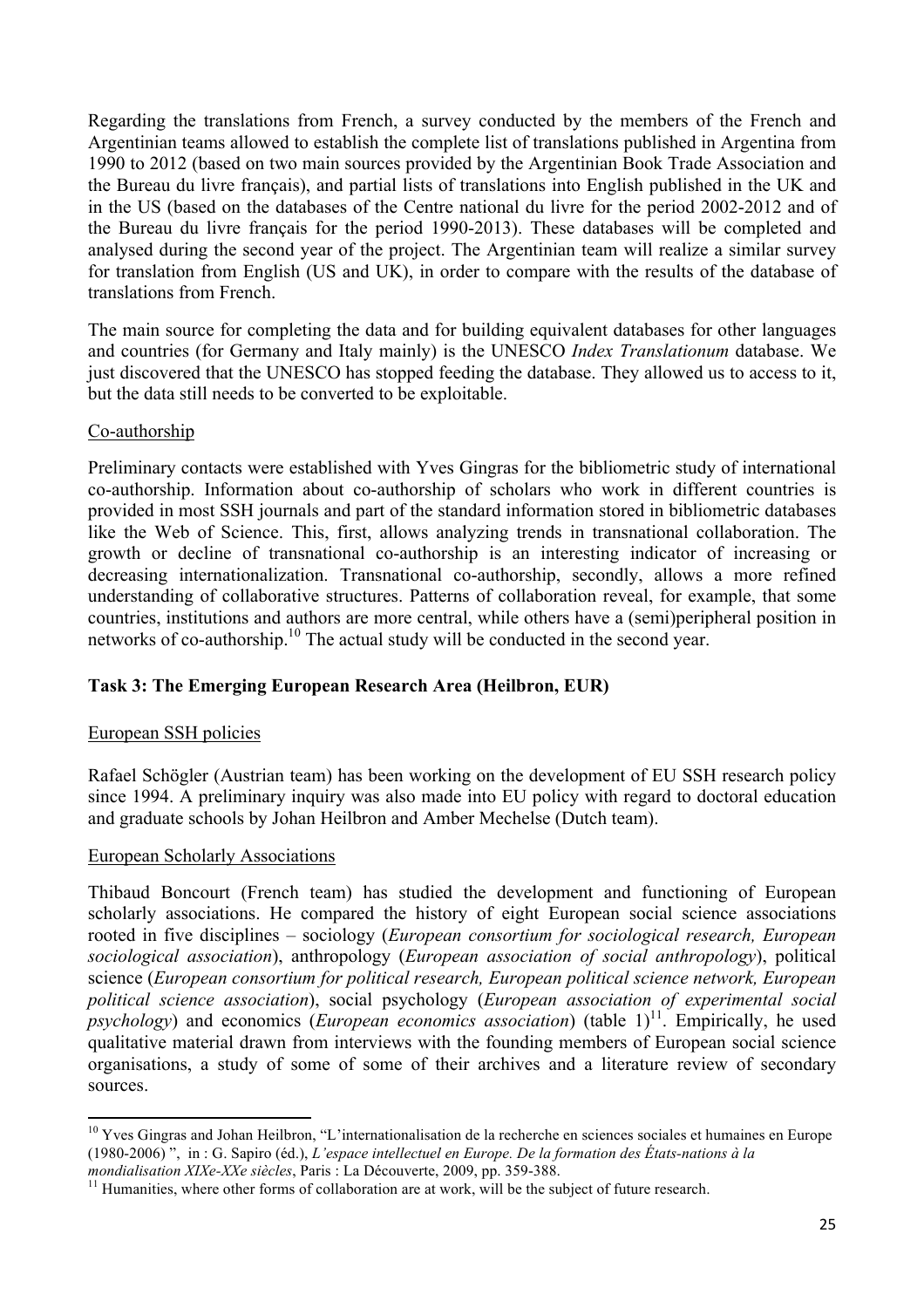Regarding the translations from French, a survey conducted by the members of the French and Argentinian teams allowed to establish the complete list of translations published in Argentina from 1990 to 2012 (based on two main sources provided by the Argentinian Book Trade Association and the Bureau du livre français), and partial lists of translations into English published in the UK and in the US (based on the databases of the Centre national du livre for the period 2002-2012 and of the Bureau du livre français for the period 1990-2013). These databases will be completed and analysed during the second year of the project. The Argentinian team will realize a similar survey for translation from English (US and UK), in order to compare with the results of the database of translations from French.

The main source for completing the data and for building equivalent databases for other languages and countries (for Germany and Italy mainly) is the UNESCO *Index Translationum* database. We just discovered that the UNESCO has stopped feeding the database. They allowed us to access to it, but the data still needs to be converted to be exploitable.

# Co-authorship

Preliminary contacts were established with Yves Gingras for the bibliometric study of international co-authorship. Information about co-authorship of scholars who work in different countries is provided in most SSH journals and part of the standard information stored in bibliometric databases like the Web of Science. This, first, allows analyzing trends in transnational collaboration. The growth or decline of transnational co-authorship is an interesting indicator of increasing or decreasing internationalization. Transnational co-authorship, secondly, allows a more refined understanding of collaborative structures. Patterns of collaboration reveal, for example, that some countries, institutions and authors are more central, while others have a (semi)peripheral position in networks of co-authorship.<sup>10</sup> The actual study will be conducted in the second year.

# **Task 3: The Emerging European Research Area (Heilbron, EUR)**

# European SSH policies

Rafael Schögler (Austrian team) has been working on the development of EU SSH research policy since 1994. A preliminary inquiry was also made into EU policy with regard to doctoral education and graduate schools by Johan Heilbron and Amber Mechelse (Dutch team).

#### European Scholarly Associations

<u> 1989 - Johann Stein, fransk politiker (d. 1989)</u>

Thibaud Boncourt (French team) has studied the development and functioning of European scholarly associations. He compared the history of eight European social science associations rooted in five disciplines – sociology (*European consortium for sociological research, European sociological association*), anthropology (*European association of social anthropology*), political science (*European consortium for political research, European political science network, European political science association*), social psychology (*European association of experimental social psychology*) and economics (*European economics association*) (table 1)<sup>11</sup>. Empirically, he used qualitative material drawn from interviews with the founding members of European social science organisations, a study of some of some of their archives and a literature review of secondary sources.

 $10$  Yves Gingras and Johan Heilbron, "L'internationalisation de la recherche en sciences sociales et humaines en Europe (1980-2006) ", in : G. Sapiro (éd.), *L'espace intellectuel en Europe. De la formation des États-nations à la* 

<sup>&</sup>lt;sup>11</sup> Humanities, where other forms of collaboration are at work, will be the subject of future research.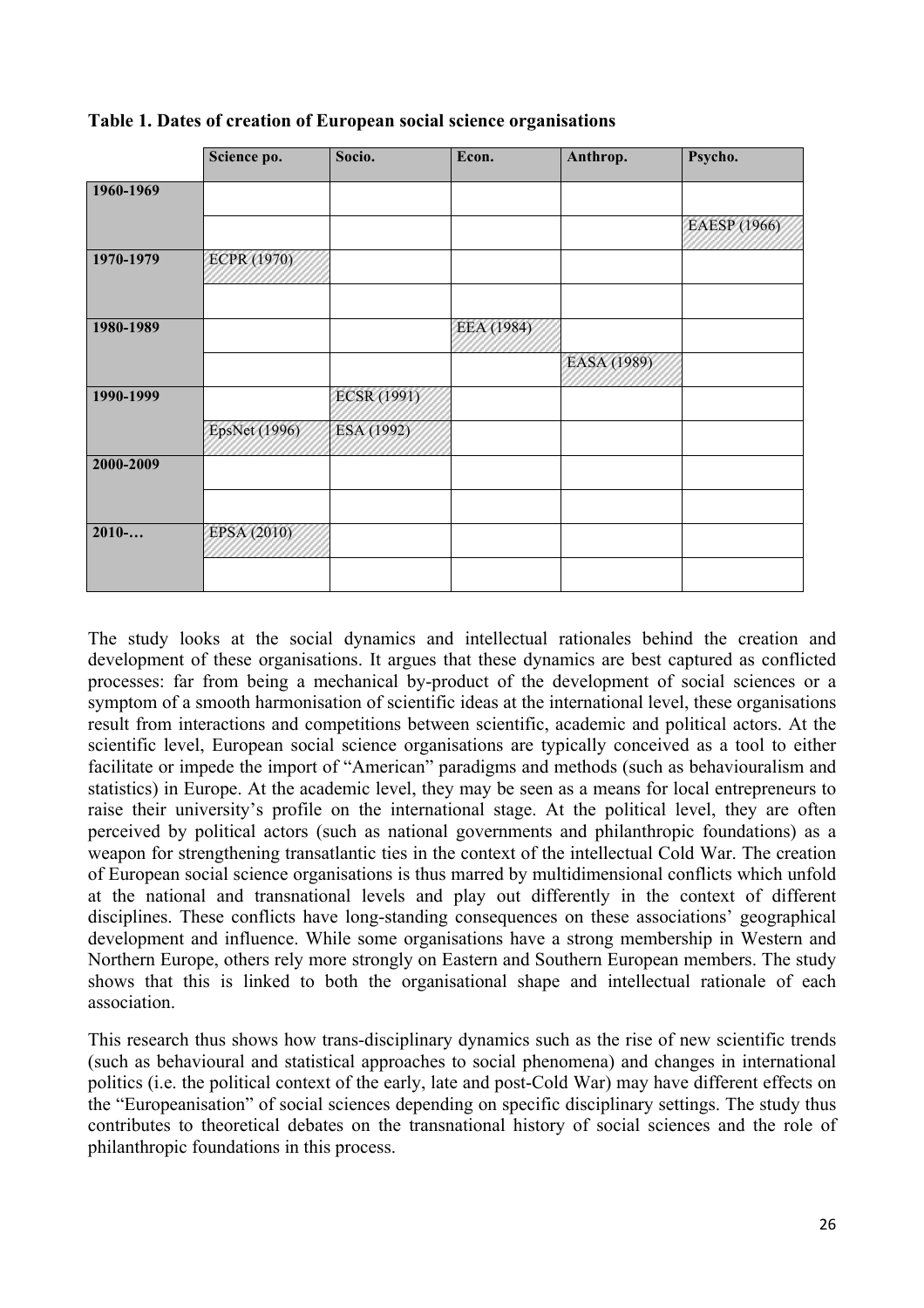|           | Science po.        | Socio.             | Econ.      | Anthrop.    | Psycho.      |
|-----------|--------------------|--------------------|------------|-------------|--------------|
| 1960-1969 |                    |                    |            |             |              |
|           |                    |                    |            |             | EAESP (1966) |
| 1970-1979 | <b>ECPR (1970)</b> |                    |            |             |              |
| 1980-1989 |                    |                    | EEA (1984) |             |              |
|           |                    |                    |            | EASA (1989) |              |
| 1990-1999 |                    | <b>ECSR</b> (1991) |            |             |              |
|           | EpsNet (1996)      | ESA (1992)         |            |             |              |
| 2000-2009 |                    |                    |            |             |              |
|           |                    |                    |            |             |              |
| 2010      | EPSA (2010)        |                    |            |             |              |
|           |                    |                    |            |             |              |

### **Table 1. Dates of creation of European social science organisations**

The study looks at the social dynamics and intellectual rationales behind the creation and development of these organisations. It argues that these dynamics are best captured as conflicted processes: far from being a mechanical by-product of the development of social sciences or a symptom of a smooth harmonisation of scientific ideas at the international level, these organisations result from interactions and competitions between scientific, academic and political actors. At the scientific level, European social science organisations are typically conceived as a tool to either facilitate or impede the import of "American" paradigms and methods (such as behaviouralism and statistics) in Europe. At the academic level, they may be seen as a means for local entrepreneurs to raise their university's profile on the international stage. At the political level, they are often perceived by political actors (such as national governments and philanthropic foundations) as a weapon for strengthening transatlantic ties in the context of the intellectual Cold War. The creation of European social science organisations is thus marred by multidimensional conflicts which unfold at the national and transnational levels and play out differently in the context of different disciplines. These conflicts have long-standing consequences on these associations' geographical development and influence. While some organisations have a strong membership in Western and Northern Europe, others rely more strongly on Eastern and Southern European members. The study shows that this is linked to both the organisational shape and intellectual rationale of each association.

This research thus shows how trans-disciplinary dynamics such as the rise of new scientific trends (such as behavioural and statistical approaches to social phenomena) and changes in international politics (i.e. the political context of the early, late and post-Cold War) may have different effects on the "Europeanisation" of social sciences depending on specific disciplinary settings. The study thus contributes to theoretical debates on the transnational history of social sciences and the role of philanthropic foundations in this process.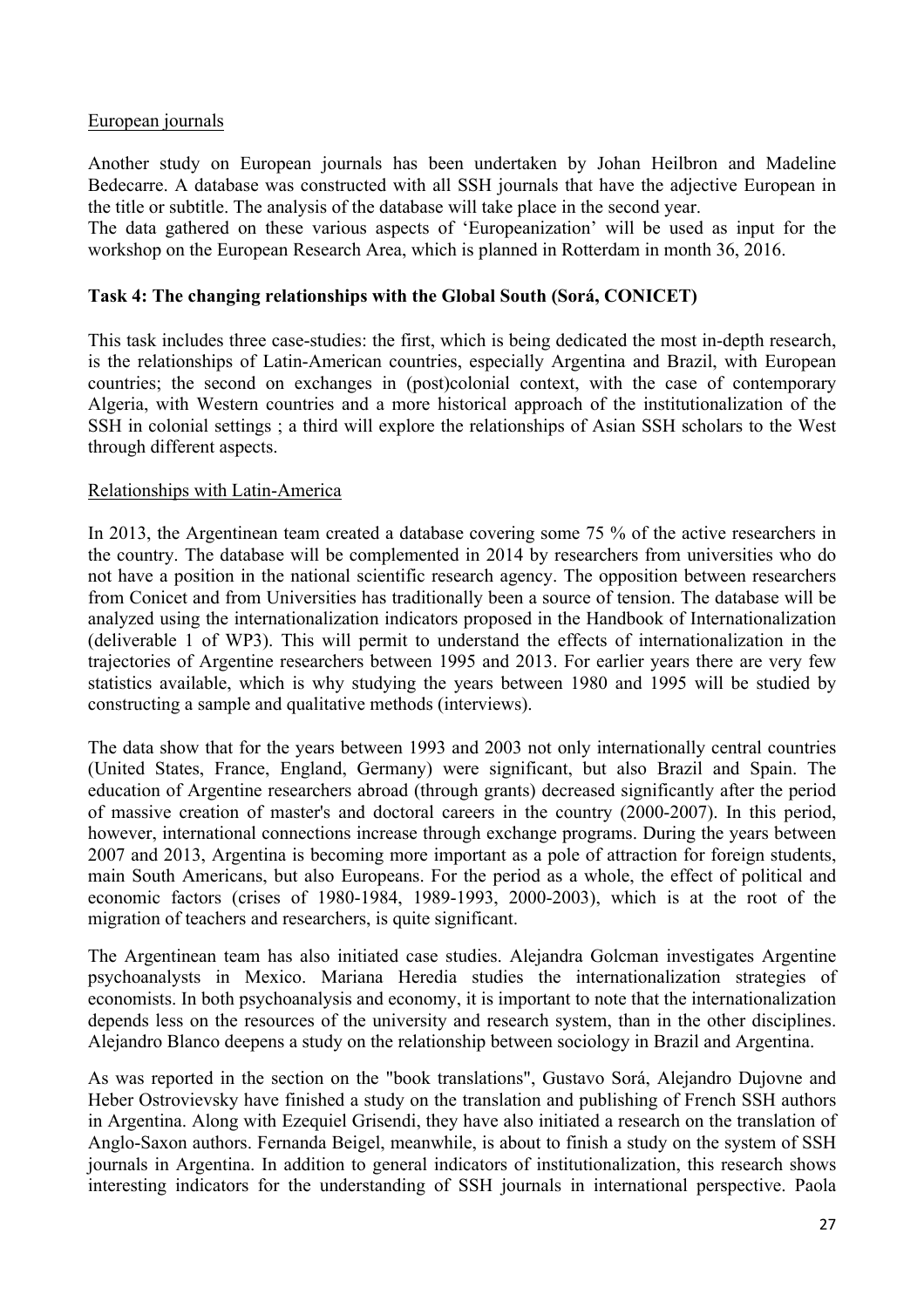# European journals

Another study on European journals has been undertaken by Johan Heilbron and Madeline Bedecarre. A database was constructed with all SSH journals that have the adjective European in the title or subtitle. The analysis of the database will take place in the second year.

The data gathered on these various aspects of 'Europeanization' will be used as input for the workshop on the European Research Area, which is planned in Rotterdam in month 36, 2016.

#### **Task 4: The changing relationships with the Global South (Sorá, CONICET)**

This task includes three case-studies: the first, which is being dedicated the most in-depth research, is the relationships of Latin-American countries, especially Argentina and Brazil, with European countries; the second on exchanges in (post)colonial context, with the case of contemporary Algeria, with Western countries and a more historical approach of the institutionalization of the SSH in colonial settings ; a third will explore the relationships of Asian SSH scholars to the West through different aspects.

#### Relationships with Latin-America

In 2013, the Argentinean team created a database covering some 75 % of the active researchers in the country. The database will be complemented in 2014 by researchers from universities who do not have a position in the national scientific research agency. The opposition between researchers from Conicet and from Universities has traditionally been a source of tension. The database will be analyzed using the internationalization indicators proposed in the Handbook of Internationalization (deliverable 1 of WP3). This will permit to understand the effects of internationalization in the trajectories of Argentine researchers between 1995 and 2013. For earlier years there are very few statistics available, which is why studying the years between 1980 and 1995 will be studied by constructing a sample and qualitative methods (interviews).

The data show that for the years between 1993 and 2003 not only internationally central countries (United States, France, England, Germany) were significant, but also Brazil and Spain. The education of Argentine researchers abroad (through grants) decreased significantly after the period of massive creation of master's and doctoral careers in the country (2000-2007). In this period, however, international connections increase through exchange programs. During the years between 2007 and 2013, Argentina is becoming more important as a pole of attraction for foreign students, main South Americans, but also Europeans. For the period as a whole, the effect of political and economic factors (crises of 1980-1984, 1989-1993, 2000-2003), which is at the root of the migration of teachers and researchers, is quite significant.

The Argentinean team has also initiated case studies. Alejandra Golcman investigates Argentine psychoanalysts in Mexico. Mariana Heredia studies the internationalization strategies of economists. In both psychoanalysis and economy, it is important to note that the internationalization depends less on the resources of the university and research system, than in the other disciplines. Alejandro Blanco deepens a study on the relationship between sociology in Brazil and Argentina.

As was reported in the section on the "book translations", Gustavo Sorá, Alejandro Dujovne and Heber Ostrovievsky have finished a study on the translation and publishing of French SSH authors in Argentina. Along with Ezequiel Grisendi, they have also initiated a research on the translation of Anglo-Saxon authors. Fernanda Beigel, meanwhile, is about to finish a study on the system of SSH journals in Argentina. In addition to general indicators of institutionalization, this research shows interesting indicators for the understanding of SSH journals in international perspective. Paola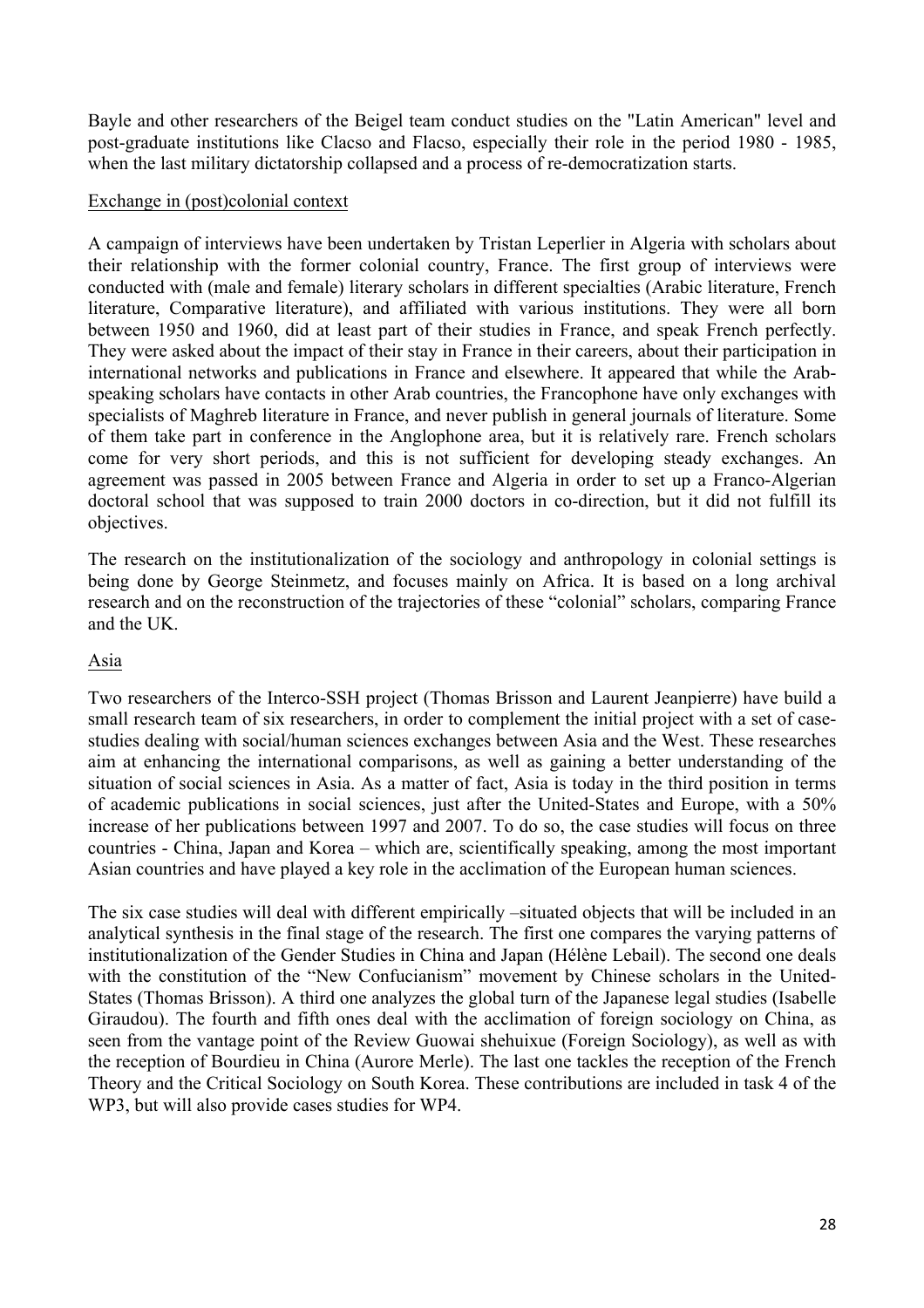Bayle and other researchers of the Beigel team conduct studies on the "Latin American" level and post-graduate institutions like Clacso and Flacso, especially their role in the period 1980 - 1985, when the last military dictatorship collapsed and a process of re-democratization starts.

### Exchange in (post)colonial context

A campaign of interviews have been undertaken by Tristan Leperlier in Algeria with scholars about their relationship with the former colonial country, France. The first group of interviews were conducted with (male and female) literary scholars in different specialties (Arabic literature, French literature, Comparative literature), and affiliated with various institutions. They were all born between 1950 and 1960, did at least part of their studies in France, and speak French perfectly. They were asked about the impact of their stay in France in their careers, about their participation in international networks and publications in France and elsewhere. It appeared that while the Arabspeaking scholars have contacts in other Arab countries, the Francophone have only exchanges with specialists of Maghreb literature in France, and never publish in general journals of literature. Some of them take part in conference in the Anglophone area, but it is relatively rare. French scholars come for very short periods, and this is not sufficient for developing steady exchanges. An agreement was passed in 2005 between France and Algeria in order to set up a Franco-Algerian doctoral school that was supposed to train 2000 doctors in co-direction, but it did not fulfill its objectives.

The research on the institutionalization of the sociology and anthropology in colonial settings is being done by George Steinmetz, and focuses mainly on Africa. It is based on a long archival research and on the reconstruction of the trajectories of these "colonial" scholars, comparing France and the UK.

# Asia

Two researchers of the Interco-SSH project (Thomas Brisson and Laurent Jeanpierre) have build a small research team of six researchers, in order to complement the initial project with a set of casestudies dealing with social/human sciences exchanges between Asia and the West. These researches aim at enhancing the international comparisons, as well as gaining a better understanding of the situation of social sciences in Asia. As a matter of fact, Asia is today in the third position in terms of academic publications in social sciences, just after the United-States and Europe, with a 50% increase of her publications between 1997 and 2007. To do so, the case studies will focus on three countries - China, Japan and Korea – which are, scientifically speaking, among the most important Asian countries and have played a key role in the acclimation of the European human sciences.

The six case studies will deal with different empirically –situated objects that will be included in an analytical synthesis in the final stage of the research. The first one compares the varying patterns of institutionalization of the Gender Studies in China and Japan (Hélène Lebail). The second one deals with the constitution of the "New Confucianism" movement by Chinese scholars in the United-States (Thomas Brisson). A third one analyzes the global turn of the Japanese legal studies (Isabelle Giraudou). The fourth and fifth ones deal with the acclimation of foreign sociology on China, as seen from the vantage point of the Review Guowai shehuixue (Foreign Sociology), as well as with the reception of Bourdieu in China (Aurore Merle). The last one tackles the reception of the French Theory and the Critical Sociology on South Korea. These contributions are included in task 4 of the WP3, but will also provide cases studies for WP4.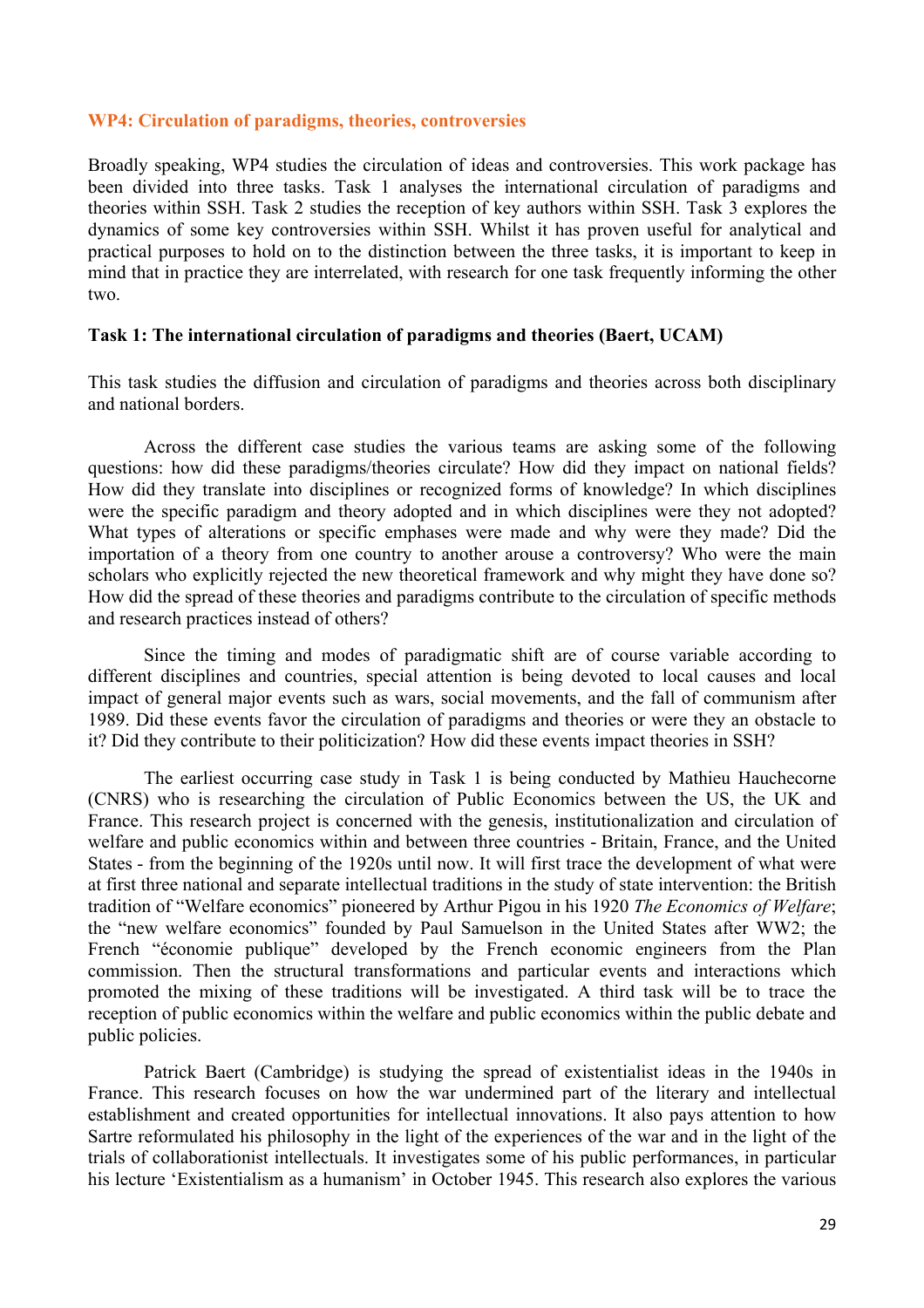#### **WP4: Circulation of paradigms, theories, controversies**

Broadly speaking, WP4 studies the circulation of ideas and controversies. This work package has been divided into three tasks. Task 1 analyses the international circulation of paradigms and theories within SSH. Task 2 studies the reception of key authors within SSH. Task 3 explores the dynamics of some key controversies within SSH. Whilst it has proven useful for analytical and practical purposes to hold on to the distinction between the three tasks, it is important to keep in mind that in practice they are interrelated, with research for one task frequently informing the other two.

#### **Task 1: The international circulation of paradigms and theories (Baert, UCAM)**

This task studies the diffusion and circulation of paradigms and theories across both disciplinary and national borders.

Across the different case studies the various teams are asking some of the following questions: how did these paradigms/theories circulate? How did they impact on national fields? How did they translate into disciplines or recognized forms of knowledge? In which disciplines were the specific paradigm and theory adopted and in which disciplines were they not adopted? What types of alterations or specific emphases were made and why were they made? Did the importation of a theory from one country to another arouse a controversy? Who were the main scholars who explicitly rejected the new theoretical framework and why might they have done so? How did the spread of these theories and paradigms contribute to the circulation of specific methods and research practices instead of others?

Since the timing and modes of paradigmatic shift are of course variable according to different disciplines and countries, special attention is being devoted to local causes and local impact of general major events such as wars, social movements, and the fall of communism after 1989. Did these events favor the circulation of paradigms and theories or were they an obstacle to it? Did they contribute to their politicization? How did these events impact theories in SSH?

The earliest occurring case study in Task 1 is being conducted by Mathieu Hauchecorne (CNRS) who is researching the circulation of Public Economics between the US, the UK and France. This research project is concerned with the genesis, institutionalization and circulation of welfare and public economics within and between three countries - Britain, France, and the United States - from the beginning of the 1920s until now. It will first trace the development of what were at first three national and separate intellectual traditions in the study of state intervention: the British tradition of "Welfare economics" pioneered by Arthur Pigou in his 1920 *The Economics of Welfare*; the "new welfare economics" founded by Paul Samuelson in the United States after WW2; the French "économie publique" developed by the French economic engineers from the Plan commission. Then the structural transformations and particular events and interactions which promoted the mixing of these traditions will be investigated. A third task will be to trace the reception of public economics within the welfare and public economics within the public debate and public policies.

Patrick Baert (Cambridge) is studying the spread of existentialist ideas in the 1940s in France. This research focuses on how the war undermined part of the literary and intellectual establishment and created opportunities for intellectual innovations. It also pays attention to how Sartre reformulated his philosophy in the light of the experiences of the war and in the light of the trials of collaborationist intellectuals. It investigates some of his public performances, in particular his lecture 'Existentialism as a humanism' in October 1945. This research also explores the various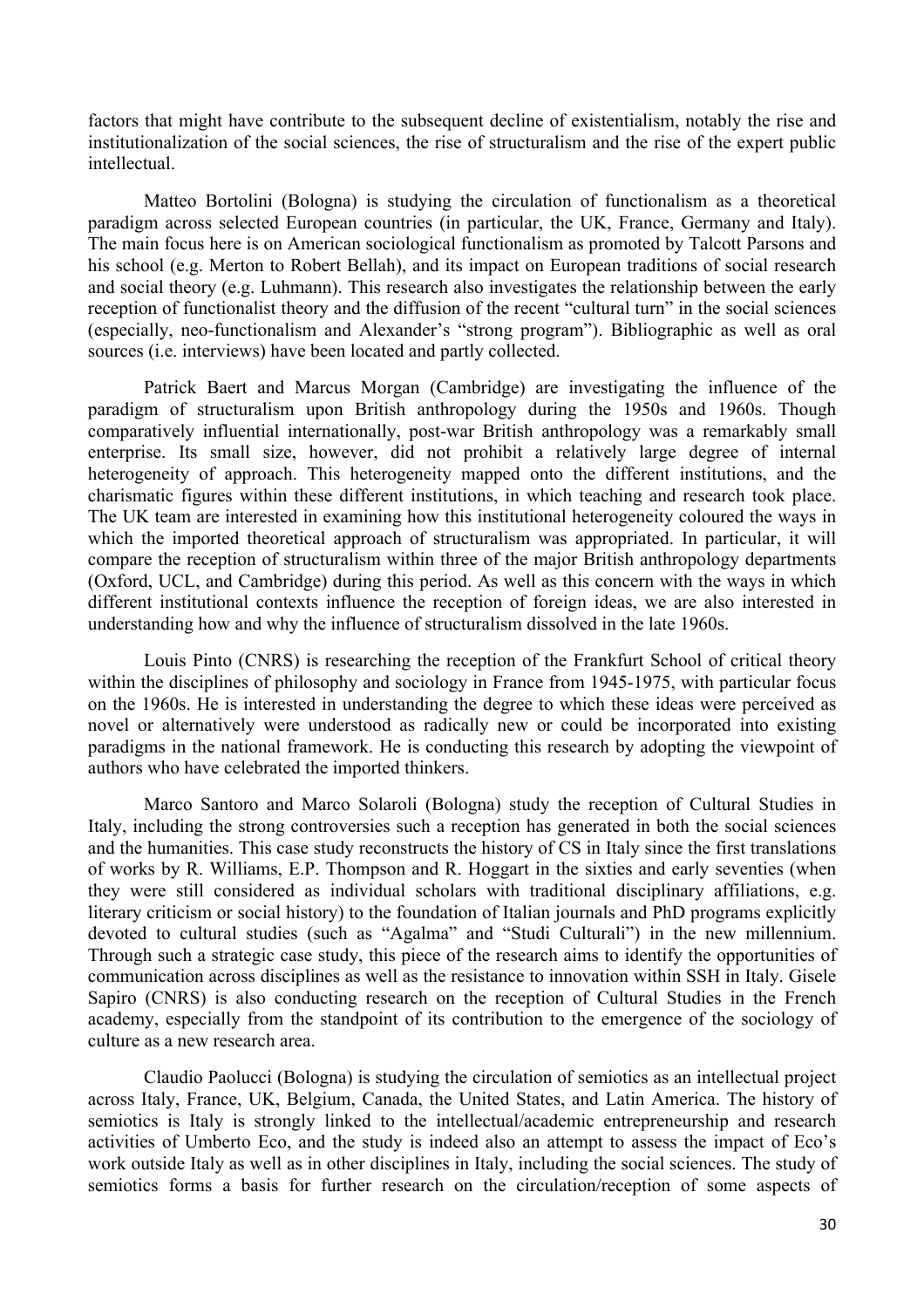factors that might have contribute to the subsequent decline of existentialism, notably the rise and institutionalization of the social sciences, the rise of structuralism and the rise of the expert public intellectual.

Matteo Bortolini (Bologna) is studying the circulation of functionalism as a theoretical paradigm across selected European countries (in particular, the UK, France, Germany and Italy). The main focus here is on American sociological functionalism as promoted by Talcott Parsons and his school (e.g. Merton to Robert Bellah), and its impact on European traditions of social research and social theory (e.g. Luhmann). This research also investigates the relationship between the early reception of functionalist theory and the diffusion of the recent "cultural turn" in the social sciences (especially, neo-functionalism and Alexander's "strong program"). Bibliographic as well as oral sources (i.e. interviews) have been located and partly collected.

Patrick Baert and Marcus Morgan (Cambridge) are investigating the influence of the paradigm of structuralism upon British anthropology during the 1950s and 1960s. Though comparatively influential internationally, post-war British anthropology was a remarkably small enterprise. Its small size, however, did not prohibit a relatively large degree of internal heterogeneity of approach. This heterogeneity mapped onto the different institutions, and the charismatic figures within these different institutions, in which teaching and research took place. The UK team are interested in examining how this institutional heterogeneity coloured the ways in which the imported theoretical approach of structuralism was appropriated. In particular, it will compare the reception of structuralism within three of the major British anthropology departments (Oxford, UCL, and Cambridge) during this period. As well as this concern with the ways in which different institutional contexts influence the reception of foreign ideas, we are also interested in understanding how and why the influence of structuralism dissolved in the late 1960s.

Louis Pinto (CNRS) is researching the reception of the Frankfurt School of critical theory within the disciplines of philosophy and sociology in France from 1945-1975, with particular focus on the 1960s. He is interested in understanding the degree to which these ideas were perceived as novel or alternatively were understood as radically new or could be incorporated into existing paradigms in the national framework. He is conducting this research by adopting the viewpoint of authors who have celebrated the imported thinkers.

Marco Santoro and Marco Solaroli (Bologna) study the reception of Cultural Studies in Italy, including the strong controversies such a reception has generated in both the social sciences and the humanities. This case study reconstructs the history of CS in Italy since the first translations of works by R. Williams, E.P. Thompson and R. Hoggart in the sixties and early seventies (when they were still considered as individual scholars with traditional disciplinary affiliations, e.g. literary criticism or social history) to the foundation of Italian journals and PhD programs explicitly devoted to cultural studies (such as "Agalma" and "Studi Culturali") in the new millennium. Through such a strategic case study, this piece of the research aims to identify the opportunities of communication across disciplines as well as the resistance to innovation within SSH in Italy. Gisele Sapiro (CNRS) is also conducting research on the reception of Cultural Studies in the French academy, especially from the standpoint of its contribution to the emergence of the sociology of culture as a new research area.

Claudio Paolucci (Bologna) is studying the circulation of semiotics as an intellectual project across Italy, France, UK, Belgium, Canada, the United States, and Latin America. The history of semiotics is Italy is strongly linked to the intellectual/academic entrepreneurship and research activities of Umberto Eco, and the study is indeed also an attempt to assess the impact of Eco's work outside Italy as well as in other disciplines in Italy, including the social sciences. The study of semiotics forms a basis for further research on the circulation/reception of some aspects of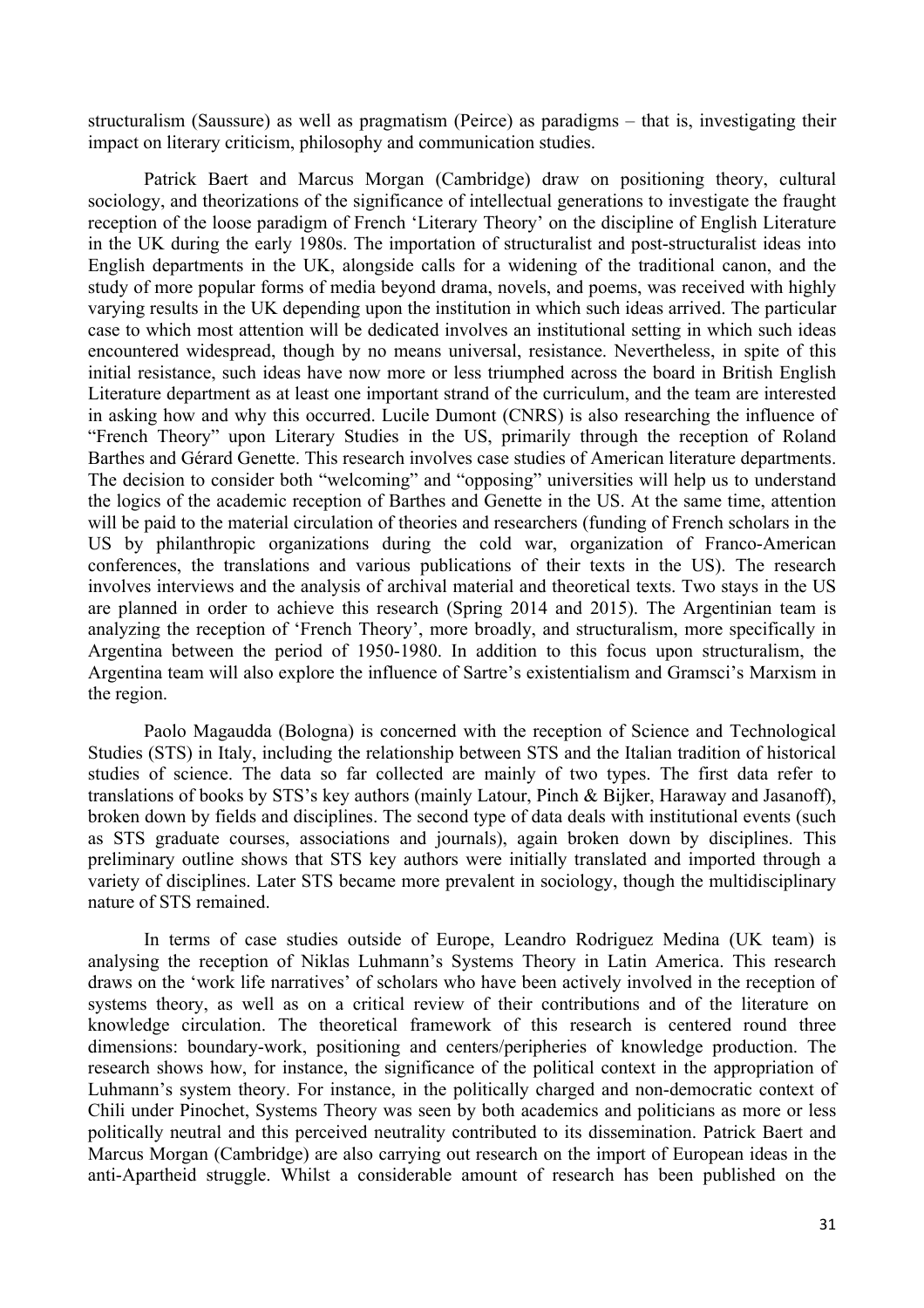structuralism (Saussure) as well as pragmatism (Peirce) as paradigms – that is, investigating their impact on literary criticism, philosophy and communication studies.

Patrick Baert and Marcus Morgan (Cambridge) draw on positioning theory, cultural sociology, and theorizations of the significance of intellectual generations to investigate the fraught reception of the loose paradigm of French 'Literary Theory' on the discipline of English Literature in the UK during the early 1980s. The importation of structuralist and post-structuralist ideas into English departments in the UK, alongside calls for a widening of the traditional canon, and the study of more popular forms of media beyond drama, novels, and poems, was received with highly varying results in the UK depending upon the institution in which such ideas arrived. The particular case to which most attention will be dedicated involves an institutional setting in which such ideas encountered widespread, though by no means universal, resistance. Nevertheless, in spite of this initial resistance, such ideas have now more or less triumphed across the board in British English Literature department as at least one important strand of the curriculum, and the team are interested in asking how and why this occurred. Lucile Dumont (CNRS) is also researching the influence of "French Theory" upon Literary Studies in the US, primarily through the reception of Roland Barthes and Gérard Genette. This research involves case studies of American literature departments. The decision to consider both "welcoming" and "opposing" universities will help us to understand the logics of the academic reception of Barthes and Genette in the US. At the same time, attention will be paid to the material circulation of theories and researchers (funding of French scholars in the US by philanthropic organizations during the cold war, organization of Franco-American conferences, the translations and various publications of their texts in the US). The research involves interviews and the analysis of archival material and theoretical texts. Two stays in the US are planned in order to achieve this research (Spring 2014 and 2015). The Argentinian team is analyzing the reception of 'French Theory', more broadly, and structuralism, more specifically in Argentina between the period of 1950-1980. In addition to this focus upon structuralism, the Argentina team will also explore the influence of Sartre's existentialism and Gramsci's Marxism in the region.

Paolo Magaudda (Bologna) is concerned with the reception of Science and Technological Studies (STS) in Italy, including the relationship between STS and the Italian tradition of historical studies of science. The data so far collected are mainly of two types. The first data refer to translations of books by STS's key authors (mainly Latour, Pinch & Bijker, Haraway and Jasanoff), broken down by fields and disciplines. The second type of data deals with institutional events (such as STS graduate courses, associations and journals), again broken down by disciplines. This preliminary outline shows that STS key authors were initially translated and imported through a variety of disciplines. Later STS became more prevalent in sociology, though the multidisciplinary nature of STS remained.

In terms of case studies outside of Europe, Leandro Rodriguez Medina (UK team) is analysing the reception of Niklas Luhmann's Systems Theory in Latin America. This research draws on the 'work life narratives' of scholars who have been actively involved in the reception of systems theory, as well as on a critical review of their contributions and of the literature on knowledge circulation. The theoretical framework of this research is centered round three dimensions: boundary-work, positioning and centers/peripheries of knowledge production. The research shows how, for instance, the significance of the political context in the appropriation of Luhmann's system theory. For instance, in the politically charged and non-democratic context of Chili under Pinochet, Systems Theory was seen by both academics and politicians as more or less politically neutral and this perceived neutrality contributed to its dissemination. Patrick Baert and Marcus Morgan (Cambridge) are also carrying out research on the import of European ideas in the anti-Apartheid struggle. Whilst a considerable amount of research has been published on the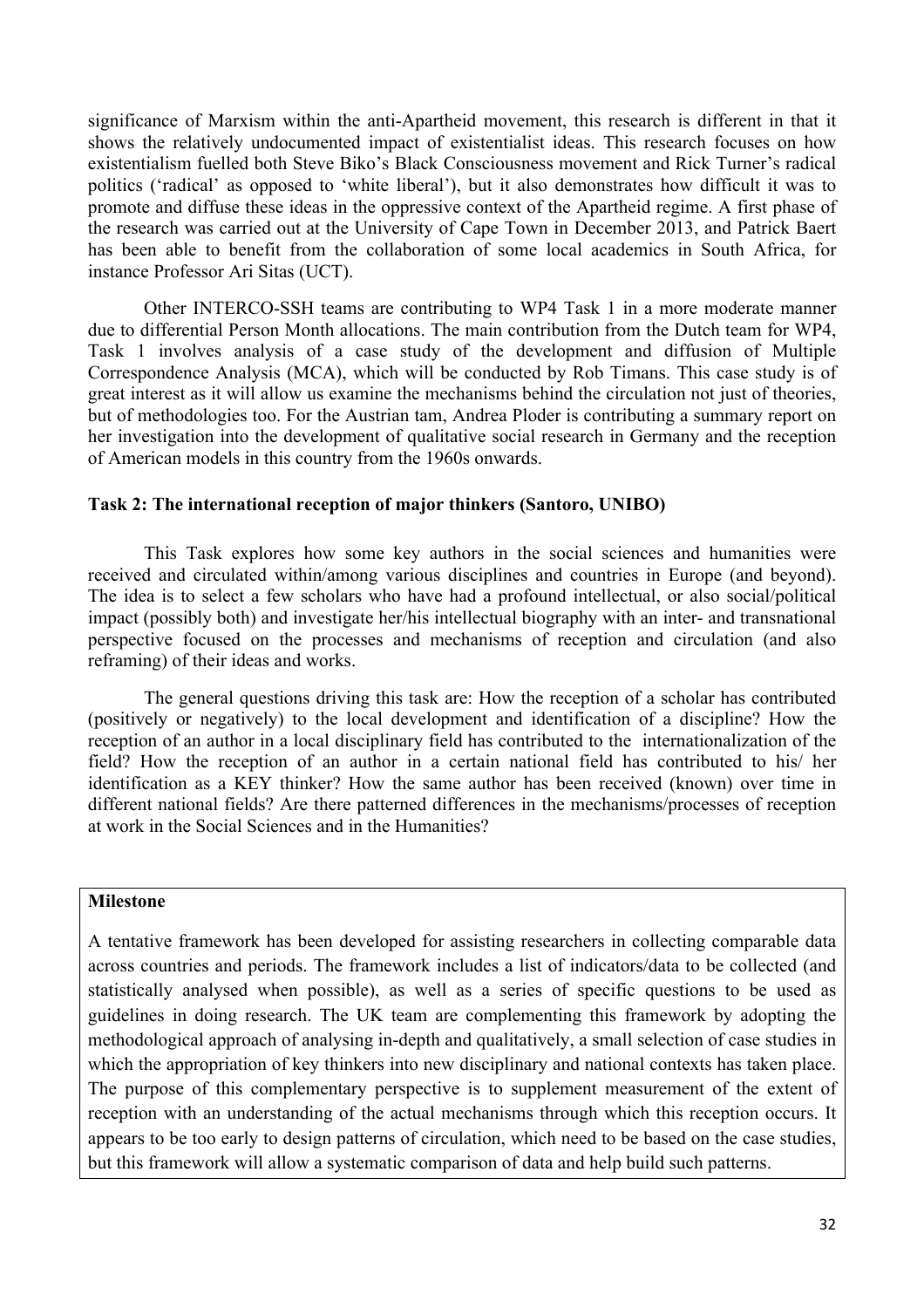significance of Marxism within the anti-Apartheid movement, this research is different in that it shows the relatively undocumented impact of existentialist ideas. This research focuses on how existentialism fuelled both Steve Biko's Black Consciousness movement and Rick Turner's radical politics ('radical' as opposed to 'white liberal'), but it also demonstrates how difficult it was to promote and diffuse these ideas in the oppressive context of the Apartheid regime. A first phase of the research was carried out at the University of Cape Town in December 2013, and Patrick Baert has been able to benefit from the collaboration of some local academics in South Africa, for instance Professor Ari Sitas (UCT).

Other INTERCO-SSH teams are contributing to WP4 Task 1 in a more moderate manner due to differential Person Month allocations. The main contribution from the Dutch team for WP4, Task 1 involves analysis of a case study of the development and diffusion of Multiple Correspondence Analysis (MCA), which will be conducted by Rob Timans. This case study is of great interest as it will allow us examine the mechanisms behind the circulation not just of theories, but of methodologies too. For the Austrian tam, Andrea Ploder is contributing a summary report on her investigation into the development of qualitative social research in Germany and the reception of American models in this country from the 1960s onwards.

# **Task 2: The international reception of major thinkers (Santoro, UNIBO)**

This Task explores how some key authors in the social sciences and humanities were received and circulated within/among various disciplines and countries in Europe (and beyond). The idea is to select a few scholars who have had a profound intellectual, or also social/political impact (possibly both) and investigate her/his intellectual biography with an inter- and transnational perspective focused on the processes and mechanisms of reception and circulation (and also reframing) of their ideas and works.

The general questions driving this task are: How the reception of a scholar has contributed (positively or negatively) to the local development and identification of a discipline? How the reception of an author in a local disciplinary field has contributed to the internationalization of the field? How the reception of an author in a certain national field has contributed to his/ her identification as a KEY thinker? How the same author has been received (known) over time in different national fields? Are there patterned differences in the mechanisms/processes of reception at work in the Social Sciences and in the Humanities?

#### **Milestone**

A tentative framework has been developed for assisting researchers in collecting comparable data across countries and periods. The framework includes a list of indicators/data to be collected (and statistically analysed when possible), as well as a series of specific questions to be used as guidelines in doing research. The UK team are complementing this framework by adopting the methodological approach of analysing in-depth and qualitatively, a small selection of case studies in which the appropriation of key thinkers into new disciplinary and national contexts has taken place. The purpose of this complementary perspective is to supplement measurement of the extent of reception with an understanding of the actual mechanisms through which this reception occurs. It appears to be too early to design patterns of circulation, which need to be based on the case studies, but this framework will allow a systematic comparison of data and help build such patterns.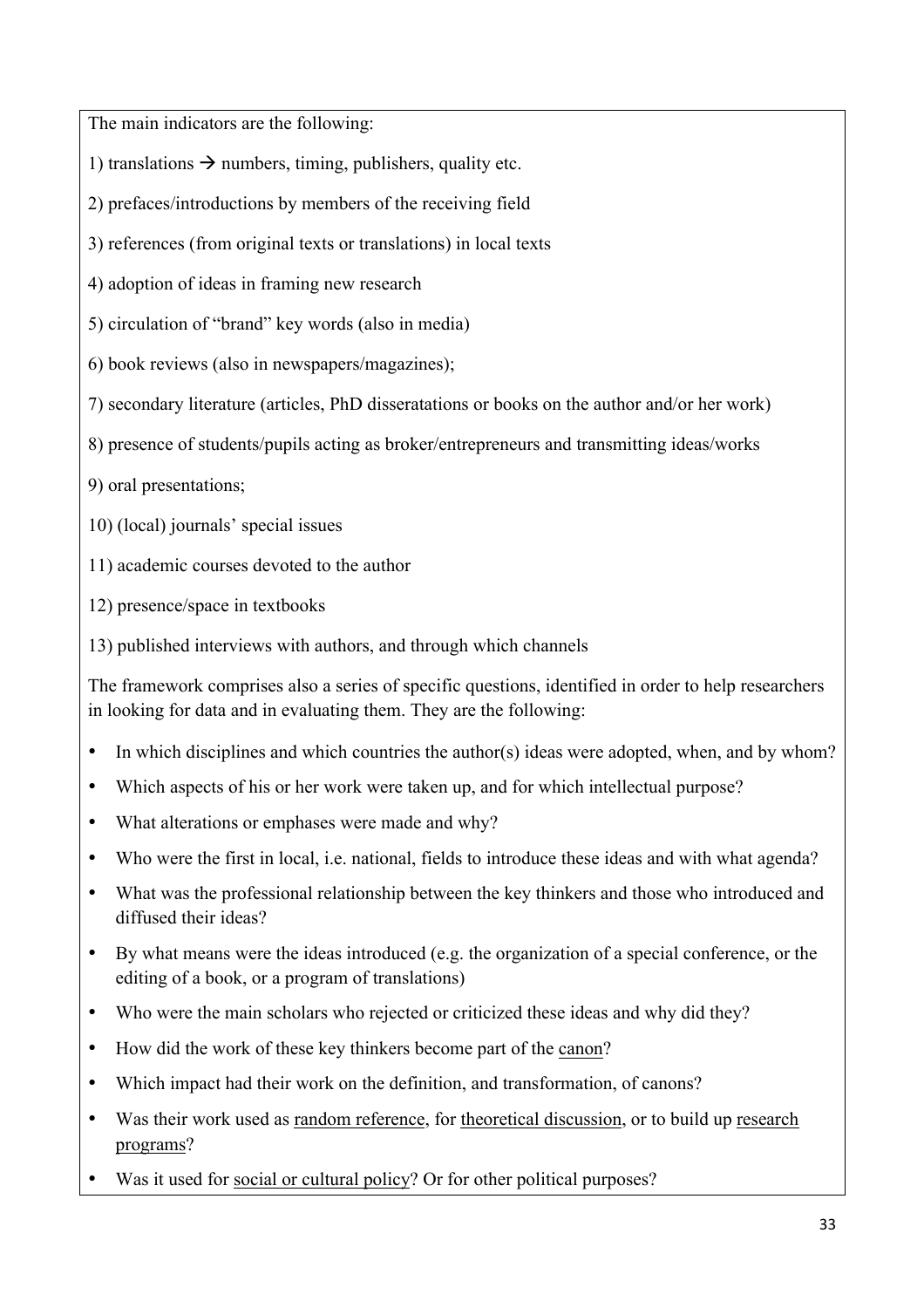The main indicators are the following:

1) translations  $\rightarrow$  numbers, timing, publishers, quality etc.

2) prefaces/introductions by members of the receiving field

3) references (from original texts or translations) in local texts

4) adoption of ideas in framing new research

5) circulation of "brand" key words (also in media)

- 6) book reviews (also in newspapers/magazines);
- 7) secondary literature (articles, PhD disseratations or books on the author and/or her work)
- 8) presence of students/pupils acting as broker/entrepreneurs and transmitting ideas/works
- 9) oral presentations;
- 10) (local) journals' special issues
- 11) academic courses devoted to the author
- 12) presence/space in textbooks
- 13) published interviews with authors, and through which channels

The framework comprises also a series of specific questions, identified in order to help researchers in looking for data and in evaluating them. They are the following:

- In which disciplines and which countries the author(s) ideas were adopted, when, and by whom?
- Which aspects of his or her work were taken up, and for which intellectual purpose?
- What alterations or emphases were made and why?
- Who were the first in local, i.e. national, fields to introduce these ideas and with what agenda?
- What was the professional relationship between the key thinkers and those who introduced and diffused their ideas?
- By what means were the ideas introduced (e.g. the organization of a special conference, or the editing of a book, or a program of translations)
- Who were the main scholars who rejected or criticized these ideas and why did they?
- How did the work of these key thinkers become part of the canon?
- Which impact had their work on the definition, and transformation, of canons?
- Was their work used as random reference, for theoretical discussion, or to build up research programs?
- Was it used for social or cultural policy? Or for other political purposes?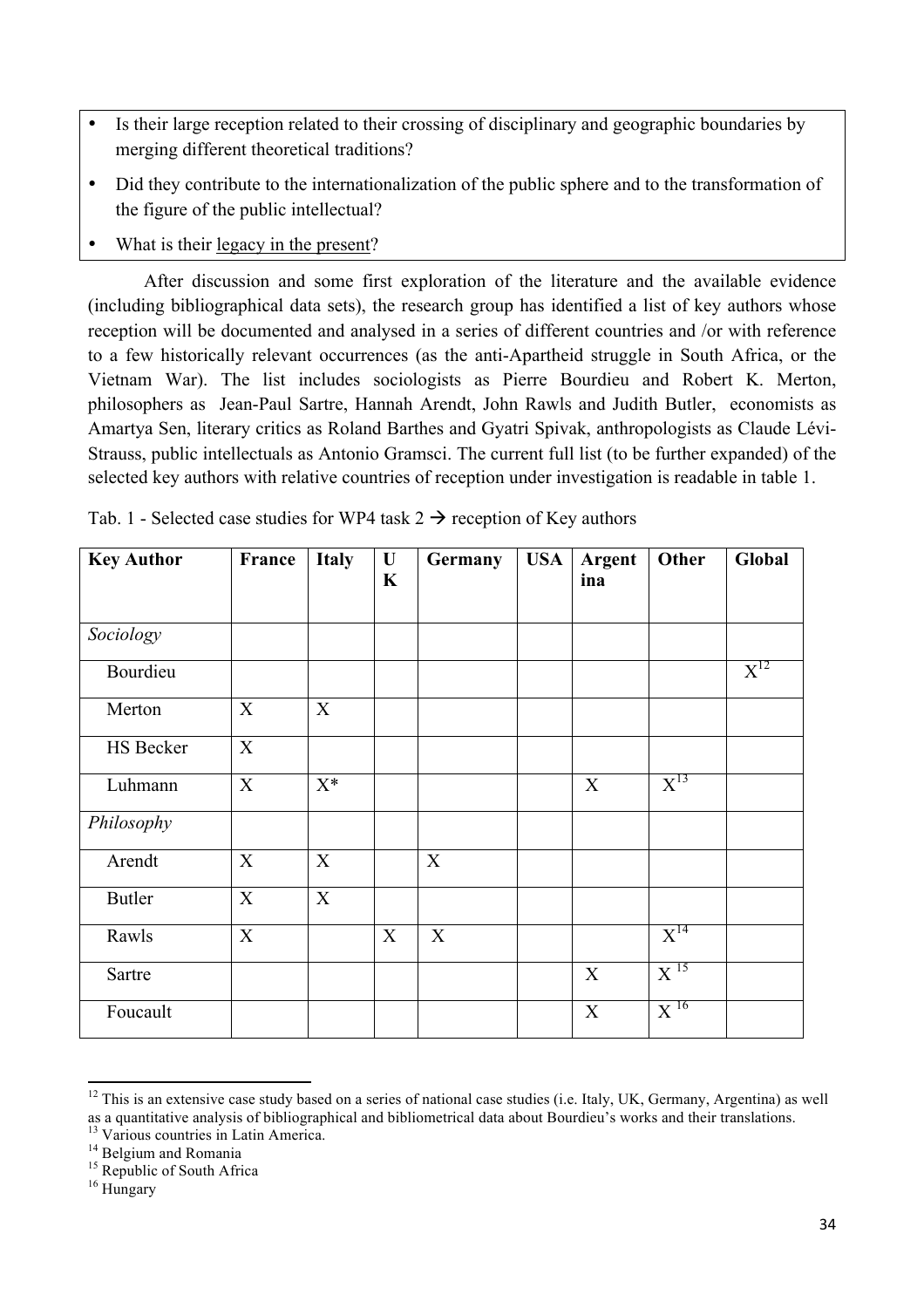- Is their large reception related to their crossing of disciplinary and geographic boundaries by merging different theoretical traditions?
- Did they contribute to the internationalization of the public sphere and to the transformation of the figure of the public intellectual?
- What is their legacy in the present?

After discussion and some first exploration of the literature and the available evidence (including bibliographical data sets), the research group has identified a list of key authors whose reception will be documented and analysed in a series of different countries and /or with reference to a few historically relevant occurrences (as the anti-Apartheid struggle in South Africa, or the Vietnam War). The list includes sociologists as Pierre Bourdieu and Robert K. Merton, philosophers as Jean-Paul Sartre, Hannah Arendt, John Rawls and Judith Butler, economists as Amartya Sen, literary critics as Roland Barthes and Gyatri Spivak, anthropologists as Claude Lévi-Strauss, public intellectuals as Antonio Gramsci. The current full list (to be further expanded) of the selected key authors with relative countries of reception under investigation is readable in table 1.

| <b>Key Author</b> | France | <b>Italy</b> | $\mathbf U$<br>$\mathbf K$ | Germany | <b>USA</b> | <b>Argent</b><br>ina | Other               | Global   |
|-------------------|--------|--------------|----------------------------|---------|------------|----------------------|---------------------|----------|
|                   |        |              |                            |         |            |                      |                     |          |
| Sociology         |        |              |                            |         |            |                      |                     |          |
| Bourdieu          |        |              |                            |         |            |                      |                     | $X^{12}$ |
| Merton            | X      | X            |                            |         |            |                      |                     |          |
| HS Becker         | X      |              |                            |         |            |                      |                     |          |
| Luhmann           | X      | $X^*$        |                            |         |            | X                    | $X^{13}$            |          |
| Philosophy        |        |              |                            |         |            |                      |                     |          |
| Arendt            | X      | X            |                            | X       |            |                      |                     |          |
| <b>Butler</b>     | X      | X            |                            |         |            |                      |                     |          |
| Rawls             | X      |              | $\mathbf X$                | X       |            |                      | $X^{14}$            |          |
| Sartre            |        |              |                            |         |            | X                    | X <sup>15</sup>     |          |
| Foucault          |        |              |                            |         |            | $\mathbf X$          | $\mathrm{X}^{\,16}$ |          |

Tab. 1 - Selected case studies for WP4 task  $2 \rightarrow$  reception of Key authors

<u> 1989 - Johann Stein, fransk politiker (d. 1989)</u>

 $12$  This is an extensive case study based on a series of national case studies (i.e. Italy, UK, Germany, Argentina) as well as a quantitative analysis of bibliographical and bibliometrical data about Bourdieu's works and their translations.<br><sup>13</sup> Various countries in Latin America.<br><sup>14</sup> Belgium and Romania <sup>15</sup> Republic of South Africa <sup>16</sup> Hung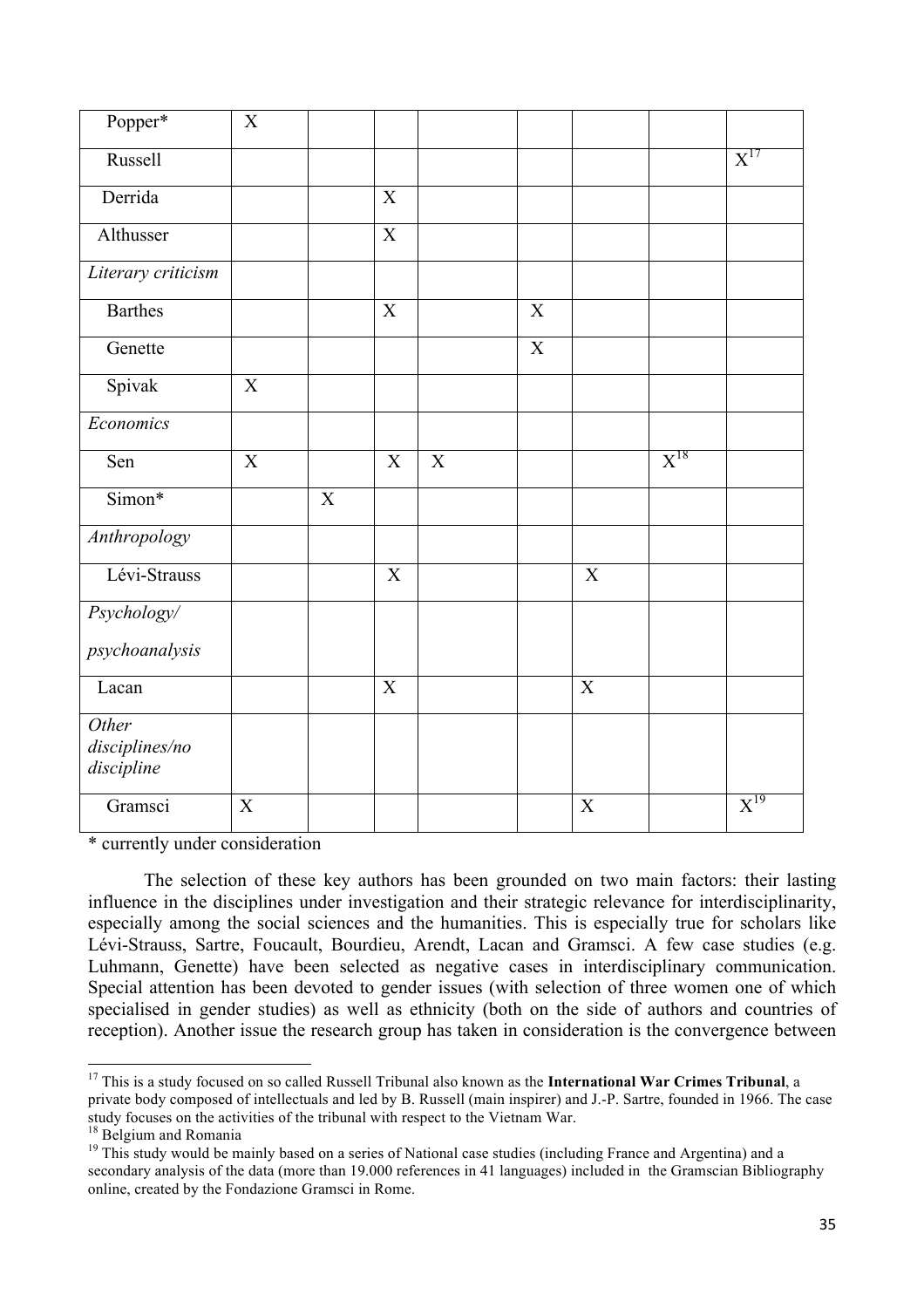| Popper*                               | $\mathbf X$    |                |                           |             |                |                |                   |          |
|---------------------------------------|----------------|----------------|---------------------------|-------------|----------------|----------------|-------------------|----------|
| Russell                               |                |                |                           |             |                |                |                   | $X^{17}$ |
| Derrida                               |                |                | $\mathbf X$               |             |                |                |                   |          |
| Althusser                             |                |                | $\overline{X}$            |             |                |                |                   |          |
| Literary criticism                    |                |                |                           |             |                |                |                   |          |
| <b>Barthes</b>                        |                |                | $\mathbf X$               |             | $\mathbf X$    |                |                   |          |
| Genette                               |                |                |                           |             | $\overline{X}$ |                |                   |          |
| Spivak                                | $\overline{X}$ |                |                           |             |                |                |                   |          |
| Economics                             |                |                |                           |             |                |                |                   |          |
| Sen                                   | $\mathbf X$    |                | $\mathbf X$               | $\mathbf X$ |                |                | $\mathrm{X}^{18}$ |          |
| Simon*                                |                | $\overline{X}$ |                           |             |                |                |                   |          |
| Anthropology                          |                |                |                           |             |                |                |                   |          |
| Lévi-Strauss                          |                |                | $\overline{X}$            |             |                | $\mathbf X$    |                   |          |
| Psychology/                           |                |                |                           |             |                |                |                   |          |
| psychoanalysis                        |                |                |                           |             |                |                |                   |          |
| Lacan                                 |                |                | $\boldsymbol{\mathrm{X}}$ |             |                | $\overline{X}$ |                   |          |
| Other<br>disciplines/no<br>discipline |                |                |                           |             |                |                |                   |          |
| Gramsci                               | X              |                |                           |             |                | $\mathbf X$    |                   | $X^{19}$ |

\* currently under consideration

The selection of these key authors has been grounded on two main factors: their lasting influence in the disciplines under investigation and their strategic relevance for interdisciplinarity, especially among the social sciences and the humanities. This is especially true for scholars like Lévi-Strauss, Sartre, Foucault, Bourdieu, Arendt, Lacan and Gramsci. A few case studies (e.g. Luhmann, Genette) have been selected as negative cases in interdisciplinary communication. Special attention has been devoted to gender issues (with selection of three women one of which specialised in gender studies) as well as ethnicity (both on the side of authors and countries of reception). Another issue the research group has taken in consideration is the convergence between

 

<sup>17</sup> This is a study focused on so called Russell Tribunal also known as the **International War Crimes Tribunal**, a private body composed of intellectuals and led by B. Russell (main inspirer) and J.-P. Sartre, founded in 1966. The case study focuses on the activities of the tribunal with respect to the Vietnam War.<sup>18</sup> Belgium and Romania

<sup>&</sup>lt;sup>19</sup> This study would be mainly based on a series of National case studies (including France and Argentina) and a secondary analysis of the data (more than 19.000 references in 41 languages) included in the Gramscian Bibliography online, created by the Fondazione Gramsci in Rome.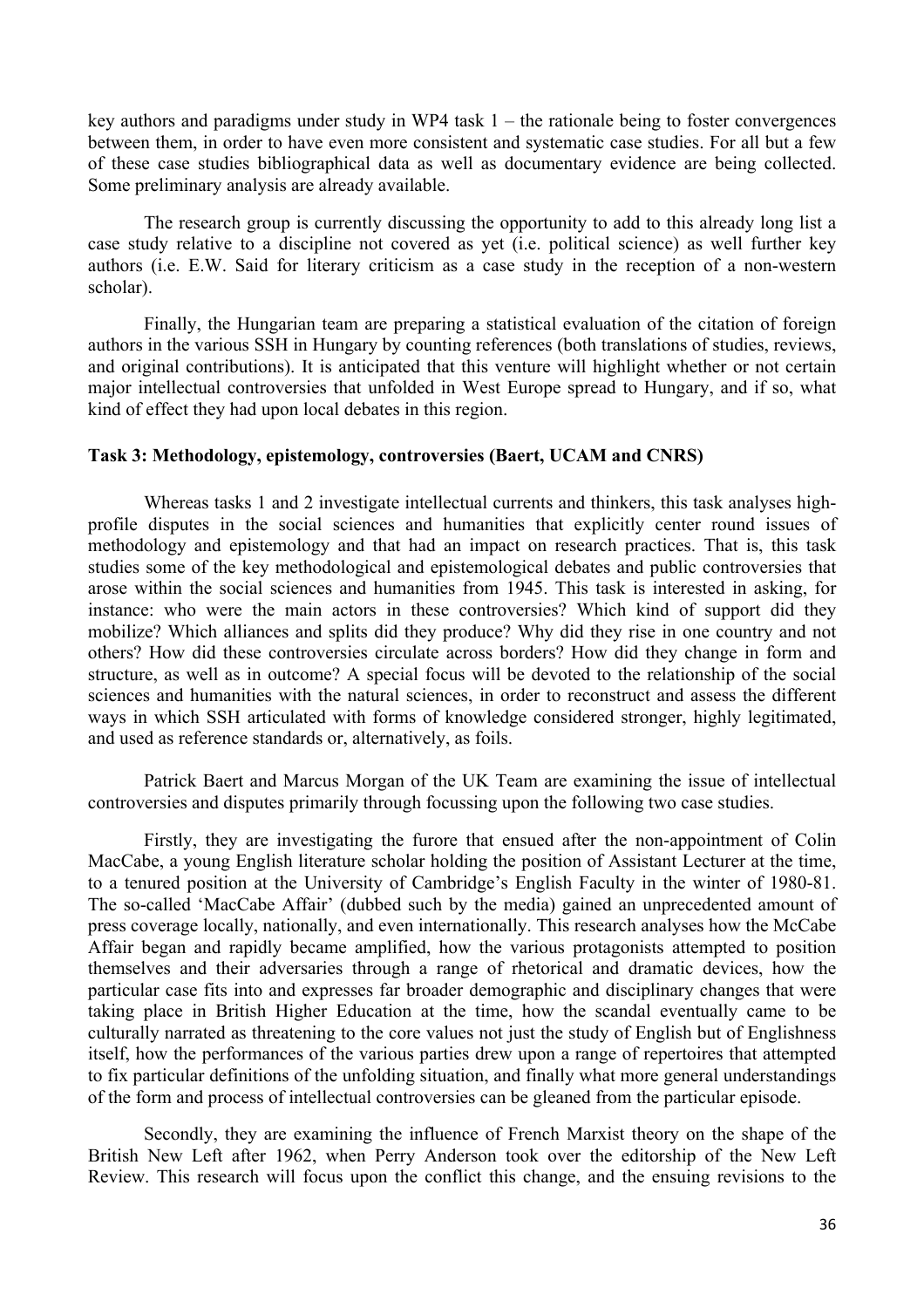key authors and paradigms under study in WP4 task  $1 -$  the rationale being to foster convergences between them, in order to have even more consistent and systematic case studies. For all but a few of these case studies bibliographical data as well as documentary evidence are being collected. Some preliminary analysis are already available.

The research group is currently discussing the opportunity to add to this already long list a case study relative to a discipline not covered as yet (i.e. political science) as well further key authors (i.e. E.W. Said for literary criticism as a case study in the reception of a non-western scholar).

Finally, the Hungarian team are preparing a statistical evaluation of the citation of foreign authors in the various SSH in Hungary by counting references (both translations of studies, reviews, and original contributions). It is anticipated that this venture will highlight whether or not certain major intellectual controversies that unfolded in West Europe spread to Hungary, and if so, what kind of effect they had upon local debates in this region.

#### **Task 3: Methodology, epistemology, controversies (Baert, UCAM and CNRS)**

Whereas tasks 1 and 2 investigate intellectual currents and thinkers, this task analyses highprofile disputes in the social sciences and humanities that explicitly center round issues of methodology and epistemology and that had an impact on research practices. That is, this task studies some of the key methodological and epistemological debates and public controversies that arose within the social sciences and humanities from 1945. This task is interested in asking, for instance: who were the main actors in these controversies? Which kind of support did they mobilize? Which alliances and splits did they produce? Why did they rise in one country and not others? How did these controversies circulate across borders? How did they change in form and structure, as well as in outcome? A special focus will be devoted to the relationship of the social sciences and humanities with the natural sciences, in order to reconstruct and assess the different ways in which SSH articulated with forms of knowledge considered stronger, highly legitimated, and used as reference standards or, alternatively, as foils.

Patrick Baert and Marcus Morgan of the UK Team are examining the issue of intellectual controversies and disputes primarily through focussing upon the following two case studies.

Firstly, they are investigating the furore that ensued after the non-appointment of Colin MacCabe, a young English literature scholar holding the position of Assistant Lecturer at the time, to a tenured position at the University of Cambridge's English Faculty in the winter of 1980-81. The so-called 'MacCabe Affair' (dubbed such by the media) gained an unprecedented amount of press coverage locally, nationally, and even internationally. This research analyses how the McCabe Affair began and rapidly became amplified, how the various protagonists attempted to position themselves and their adversaries through a range of rhetorical and dramatic devices, how the particular case fits into and expresses far broader demographic and disciplinary changes that were taking place in British Higher Education at the time, how the scandal eventually came to be culturally narrated as threatening to the core values not just the study of English but of Englishness itself, how the performances of the various parties drew upon a range of repertoires that attempted to fix particular definitions of the unfolding situation, and finally what more general understandings of the form and process of intellectual controversies can be gleaned from the particular episode.

Secondly, they are examining the influence of French Marxist theory on the shape of the British New Left after 1962, when Perry Anderson took over the editorship of the New Left Review. This research will focus upon the conflict this change, and the ensuing revisions to the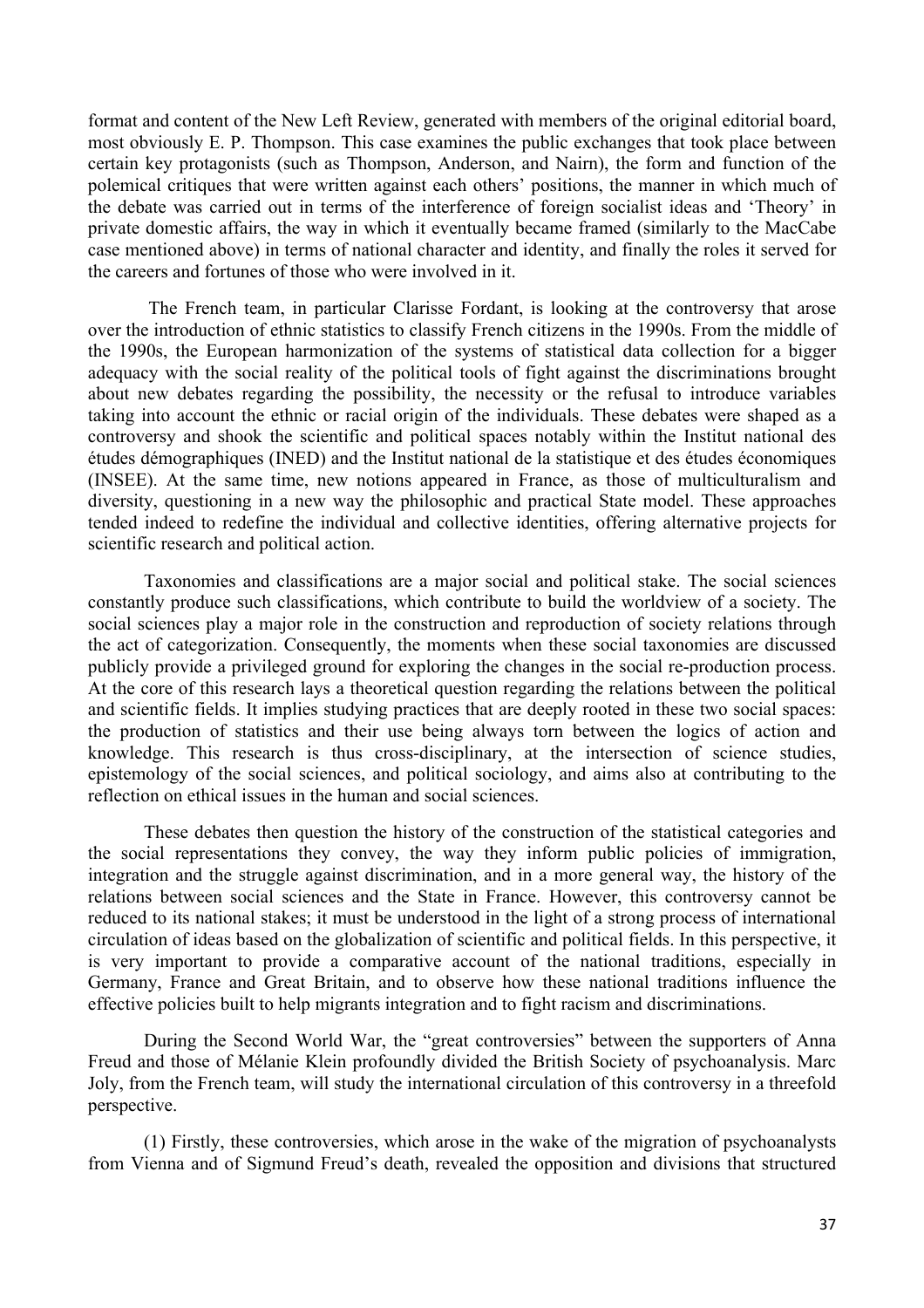format and content of the New Left Review, generated with members of the original editorial board, most obviously E. P. Thompson. This case examines the public exchanges that took place between certain key protagonists (such as Thompson, Anderson, and Nairn), the form and function of the polemical critiques that were written against each others' positions, the manner in which much of the debate was carried out in terms of the interference of foreign socialist ideas and 'Theory' in private domestic affairs, the way in which it eventually became framed (similarly to the MacCabe case mentioned above) in terms of national character and identity, and finally the roles it served for the careers and fortunes of those who were involved in it.

The French team, in particular Clarisse Fordant, is looking at the controversy that arose over the introduction of ethnic statistics to classify French citizens in the 1990s. From the middle of the 1990s, the European harmonization of the systems of statistical data collection for a bigger adequacy with the social reality of the political tools of fight against the discriminations brought about new debates regarding the possibility, the necessity or the refusal to introduce variables taking into account the ethnic or racial origin of the individuals. These debates were shaped as a controversy and shook the scientific and political spaces notably within the Institut national des études démographiques (INED) and the Institut national de la statistique et des études économiques (INSEE). At the same time, new notions appeared in France, as those of multiculturalism and diversity, questioning in a new way the philosophic and practical State model. These approaches tended indeed to redefine the individual and collective identities, offering alternative projects for scientific research and political action.

Taxonomies and classifications are a major social and political stake. The social sciences constantly produce such classifications, which contribute to build the worldview of a society. The social sciences play a major role in the construction and reproduction of society relations through the act of categorization. Consequently, the moments when these social taxonomies are discussed publicly provide a privileged ground for exploring the changes in the social re-production process. At the core of this research lays a theoretical question regarding the relations between the political and scientific fields. It implies studying practices that are deeply rooted in these two social spaces: the production of statistics and their use being always torn between the logics of action and knowledge. This research is thus cross-disciplinary, at the intersection of science studies, epistemology of the social sciences, and political sociology, and aims also at contributing to the reflection on ethical issues in the human and social sciences.

These debates then question the history of the construction of the statistical categories and the social representations they convey, the way they inform public policies of immigration, integration and the struggle against discrimination, and in a more general way, the history of the relations between social sciences and the State in France. However, this controversy cannot be reduced to its national stakes; it must be understood in the light of a strong process of international circulation of ideas based on the globalization of scientific and political fields. In this perspective, it is very important to provide a comparative account of the national traditions, especially in Germany, France and Great Britain, and to observe how these national traditions influence the effective policies built to help migrants integration and to fight racism and discriminations.

During the Second World War, the "great controversies" between the supporters of Anna Freud and those of Mélanie Klein profoundly divided the British Society of psychoanalysis. Marc Joly, from the French team, will study the international circulation of this controversy in a threefold perspective.

(1) Firstly, these controversies, which arose in the wake of the migration of psychoanalysts from Vienna and of Sigmund Freud's death, revealed the opposition and divisions that structured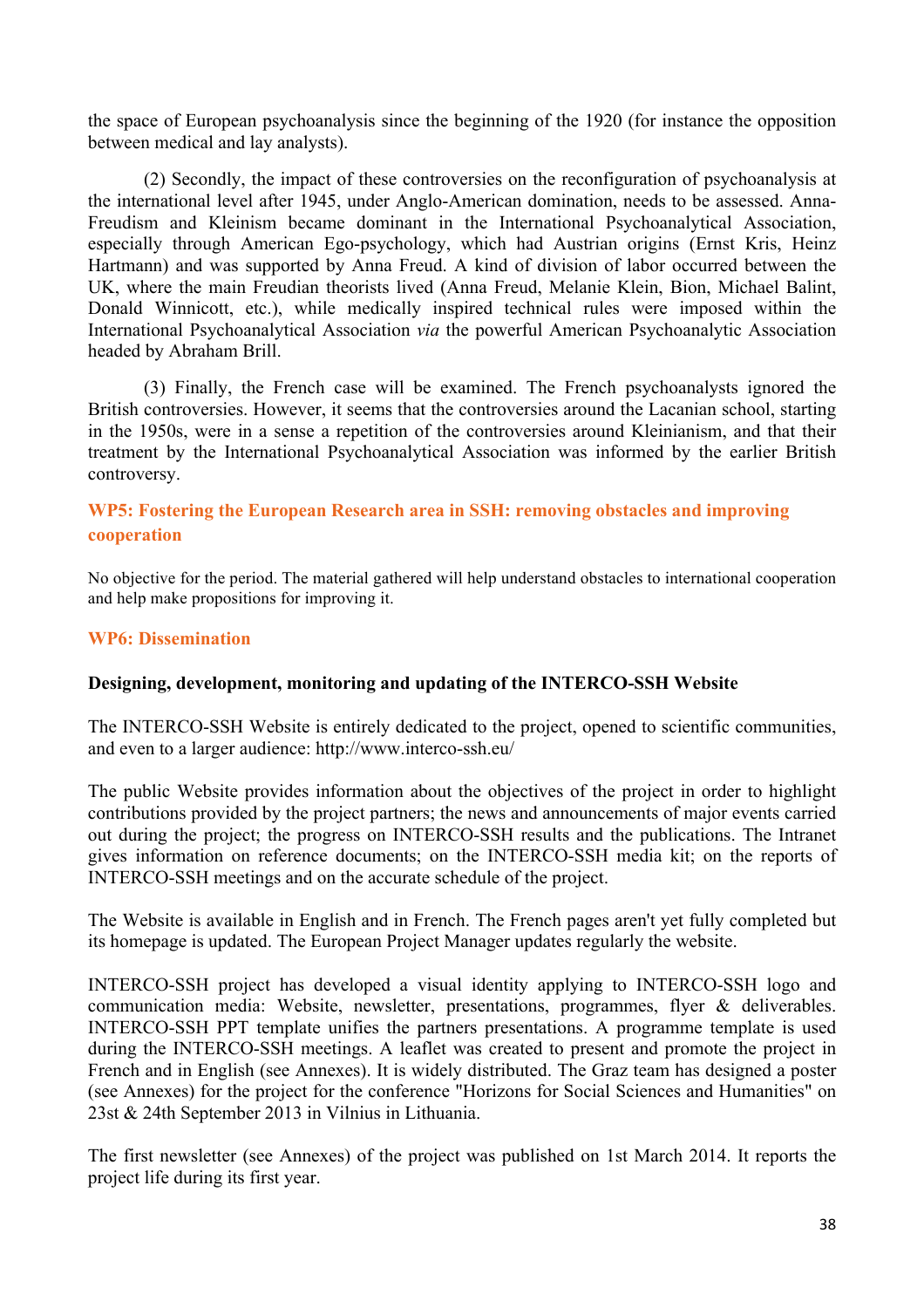the space of European psychoanalysis since the beginning of the 1920 (for instance the opposition between medical and lay analysts).

(2) Secondly, the impact of these controversies on the reconfiguration of psychoanalysis at the international level after 1945, under Anglo-American domination, needs to be assessed. Anna-Freudism and Kleinism became dominant in the International Psychoanalytical Association, especially through American Ego-psychology, which had Austrian origins (Ernst Kris, Heinz Hartmann) and was supported by Anna Freud. A kind of division of labor occurred between the UK, where the main Freudian theorists lived (Anna Freud, Melanie Klein, Bion, Michael Balint, Donald Winnicott, etc.), while medically inspired technical rules were imposed within the International Psychoanalytical Association *via* the powerful American Psychoanalytic Association headed by Abraham Brill.

(3) Finally, the French case will be examined. The French psychoanalysts ignored the British controversies. However, it seems that the controversies around the Lacanian school, starting in the 1950s, were in a sense a repetition of the controversies around Kleinianism, and that their treatment by the International Psychoanalytical Association was informed by the earlier British controversy.

# **WP5: Fostering the European Research area in SSH: removing obstacles and improving cooperation**

No objective for the period. The material gathered will help understand obstacles to international cooperation and help make propositions for improving it.

#### **WP6: Dissemination**

#### **Designing, development, monitoring and updating of the INTERCO-SSH Website**

The INTERCO-SSH Website is entirely dedicated to the project, opened to scientific communities, and even to a larger audience: http://www.interco-ssh.eu/

The public Website provides information about the objectives of the project in order to highlight contributions provided by the project partners; the news and announcements of major events carried out during the project; the progress on INTERCO-SSH results and the publications. The Intranet gives information on reference documents; on the INTERCO-SSH media kit; on the reports of INTERCO-SSH meetings and on the accurate schedule of the project.

The Website is available in English and in French. The French pages aren't yet fully completed but its homepage is updated. The European Project Manager updates regularly the website.

INTERCO-SSH project has developed a visual identity applying to INTERCO-SSH logo and communication media: Website, newsletter, presentations, programmes, flyer & deliverables. INTERCO-SSH PPT template unifies the partners presentations. A programme template is used during the INTERCO-SSH meetings. A leaflet was created to present and promote the project in French and in English (see Annexes). It is widely distributed. The Graz team has designed a poster (see Annexes) for the project for the conference "Horizons for Social Sciences and Humanities" on 23st & 24th September 2013 in Vilnius in Lithuania.

The first newsletter (see Annexes) of the project was published on 1st March 2014. It reports the project life during its first year.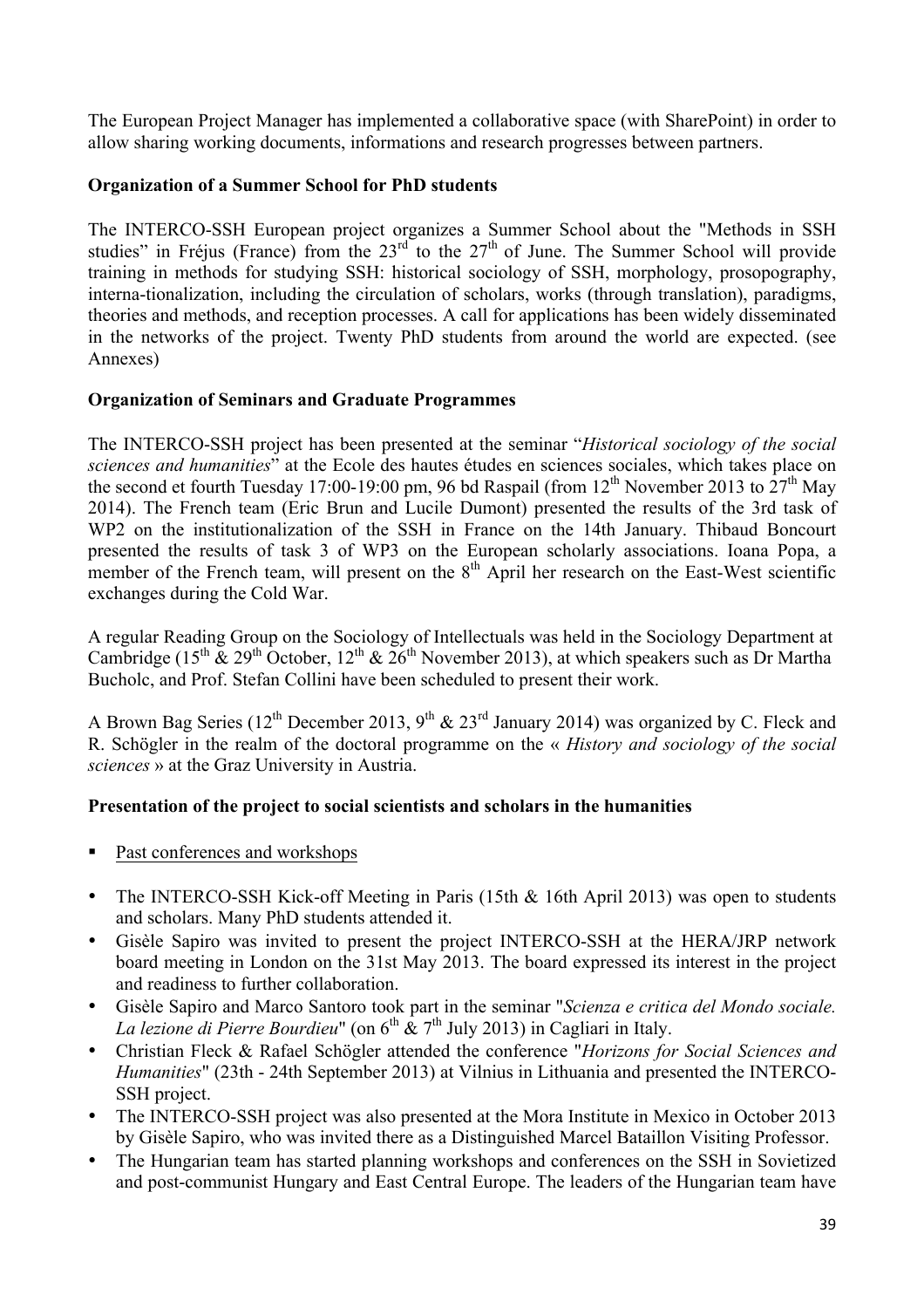The European Project Manager has implemented a collaborative space (with SharePoint) in order to allow sharing working documents, informations and research progresses between partners.

# **Organization of a Summer School for PhD students**

The INTERCO-SSH European project organizes a Summer School about the "Methods in SSH studies" in Fréjus (France) from the  $23<sup>rd</sup>$  to the  $27<sup>th</sup>$  of June. The Summer School will provide training in methods for studying SSH: historical sociology of SSH, morphology, prosopography, interna-tionalization, including the circulation of scholars, works (through translation), paradigms, theories and methods, and reception processes. A call for applications has been widely disseminated in the networks of the project. Twenty PhD students from around the world are expected. (see Annexes)

# **Organization of Seminars and Graduate Programmes**

The INTERCO-SSH project has been presented at the seminar "*Historical sociology of the social sciences and humanities*" at the Ecole des hautes études en sciences sociales, which takes place on the second et fourth Tuesday 17:00-19:00 pm, 96 bd Raspail (from  $12<sup>th</sup>$  November 2013 to  $27<sup>th</sup>$  May 2014). The French team (Eric Brun and Lucile Dumont) presented the results of the 3rd task of WP2 on the institutionalization of the SSH in France on the 14th January. Thibaud Boncourt presented the results of task 3 of WP3 on the European scholarly associations. Ioana Popa, a member of the French team, will present on the  $8<sup>th</sup>$  April her research on the East-West scientific exchanges during the Cold War.

A regular Reading Group on the Sociology of Intellectuals was held in the Sociology Department at Cambridge (15<sup>th</sup>  $\&$  29<sup>th</sup> October, 12<sup>th</sup>  $\&$  26<sup>th</sup> November 2013), at which speakers such as Dr Martha Bucholc, and Prof. Stefan Collini have been scheduled to present their work.

A Brown Bag Series ( $12^{th}$  December 2013, 9<sup>th</sup> & 23<sup>rd</sup> January 2014) was organized by C. Fleck and R. Schögler in the realm of the doctoral programme on the « *History and sociology of the social sciences* » at the Graz University in Austria.

# **Presentation of the project to social scientists and scholars in the humanities**

- Past conferences and workshops
- The INTERCO-SSH Kick-off Meeting in Paris (15th & 16th April 2013) was open to students and scholars. Many PhD students attended it.
- Gisèle Sapiro was invited to present the project INTERCO-SSH at the HERA/JRP network board meeting in London on the 31st May 2013. The board expressed its interest in the project and readiness to further collaboration.
- Gisèle Sapiro and Marco Santoro took part in the seminar "*Scienza e critica del Mondo sociale. La lezione di Pierre Bourdieu*" (on  $6<sup>th</sup>$  &  $7<sup>th</sup>$  July 2013) in Cagliari in Italy.
- Christian Fleck & Rafael Schögler attended the conference "*Horizons for Social Sciences and Humanities*" (23th - 24th September 2013) at Vilnius in Lithuania and presented the INTERCO-SSH project.
- The INTERCO-SSH project was also presented at the Mora Institute in Mexico in October 2013 by Gisèle Sapiro, who was invited there as a Distinguished Marcel Bataillon Visiting Professor.
- The Hungarian team has started planning workshops and conferences on the SSH in Sovietized and post-communist Hungary and East Central Europe. The leaders of the Hungarian team have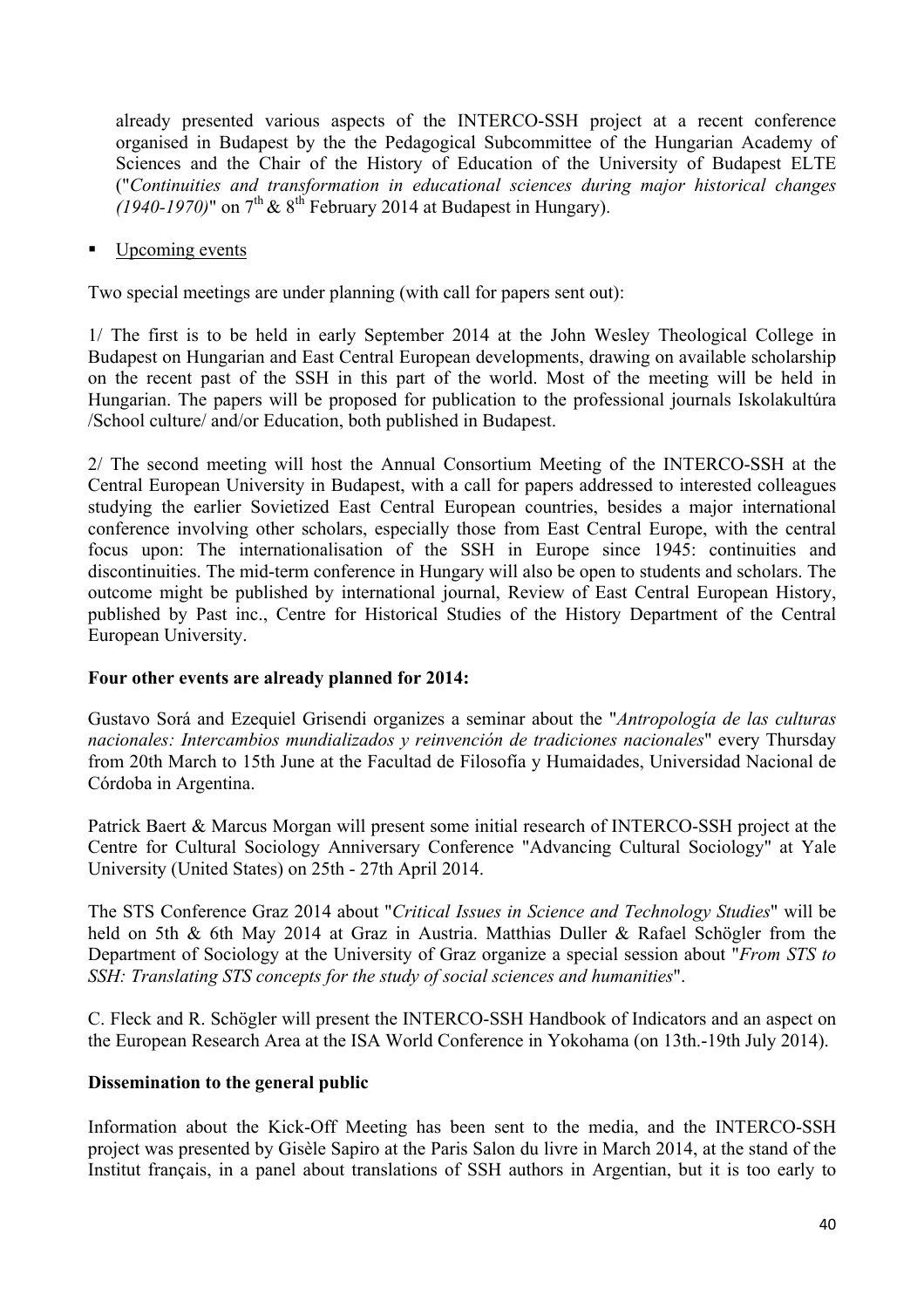already presented various aspects of the INTERCO-SSH project at a recent conference organised in Budapest by the the Pedagogical Subcommittee of the Hungarian Academy of Sciences and the Chair of the History of Education of the University of Budapest ELTE ("*Continuities and transformation in educational sciences during major historical changes*   $(1940-1970)$ " on 7<sup>th</sup> & 8<sup>th</sup> February 2014 at Budapest in Hungary).

■ Upcoming events

Two special meetings are under planning (with call for papers sent out):

1/ The first is to be held in early September 2014 at the John Wesley Theological College in Budapest on Hungarian and East Central European developments, drawing on available scholarship on the recent past of the SSH in this part of the world. Most of the meeting will be held in Hungarian. The papers will be proposed for publication to the professional journals Iskolakultúra /School culture/ and/or Education, both published in Budapest.

2/ The second meeting will host the Annual Consortium Meeting of the INTERCO-SSH at the Central European University in Budapest, with a call for papers addressed to interested colleagues studying the earlier Sovietized East Central European countries, besides a major international conference involving other scholars, especially those from East Central Europe, with the central focus upon: The internationalisation of the SSH in Europe since 1945: continuities and discontinuities. The mid-term conference in Hungary will also be open to students and scholars. The outcome might be published by international journal, Review of East Central European History, published by Past inc., Centre for Historical Studies of the History Department of the Central European University.

#### **Four other events are already planned for 2014:**

Gustavo Sorá and Ezequiel Grisendi organizes a seminar about the "*Antropología de las culturas nacionales: Intercambios mundializados y reinvención de tradiciones nacionales*" every Thursday from 20th March to 15th June at the Facultad de Filosofía y Humaidades, Universidad Nacional de Córdoba in Argentina.

Patrick Baert & Marcus Morgan will present some initial research of INTERCO-SSH project at the Centre for Cultural Sociology Anniversary Conference "Advancing Cultural Sociology" at Yale University (United States) on 25th - 27th April 2014.

The STS Conference Graz 2014 about "*Critical Issues in Science and Technology Studies*" will be held on 5th & 6th May 2014 at Graz in Austria. Matthias Duller & Rafael Schögler from the Department of Sociology at the University of Graz organize a special session about "*From STS to SSH: Translating STS concepts for the study of social sciences and humanities*".

C. Fleck and R. Schögler will present the INTERCO-SSH Handbook of Indicators and an aspect on the European Research Area at the ISA World Conference in Yokohama (on 13th.-19th July 2014).

#### **Dissemination to the general public**

Information about the Kick-Off Meeting has been sent to the media, and the INTERCO-SSH project was presented by Gisèle Sapiro at the Paris Salon du livre in March 2014, at the stand of the Institut français, in a panel about translations of SSH authors in Argentian, but it is too early to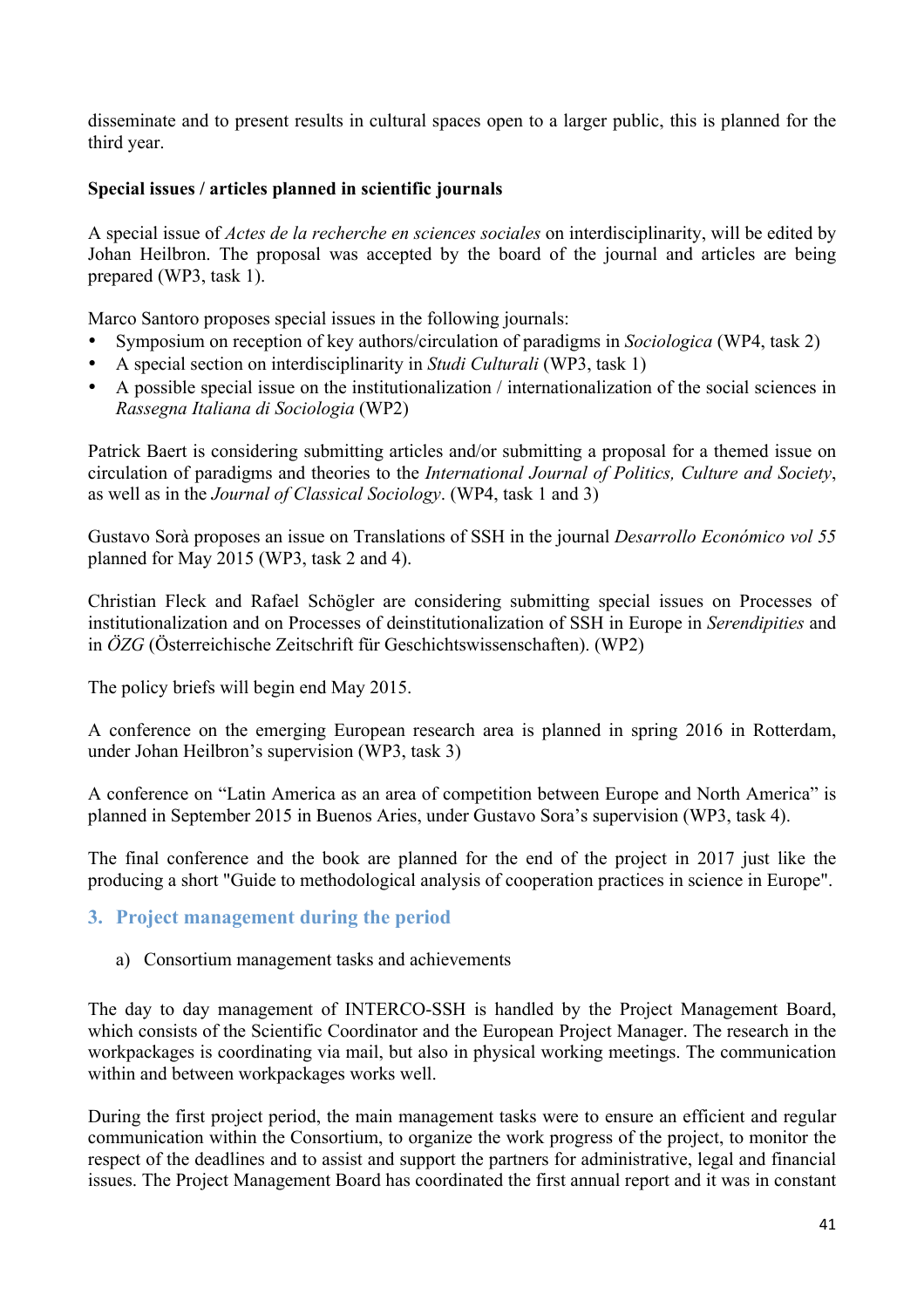disseminate and to present results in cultural spaces open to a larger public, this is planned for the third year.

# **Special issues / articles planned in scientific journals**

A special issue of *Actes de la recherche en sciences sociales* on interdisciplinarity, will be edited by Johan Heilbron. The proposal was accepted by the board of the journal and articles are being prepared (WP3, task 1).

Marco Santoro proposes special issues in the following journals:

- Symposium on reception of key authors/circulation of paradigms in *Sociologica* (WP4, task 2)
- A special section on interdisciplinarity in *Studi Culturali* (WP3, task 1)
- A possible special issue on the institutionalization / internationalization of the social sciences in *Rassegna Italiana di Sociologia* (WP2)

Patrick Baert is considering submitting articles and/or submitting a proposal for a themed issue on circulation of paradigms and theories to the *International Journal of Politics, Culture and Society*, as well as in the *Journal of Classical Sociology*. (WP4, task 1 and 3)

Gustavo Sorà proposes an issue on Translations of SSH in the journal *Desarrollo Económico vol 55* planned for May 2015 (WP3, task 2 and 4).

Christian Fleck and Rafael Schögler are considering submitting special issues on Processes of institutionalization and on Processes of deinstitutionalization of SSH in Europe in *Serendipities* and in *ÖZG* (Österreichische Zeitschrift für Geschichtswissenschaften). (WP2)

The policy briefs will begin end May 2015.

A conference on the emerging European research area is planned in spring 2016 in Rotterdam, under Johan Heilbron's supervision (WP3, task 3)

A conference on "Latin America as an area of competition between Europe and North America" is planned in September 2015 in Buenos Aries, under Gustavo Sora's supervision (WP3, task 4).

The final conference and the book are planned for the end of the project in 2017 just like the producing a short "Guide to methodological analysis of cooperation practices in science in Europe".

# **3. Project management during the period**

# a) Consortium management tasks and achievements

The day to day management of INTERCO-SSH is handled by the Project Management Board, which consists of the Scientific Coordinator and the European Project Manager. The research in the workpackages is coordinating via mail, but also in physical working meetings. The communication within and between workpackages works well.

During the first project period, the main management tasks were to ensure an efficient and regular communication within the Consortium, to organize the work progress of the project, to monitor the respect of the deadlines and to assist and support the partners for administrative, legal and financial issues. The Project Management Board has coordinated the first annual report and it was in constant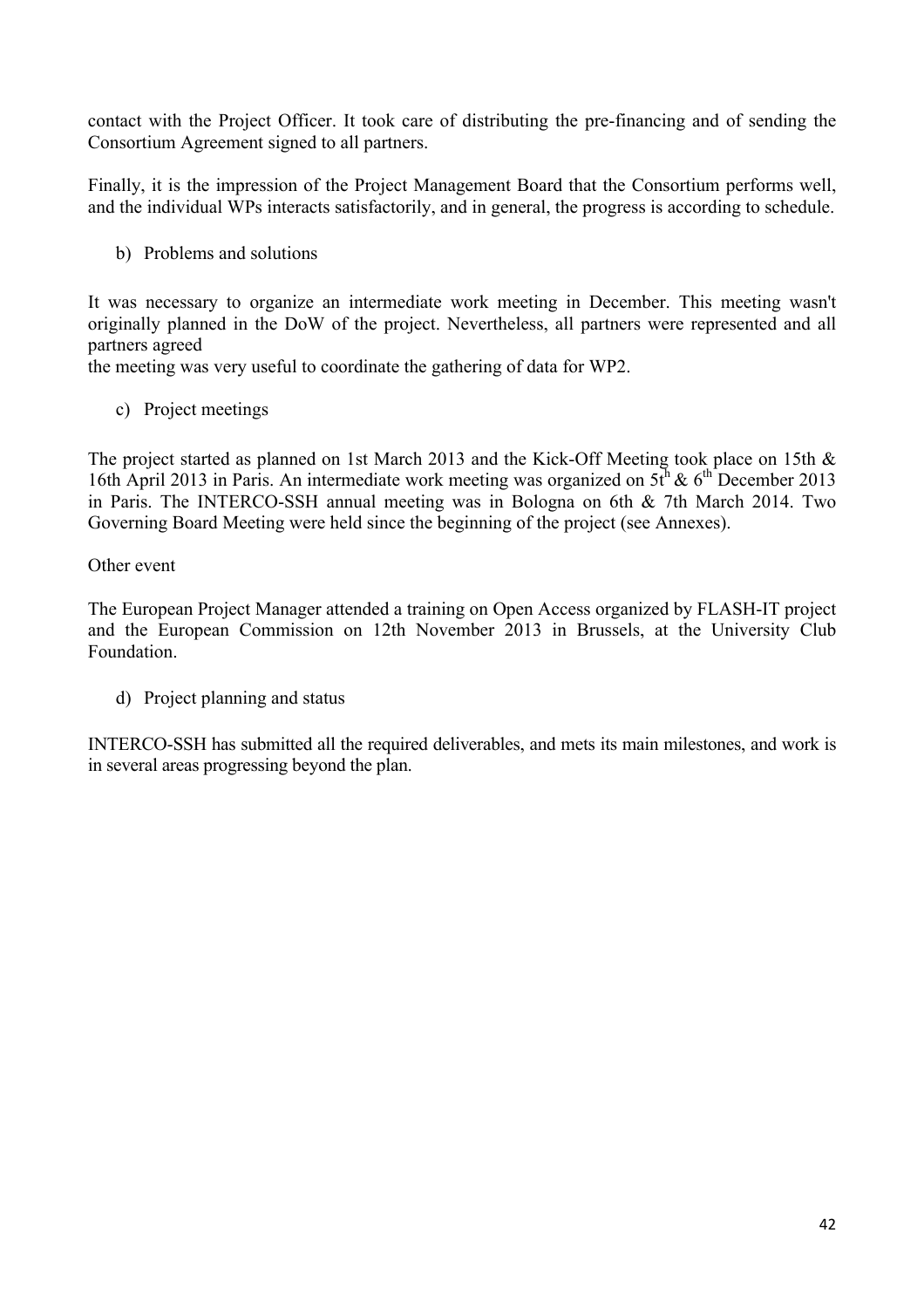contact with the Project Officer. It took care of distributing the pre-financing and of sending the Consortium Agreement signed to all partners.

Finally, it is the impression of the Project Management Board that the Consortium performs well, and the individual WPs interacts satisfactorily, and in general, the progress is according to schedule.

b) Problems and solutions

It was necessary to organize an intermediate work meeting in December. This meeting wasn't originally planned in the DoW of the project. Nevertheless, all partners were represented and all partners agreed

the meeting was very useful to coordinate the gathering of data for WP2.

c) Project meetings

The project started as planned on 1st March 2013 and the Kick-Off Meeting took place on 15th & 16th April 2013 in Paris. An intermediate work meeting was organized on  $5t<sup>h</sup> \& 6<sup>th</sup>$  December 2013 in Paris. The INTERCO-SSH annual meeting was in Bologna on 6th & 7th March 2014. Two Governing Board Meeting were held since the beginning of the project (see Annexes).

# Other event

The European Project Manager attended a training on Open Access organized by FLASH-IT project and the European Commission on 12th November 2013 in Brussels, at the University Club Foundation.

d) Project planning and status

INTERCO-SSH has submitted all the required deliverables, and mets its main milestones, and work is in several areas progressing beyond the plan.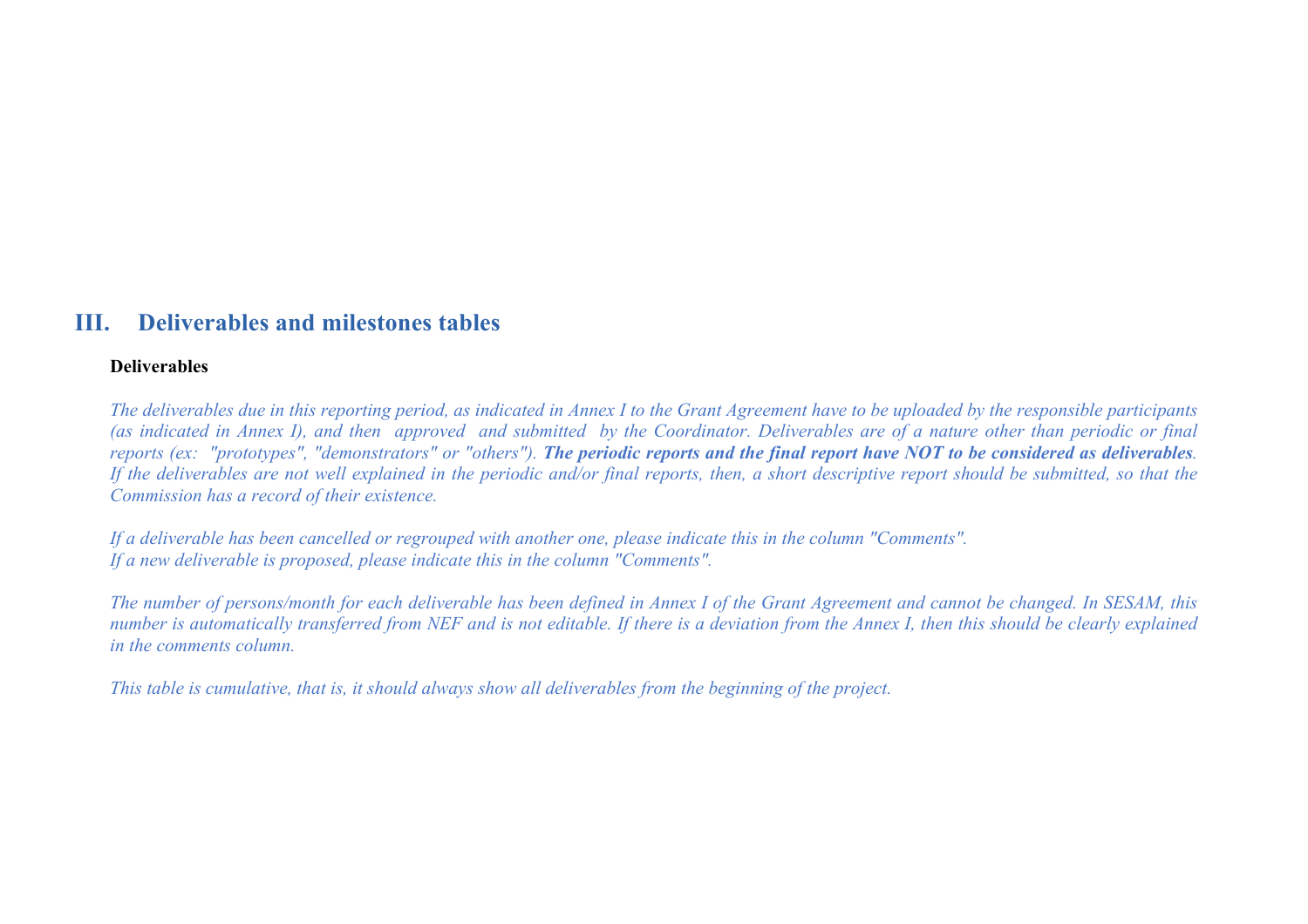# **III. Deliverables and milestones tables**

#### **Deliverables**

*The deliverables due in this reporting period, as indicated in Annex I to the Grant Agreement have to be uploaded by the responsible participants (as indicated in Annex I), and then approved and submitted by the Coordinator. Deliverables are of a nature other than periodic or final reports (ex: "prototypes", "demonstrators" or "others"). The periodic reports and the final report have NOT to be considered as deliverables. If the deliverables are not well explained in the periodic and/or final reports, then, a short descriptive report should be submitted, so that the Commission has a record of their existence.*

*If a deliverable has been cancelled or regrouped with another one, please indicate this in the column "Comments". If a new deliverable is proposed, please indicate this in the column "Comments".*

*The number of persons/month for each deliverable has been defined in Annex I of the Grant Agreement and cannot be changed. In SESAM, this number is automatically transferred from NEF and is not editable. If there is a deviation from the Annex I, then this should be clearly explained in the comments column.*

*This table is cumulative, that is, it should always show all deliverables from the beginning of the project.*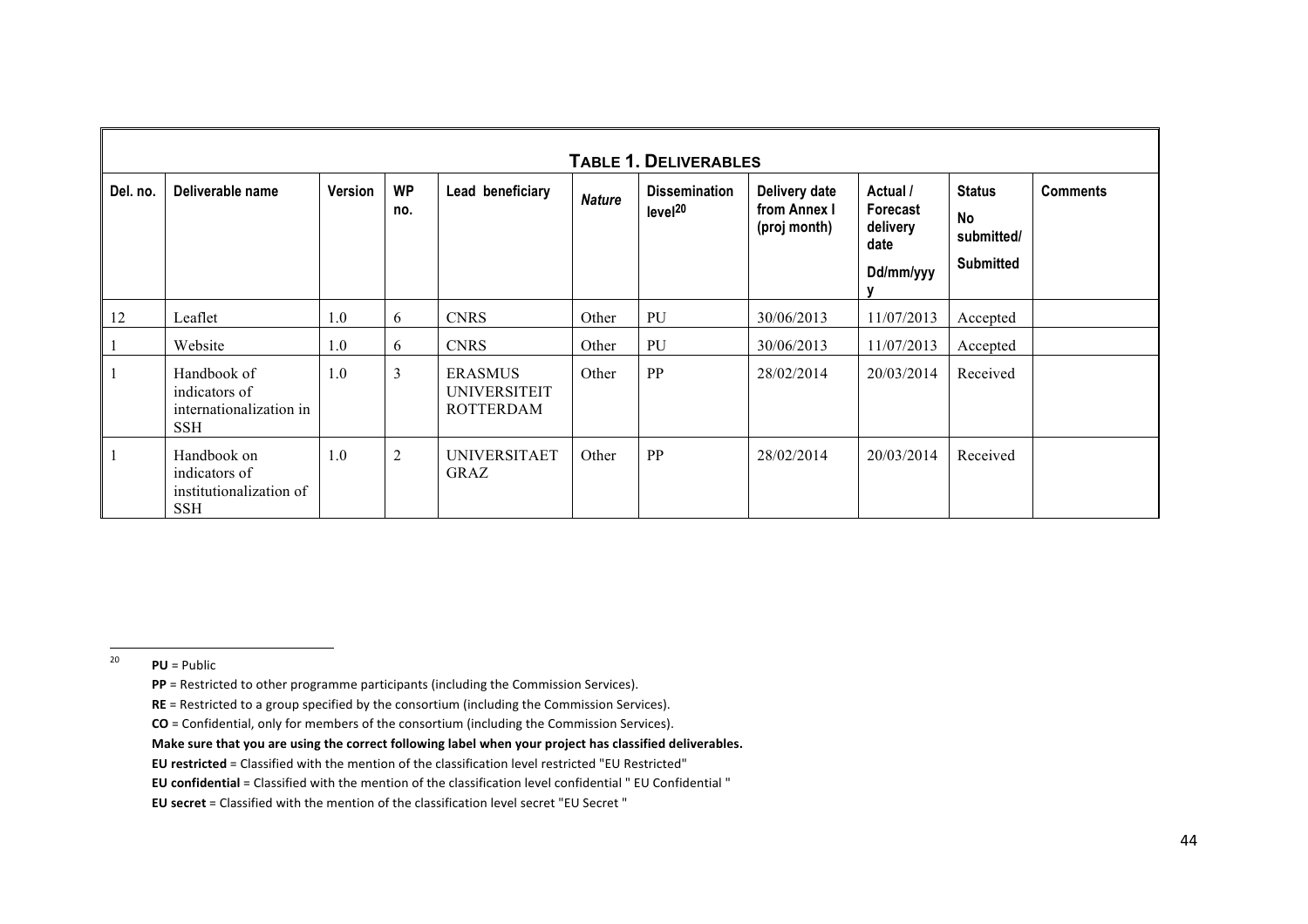|          | <b>TABLE 1. DELIVERABLES</b>                                          |         |                  |                                                           |               |                                             |                                               |                                                       |                                                       |                 |  |  |
|----------|-----------------------------------------------------------------------|---------|------------------|-----------------------------------------------------------|---------------|---------------------------------------------|-----------------------------------------------|-------------------------------------------------------|-------------------------------------------------------|-----------------|--|--|
| Del. no. | Deliverable name                                                      | Version | <b>WP</b><br>no. | Lead beneficiary                                          | <b>Nature</b> | <b>Dissemination</b><br>level <sup>20</sup> | Delivery date<br>from Annex I<br>(proj month) | Actual /<br>Forecast<br>delivery<br>date<br>Dd/mm/yyy | <b>Status</b><br>No<br>submitted/<br><b>Submitted</b> | <b>Comments</b> |  |  |
| 12       | Leaflet                                                               | 1.0     | 6                | <b>CNRS</b>                                               | Other         | PU                                          | 30/06/2013                                    | 11/07/2013                                            | Accepted                                              |                 |  |  |
|          | Website                                                               | 1.0     | 6                | <b>CNRS</b>                                               | Other         | PU                                          | 30/06/2013                                    | 11/07/2013                                            | Accepted                                              |                 |  |  |
|          | Handbook of<br>indicators of<br>internationalization in<br><b>SSH</b> | 1.0     | $\overline{3}$   | <b>ERASMUS</b><br><b>UNIVERSITEIT</b><br><b>ROTTERDAM</b> | Other         | PP                                          | 28/02/2014                                    | 20/03/2014                                            | Received                                              |                 |  |  |
|          | Handbook on<br>indicators of<br>institutionalization of<br><b>SSH</b> | 1.0     | $\overline{2}$   | <b>UNIVERSITAET</b><br><b>GRAZ</b>                        | Other         | PP                                          | 28/02/2014                                    | 20/03/2014                                            | Received                                              |                 |  |  |

 $^{20}$  **PU** = Public

- **PP** = Restricted to other programme participants (including the Commission Services).
- **RE** = Restricted to a group specified by the consortium (including the Commission Services).
- **CO** = Confidential, only for members of the consortium (including the Commission Services).
- Make sure that you are using the correct following label when your project has classified deliverables.
- **EU** restricted = Classified with the mention of the classification level restricted "EU Restricted"
- **EU** confidential = Classified with the mention of the classification level confidential " EU Confidential "
- **EU** secret = Classified with the mention of the classification level secret "EU Secret "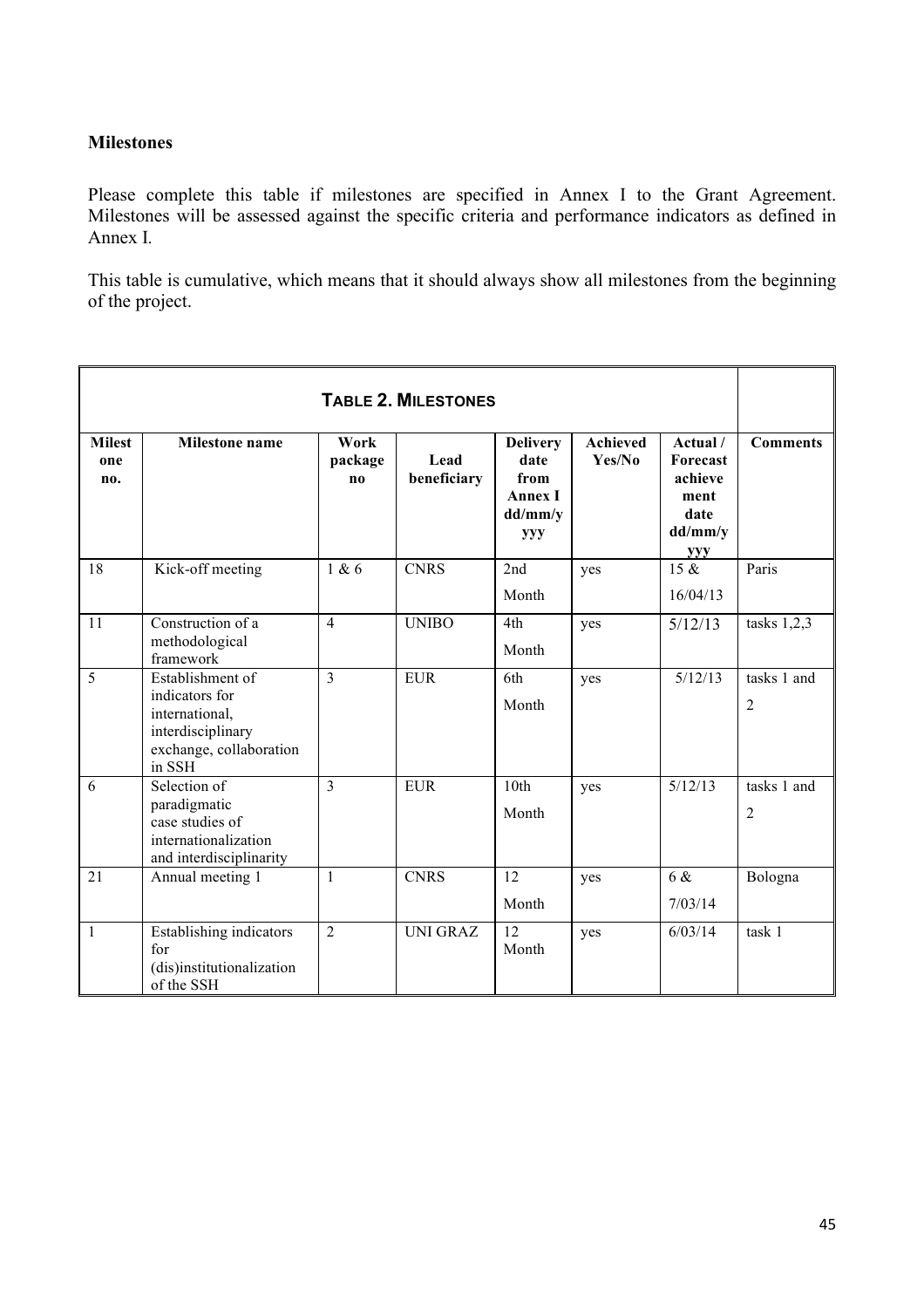# **Milestones**

Please complete this table if milestones are specified in Annex I to the Grant Agreement. Milestones will be assessed against the specific criteria and performance indicators as defined in Annex I*.*

This table is cumulative, which means that it should always show all milestones from the beginning of the project.

| <b>TABLE 2. MILESTONES</b>  |                                                                                                                |                              |                     |                                                                            |                           |                                                                                 |                               |  |  |  |  |
|-----------------------------|----------------------------------------------------------------------------------------------------------------|------------------------------|---------------------|----------------------------------------------------------------------------|---------------------------|---------------------------------------------------------------------------------|-------------------------------|--|--|--|--|
| <b>Milest</b><br>one<br>no. | <b>Milestone</b> name                                                                                          | Work<br>package<br>$\bf{no}$ | Lead<br>beneficiary | <b>Delivery</b><br>date<br>from<br><b>Annex I</b><br>dd/mm/y<br><b>yyy</b> | <b>Achieved</b><br>Yes/No | Actual /<br><b>Forecast</b><br>achieve<br>ment<br>date<br>dd/mm/y<br><b>yyy</b> | <b>Comments</b>               |  |  |  |  |
| 18                          | Kick-off meeting                                                                                               | 1 & 6                        | <b>CNRS</b>         | 2nd<br>Month                                                               | yes                       | $15 \&$<br>16/04/13                                                             | Paris                         |  |  |  |  |
| 11                          | Construction of a<br>methodological<br>framework                                                               | $\overline{4}$               | <b>UNIBO</b>        | 4th<br>Month                                                               | yes                       | 5/12/13                                                                         | tasks $1,2,3$                 |  |  |  |  |
| 5                           | Establishment of<br>indicators for<br>international,<br>interdisciplinary<br>exchange, collaboration<br>in SSH | $\overline{3}$               | <b>EUR</b>          | 6th<br>Month                                                               | yes                       | 5/12/13                                                                         | tasks 1 and<br>$\overline{2}$ |  |  |  |  |
| 6                           | Selection of<br>paradigmatic<br>case studies of<br>internationalization<br>and interdisciplinarity             | $\overline{3}$               | <b>EUR</b>          | 10 <sub>th</sub><br>Month                                                  | yes                       | 5/12/13                                                                         | tasks 1 and<br>$\overline{2}$ |  |  |  |  |
| 21                          | Annual meeting 1                                                                                               | 1                            | <b>CNRS</b>         | 12<br>Month                                                                | yes                       | 6 &<br>7/03/14                                                                  | Bologna                       |  |  |  |  |
| $\mathbf{1}$                | Establishing indicators<br>for<br>(dis)institutionalization<br>of the SSH                                      | $\overline{2}$               | <b>UNI GRAZ</b>     | $\overline{12}$<br>Month                                                   | yes                       | 6/03/14                                                                         | task 1                        |  |  |  |  |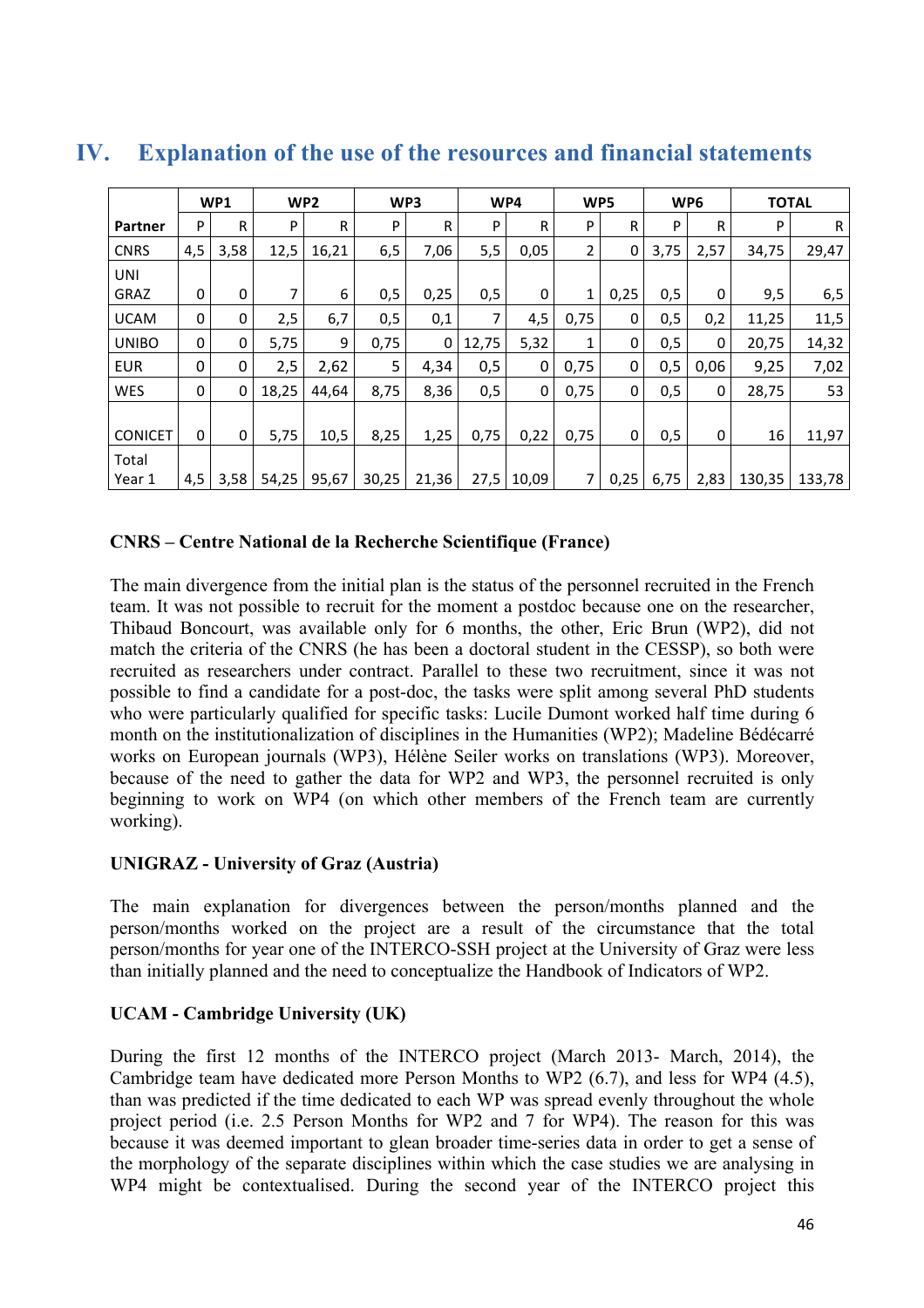|                | WP1<br>WP <sub>2</sub> |      | WP3   |       | WP4   |       | WP5   |       | WP <sub>6</sub> |      | <b>TOTAL</b> |      |        |        |
|----------------|------------------------|------|-------|-------|-------|-------|-------|-------|-----------------|------|--------------|------|--------|--------|
| Partner        | P                      | R    | P     | R     | P     | R     | P     | R     | P               | R    | P            | R.   | P      | R      |
| <b>CNRS</b>    | 4,5                    | 3,58 | 12,5  | 16,21 | 6,5   | 7,06  | 5,5   | 0,05  | 2               | 0    | 3,75         | 2,57 | 34,75  | 29,47  |
| <b>UNI</b>     |                        |      |       |       |       |       |       |       |                 |      |              |      |        |        |
| GRAZ           | $\Omega$               | 0    | 7     | 6     | 0,5   | 0,25  | 0,5   | 0     | 1               | 0,25 | 0,5          | 0    | 9,5    | 6,5    |
| <b>UCAM</b>    | 0                      | 0    | 2,5   | 6,7   | 0,5   | 0,1   | 7     | 4,5   | 0,75            | 0    | 0,5          | 0,2  | 11,25  | 11,5   |
| <b>UNIBO</b>   | 0                      | 0    | 5,75  | 9     | 0,75  | 0     | 12,75 | 5,32  | 1               | 0    | 0,5          | 0    | 20,75  | 14,32  |
| <b>EUR</b>     | 0                      | 0    | 2,5   | 2,62  | 5     | 4,34  | 0,5   | 0     | 0,75            | 0    | 0,5          | 0,06 | 9,25   | 7,02   |
| <b>WES</b>     | 0                      | 0    | 18,25 | 44.64 | 8,75  | 8,36  | 0,5   | 0     | 0,75            | 0    | 0,5          | 0    | 28,75  | 53     |
|                |                        |      |       |       |       |       |       |       |                 |      |              |      |        |        |
| <b>CONICET</b> | $\Omega$               | 0    | 5,75  | 10,5  | 8,25  | 1,25  | 0,75  | 0,22  | 0,75            | 0    | 0,5          | 0    | 16     | 11,97  |
| Total          |                        |      |       |       |       |       |       |       |                 |      |              |      |        |        |
| Year 1         | 4,5                    | 3,58 | 54,25 | 95,67 | 30,25 | 21,36 | 27,5  | 10,09 | 7 <sup>1</sup>  | 0,25 | 6,75         | 2,83 | 130,35 | 133,78 |

# **IV. Explanation of the use of the resources and financial statements**

# **CNRS – Centre National de la Recherche Scientifique (France)**

The main divergence from the initial plan is the status of the personnel recruited in the French team. It was not possible to recruit for the moment a postdoc because one on the researcher, Thibaud Boncourt, was available only for 6 months, the other, Eric Brun (WP2), did not match the criteria of the CNRS (he has been a doctoral student in the CESSP), so both were recruited as researchers under contract. Parallel to these two recruitment, since it was not possible to find a candidate for a post-doc, the tasks were split among several PhD students who were particularly qualified for specific tasks: Lucile Dumont worked half time during 6 month on the institutionalization of disciplines in the Humanities (WP2); Madeline Bédécarré works on European journals (WP3), Hélène Seiler works on translations (WP3). Moreover, because of the need to gather the data for WP2 and WP3, the personnel recruited is only beginning to work on WP4 (on which other members of the French team are currently working).

# **UNIGRAZ - University of Graz (Austria)**

The main explanation for divergences between the person/months planned and the person/months worked on the project are a result of the circumstance that the total person/months for year one of the INTERCO-SSH project at the University of Graz were less than initially planned and the need to conceptualize the Handbook of Indicators of WP2.

# **UCAM - Cambridge University (UK)**

During the first 12 months of the INTERCO project (March 2013- March, 2014), the Cambridge team have dedicated more Person Months to WP2 (6.7), and less for WP4 (4.5), than was predicted if the time dedicated to each WP was spread evenly throughout the whole project period (i.e. 2.5 Person Months for WP2 and 7 for WP4). The reason for this was because it was deemed important to glean broader time-series data in order to get a sense of the morphology of the separate disciplines within which the case studies we are analysing in WP4 might be contextualised. During the second year of the INTERCO project this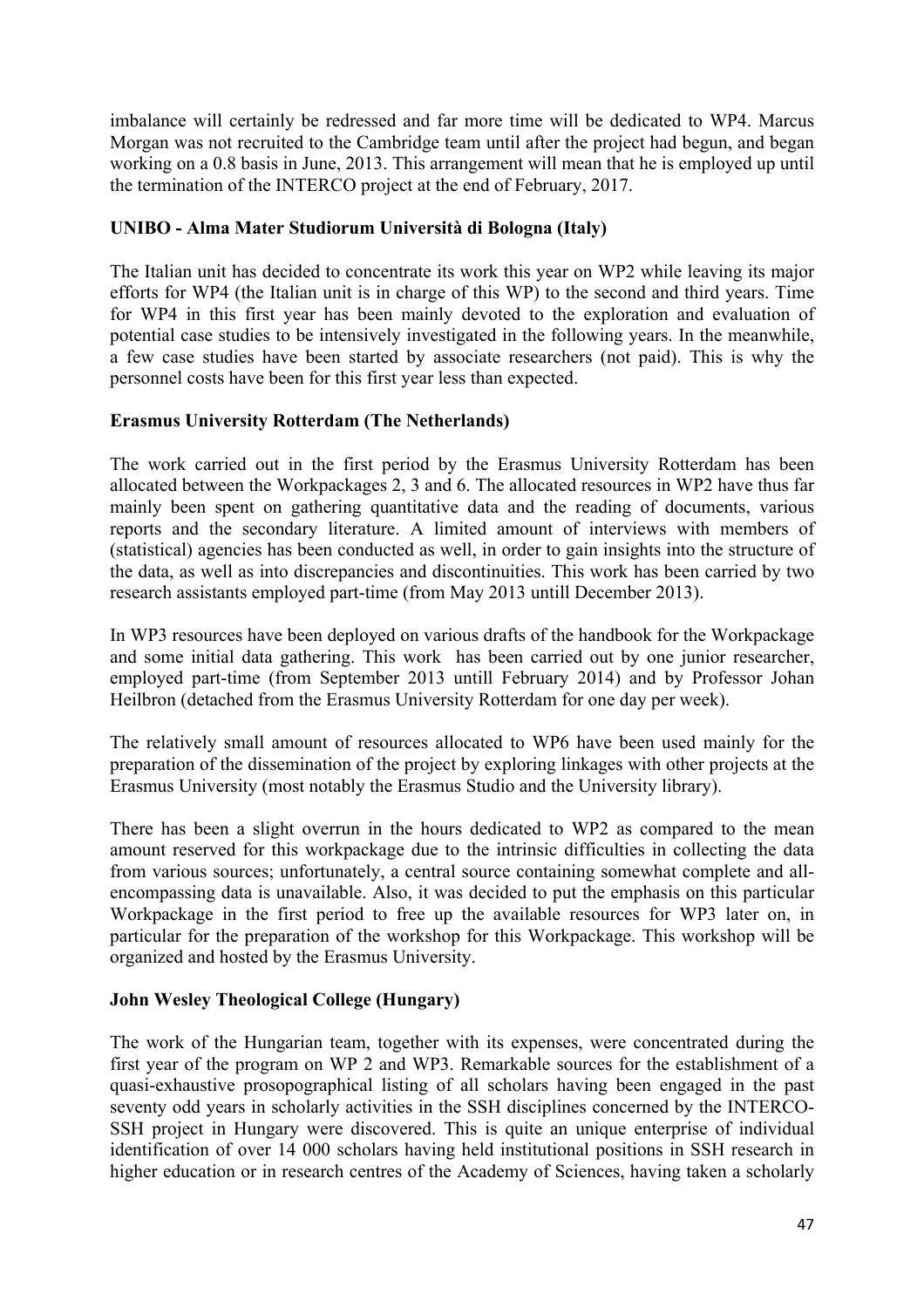imbalance will certainly be redressed and far more time will be dedicated to WP4. Marcus Morgan was not recruited to the Cambridge team until after the project had begun, and began working on a 0.8 basis in June, 2013. This arrangement will mean that he is employed up until the termination of the INTERCO project at the end of February, 2017.

# **UNIBO - Alma Mater Studiorum Università di Bologna (Italy)**

The Italian unit has decided to concentrate its work this year on WP2 while leaving its major efforts for WP4 (the Italian unit is in charge of this WP) to the second and third years. Time for WP4 in this first year has been mainly devoted to the exploration and evaluation of potential case studies to be intensively investigated in the following years. In the meanwhile, a few case studies have been started by associate researchers (not paid). This is why the personnel costs have been for this first year less than expected.

# **Erasmus University Rotterdam (The Netherlands)**

The work carried out in the first period by the Erasmus University Rotterdam has been allocated between the Workpackages 2, 3 and 6. The allocated resources in WP2 have thus far mainly been spent on gathering quantitative data and the reading of documents, various reports and the secondary literature. A limited amount of interviews with members of (statistical) agencies has been conducted as well, in order to gain insights into the structure of the data, as well as into discrepancies and discontinuities. This work has been carried by two research assistants employed part-time (from May 2013 untill December 2013).

In WP3 resources have been deployed on various drafts of the handbook for the Workpackage and some initial data gathering. This work has been carried out by one junior researcher, employed part-time (from September 2013 untill February 2014) and by Professor Johan Heilbron (detached from the Erasmus University Rotterdam for one day per week).

The relatively small amount of resources allocated to WP6 have been used mainly for the preparation of the dissemination of the project by exploring linkages with other projects at the Erasmus University (most notably the Erasmus Studio and the University library).

There has been a slight overrun in the hours dedicated to WP2 as compared to the mean amount reserved for this workpackage due to the intrinsic difficulties in collecting the data from various sources; unfortunately, a central source containing somewhat complete and allencompassing data is unavailable. Also, it was decided to put the emphasis on this particular Workpackage in the first period to free up the available resources for WP3 later on, in particular for the preparation of the workshop for this Workpackage. This workshop will be organized and hosted by the Erasmus University.

# **John Wesley Theological College (Hungary)**

The work of the Hungarian team, together with its expenses, were concentrated during the first year of the program on WP 2 and WP3. Remarkable sources for the establishment of a quasi-exhaustive prosopographical listing of all scholars having been engaged in the past seventy odd years in scholarly activities in the SSH disciplines concerned by the INTERCO-SSH project in Hungary were discovered. This is quite an unique enterprise of individual identification of over 14 000 scholars having held institutional positions in SSH research in higher education or in research centres of the Academy of Sciences, having taken a scholarly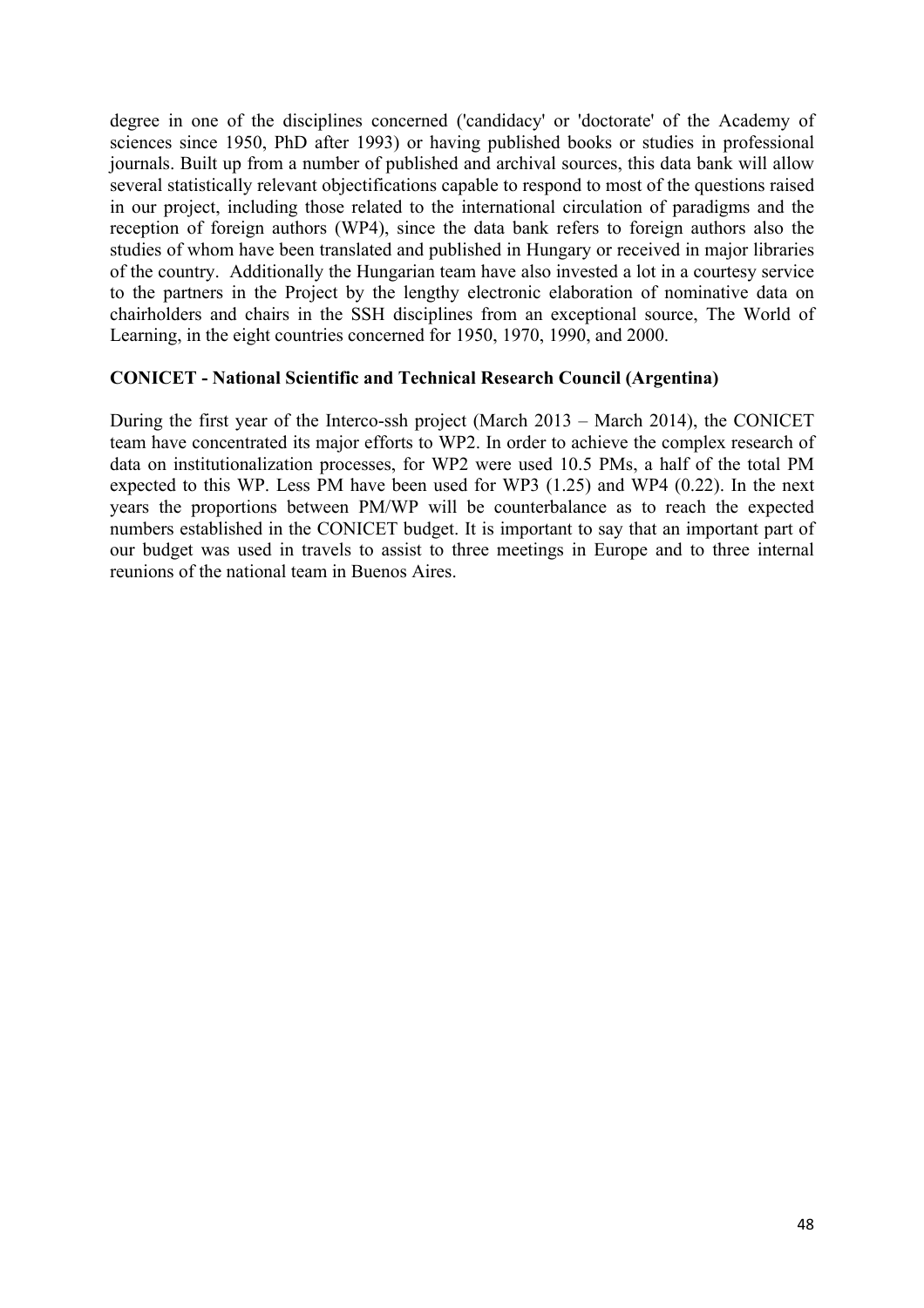degree in one of the disciplines concerned ('candidacy' or 'doctorate' of the Academy of sciences since 1950, PhD after 1993) or having published books or studies in professional journals. Built up from a number of published and archival sources, this data bank will allow several statistically relevant objectifications capable to respond to most of the questions raised in our project, including those related to the international circulation of paradigms and the reception of foreign authors (WP4), since the data bank refers to foreign authors also the studies of whom have been translated and published in Hungary or received in major libraries of the country. Additionally the Hungarian team have also invested a lot in a courtesy service to the partners in the Project by the lengthy electronic elaboration of nominative data on chairholders and chairs in the SSH disciplines from an exceptional source, The World of Learning, in the eight countries concerned for 1950, 1970, 1990, and 2000.

# **CONICET - National Scientific and Technical Research Council (Argentina)**

During the first year of the Interco-ssh project (March 2013 – March 2014), the CONICET team have concentrated its major efforts to WP2. In order to achieve the complex research of data on institutionalization processes, for WP2 were used 10.5 PMs, a half of the total PM expected to this WP. Less PM have been used for WP3 (1.25) and WP4 (0.22). In the next years the proportions between PM/WP will be counterbalance as to reach the expected numbers established in the CONICET budget. It is important to say that an important part of our budget was used in travels to assist to three meetings in Europe and to three internal reunions of the national team in Buenos Aires.